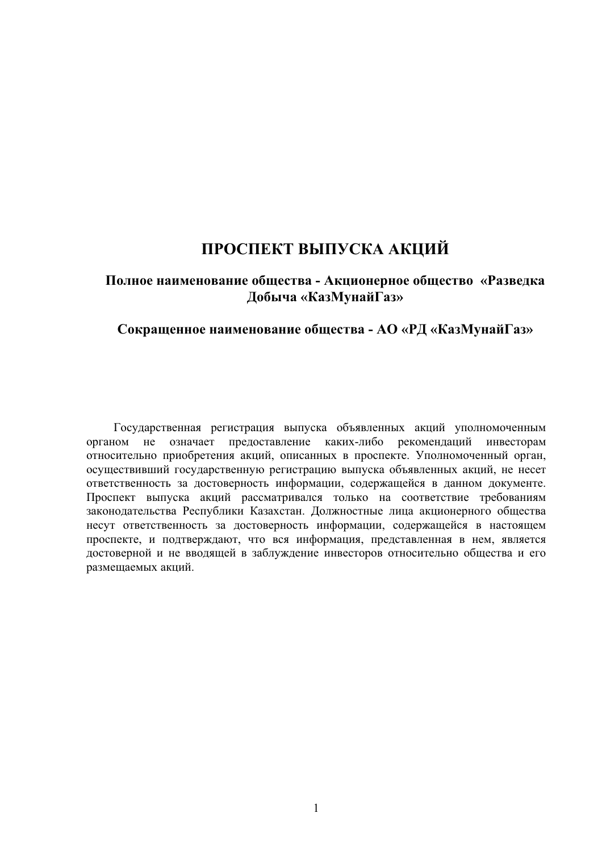# ПРОСПЕКТ ВЫПУСКА АКЦИЙ

# Полное наименование общества - Акционерное общество «Разведка  $\Lambda$ обыча «КазМунайГаз»

# Сокращенное наименование общества - АО «РД «КазМунайГаз»

Государственная регистрация выпуска объявленных акций уполномоченным органом не означает предоставление каких-либо рекомендаций инвесторам относительно приобретения акций, описанных в проспекте. Уполномоченный орган, осуществивший государственную регистрацию выпуска объявленных акций, не несет ответственность за достоверность информации, содержащейся в данном документе. Проспект выпуска акций рассматривался только на соответствие требованиям законодательства Республики Казахстан. Должностные лица акционерного общества несут ответственность за достоверность информации, содержащейся в настоящем проспекте, и подтверждают, что вся информация, представленная в нем, является достоверной и не вводящей в заблуждение инвесторов относительно общества и его размещаемых акций.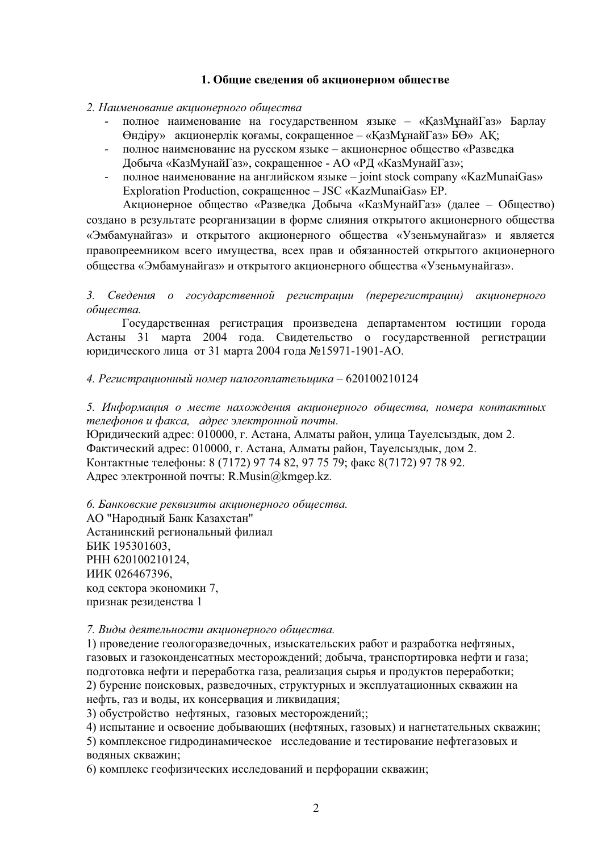# 1. Общие сведения об акционерном обществе

#### 2. Наименование акиионерного обшества

- полное наименование на государственном языке «КазМұнайГаз» Барлау  $\Theta$ ндіру» акционерлік қоғамы, сокращенное – «ҚазМұнайГаз» Б $\Theta$ » АҚ;
- полное наименование на русском языке акционерное общество «Разведка Добыча «КазМунайГаз», сокращенное - АО «РД «КазМунайГаз»;
- полное наименование на английском языке joint stock company «KazMunaiGas» Exploration Production, сокращенное – JSC «KazMunaiGas» EP.

Акционерное общество «Разведка Добыча «КазМунайГаз» (далее – Общество) создано в результате реорганизации в форме слияния открытого акционерного общества «Эмбамунайгаз» и открытого акционерного общества «Узеньмунайгаз» и является правопреемником всего имущества, всех прав и обязанностей открытого акционерного общества «Эмбамунайгаз» и открытого акционерного общества «Узеньмунайгаз».

# 3. Сведения о государственной регистрации (перерегистрации) акционерного  $o$ *бшества*.

Государственная регистрация произведена департаментом юстиции города Астаны 31 марта 2004 года. Свидетельство о государственной регистрации юрилического лица от 31 марта 2004 года №15971-1901-АО.

### 4. Регистрационный номер налогоплательщика – 620100210124

5. Информация о месте нахождения акционерного общества, номера контактных *телефонов и факса, адрес электронной почты.* 

Юридический адрес: 010000, г. Астана, Алматы район, улица Тауелсыздык, дом 2. Фактический адрес: 010000, г. Астана, Алматы район, Тауелсыздык, дом 2. Контактные телефоны: 8 (7172) 97 74 82, 97 75 79; факс 8(7172) 97 78 92. Адрес электронной почты: R.Musin@kmgep.kz.

 $6.$  Банковские реквизиты акционерного общества. АО "Народный Банк Казахстан" Астанинский региональный филиал БИК 195301603, PHH 620100210124, ИИК 026467396. код сектора экономики 7, признак резиденства 1

#### 7. Виды деятельности акционерного обшества.

1) проведение геологоразведочных, изыскательских работ и разработка нефтяных, газовых и газоконденсатных месторождений; добыча, транспортировка нефти и газа: подготовка нефти и переработка газа, реализация сырья и продуктов переработки; 2) бурение поисковых, разведочных, структурных и эксплуатационных скважин на нефть, газ и воды, их консервация и ликвидация;

3) обустройство нефтяных, газовых месторождений;;

4) испытание и освоение добывающих (нефтяных, газовых) и нагнетательных скважин;

5) комплексное гидродинамическое исследование и тестирование нефтегазовых и воляных скважин:

6) комплекс геофизических исследований и перфорации скважин;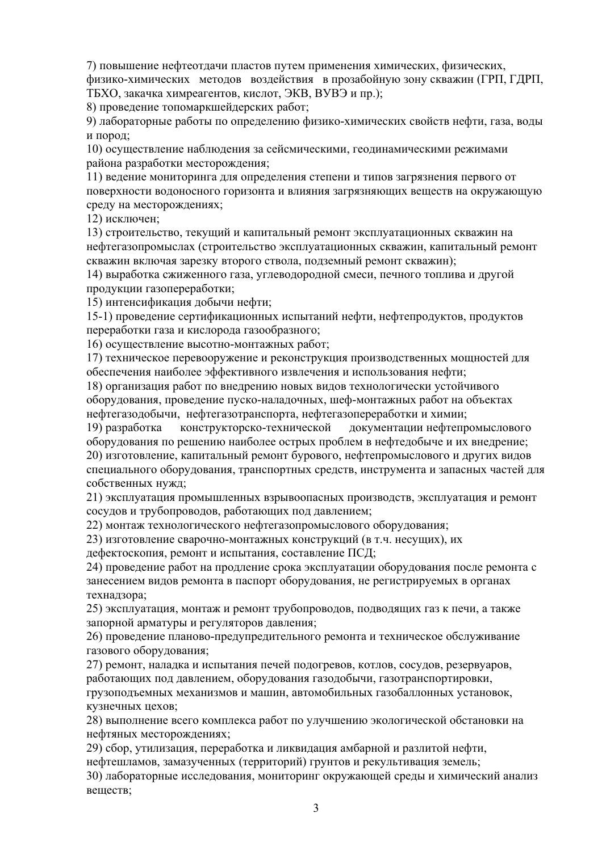7) повышение нефтеотдачи пластов путем применения химических, физических, физико-химических методов воздействия в прозабойную зону скважин (ГРП, ГДРП, ТБХО, закачка химреагентов, кислот, ЭКВ, ВУВЭ и пр.);

8) проведение топомаркшей дерских работ:

9) лабораторные работы по определению физико-химических свойств нефти, газа, воды и пород:

10) осуществление наблюдения за сейсмическими, геодинамическими режимами района разработки месторождения;

11) ведение мониторинга для определения степени и типов загрязнения первого от поверхности водоносного горизонта и влияния загрязняющих веществ на окружающую среду на месторождениях;

12) исключен:

13) строительство, текущий и капитальный ремонт эксплуатационных скважин на нефтегазопромыслах (строительство эксплуатационных скважин, капитальный ремонт скважин включая зарезку второго ствола, подземный ремонт скважин);

14) выработка сжиженного газа, углеводородной смеси, печного топлива и другой продукции газопереработки;

15) интенсификация добычи нефти;

15-1) проведение сертификационных испытаний нефти, нефтепродуктов, продуктов переработки газа и кислорода газообразного;

16) осуществление высотно-монтажных работ;

17) техническое перевооружение и реконструкция производственных мощностей для обеспечения наиболее эффективного извлечения и использования нефти;

18) организация работ по внедрению новых видов технологически устойчивого оборудования, проведение пуско-наладочных, шеф-монтажных работ на объектах нефтегазодобычи, нефтегазотранспорта, нефтегазопереработки и химии;

19) разработка конструкторско-технической документации нефтепромыслового оборудования по решению наиболее острых проблем в нефтедобыче и их внедрение; 20) изготовление, капитальный ремонт бурового, нефтепромыслового и других видов специального оборудования, транспортных средств, инструмента и запасных частей для собственных нужд;

21) эксплуатация промышленных взрывоопасных производств, эксплуатация и ремонт сосудов и трубопроводов, работающих под давлением;

22) монтаж технологического нефтегазопромыслового оборудования;

23) изготовление сварочно-монтажных конструкций (в т.ч. несущих), их

дефектоскопия, ремонт и испытания, составление ПСД;

24) проведение работ на продление срока эксплуатации оборудования после ремонта с занесением видов ремонта в паспорт оборудования, не регистрируемых в органах технадзора;

25) эксплуатация, монтаж и ремонт трубопроводов, подводящих газ к печи, а также запорной арматуры и регуляторов давления;

26) проведение планово-предупредительного ремонта и техническое обслуживание газового оборудования;

27) ремонт, наладка и испытания печей подогревов, котлов, сосудов, резервуаров, работающих под давлением, оборудования газодобычи, газотранспортировки,

грузоподъемных механизмов и машин, автомобильных газобаллонных установок. кузнечных цехов;

28) выполнение всего комплекса работ по улучшению экологической обстановки на нефтяных месторождениях;

29) сбор, утилизация, переработка и ликвилация амбарной и разлитой нефти,

нефтешламов, замазученных (территорий) грунтов и рекультивация земель;

30) лабораторные исследования, мониторинг окружающей среды и химический анализ веществ;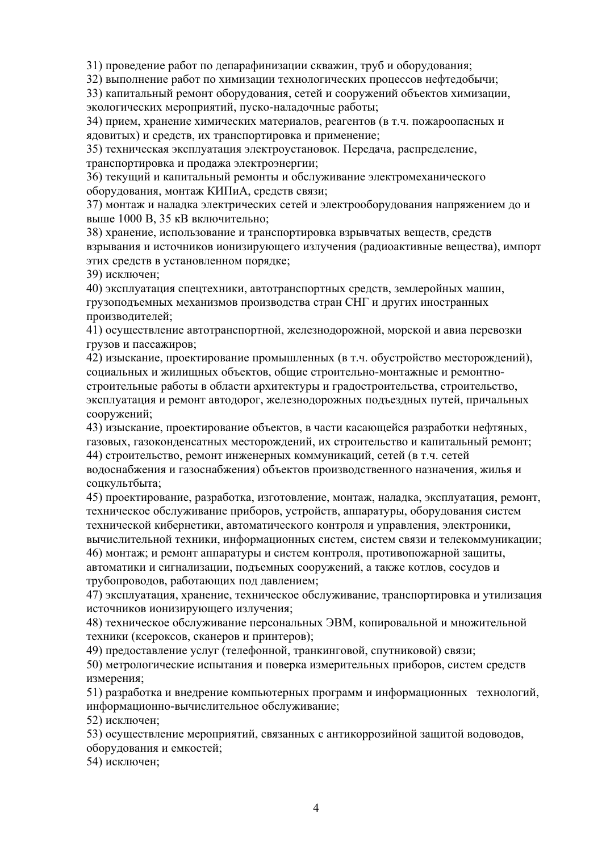31) проведение работ по депарафинизации скважин, труб и оборудования;

32) выполнение работ по химизации технологических процессов нефтедобычи;

33) капитальный ремонт оборудования, сетей и сооружений объектов химизации, экологических мероприятий, пуско-наладочные работы;

34) прием, хранение химических материалов, реагентов (в т.ч. пожароопасных и ядовитых) и средств, их транспортировка и применение;

35) техническая эксплуатация электроустановок. Передача, распределение, транспортировка и продажа электроэнергии;

36) текущий и капитальный ремонты и обслуживание электромеханического оборудования, монтаж КИПиА, средств связи;

37) монтаж и наладка электрических сетей и электрооборудования напряжением до и выше 1000 В, 35 кВ включительно;

38) хранение, использование и транспортировка взрывчатых веществ, средств взрывания и источников ионизирующего излучения (радиоактивные вещества), импорт этих средств в установленном порядке;

39) исключен:

40) эксплуатация спецтехники, автотранспортных средств, землеройных машин, грузоподъемных механизмов производства стран СНГ и других иностранных производителей:

41) осуществление автотранспортной, железнодорожной, морской и авиа перевозки грузов и пассажиров;

42) изыскание, проектирование промышленных (в т.ч. обустройство месторождений), социальных и жилищных объектов, общие строительно-монтажные и ремонтностроительные работы в области архитектуры и градостроительства, строительство, эксплуатация и ремонт автодорог, железнодорожных подъездных путей, причальных сооружений;

43) изыскание, проектирование объектов, в части касающейся разработки нефтяных, газовых, газоконденсатных месторождений, их строительство и капитальный ремонт; 44) строительство, ремонт инженерных коммуникаций, сетей (в т.ч. сетей

водоснабжения и газоснабжения) объектов производственного назначения, жилья и соцкультбыта;

45) проектирование, разработка, изготовление, монтаж, наладка, эксплуатация, ремонт, техническое обслуживание приборов, устройств, аппаратуры, оборудования систем технической кибернетики, автоматического контроля и управления, электроники, вычислительной техники, информационных систем, систем связи и телекоммуникации; 46) монтаж; и ремонт аппаратуры и систем контроля, противопожарной защиты, автоматики и сигнализации, подъемных сооружений, а также котлов, сосудов и трубопроводов, работающих под давлением;

47) эксплуатация, хранение, техническое обслуживание, транспортировка и утилизация источников ионизирующего излучения;

48) техническое обслуживание персональных ЭВМ, копировальной и множительной техники (ксероксов, сканеров и принтеров);

49) предоставление услуг (телефонной, транкинговой, спутниковой) связи;

50) метрологические испытания и поверка измерительных приборов, систем средств измерения;

51) разработка и внедрение компьютерных программ и информационных технологий, информационно-вычислительное обслуживание;

52) исключен;

53) осуществление мероприятий, связанных с антикоррозийной защитой водоводов, оборудования и емкостей:

54) исключен;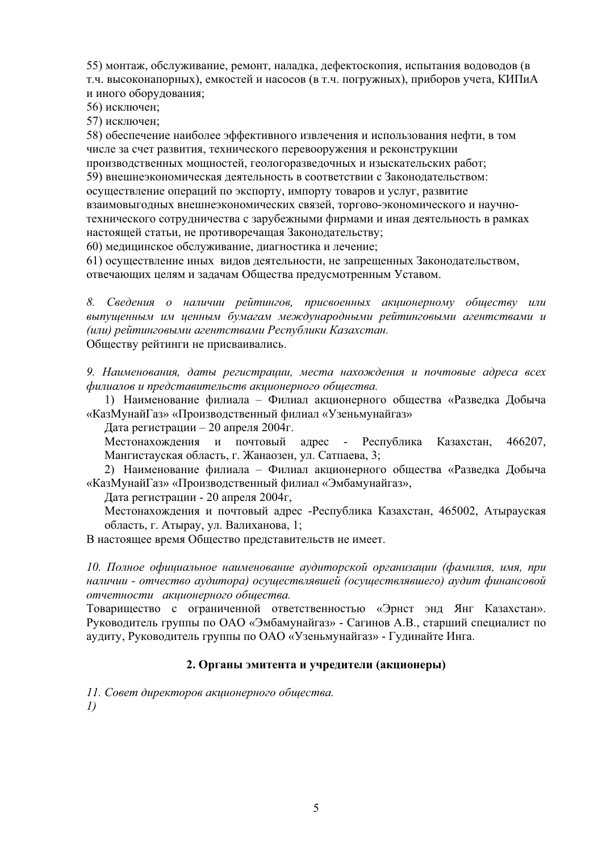55) монтаж, обслуживание, ремонт, наладка, дефектоскопия, испытания водоводов (в т.ч. высоконапорных), емкостей и насосов (в т.ч. погружных), приборов учета, КИПиА и иного оборудования;

56) исключен:

57) исключен;

58) обеспечение наиболее эффективного извлечения и использования нефти, в том числе за счет развития, технического перевооружения и реконструкции производственных мощностей, геологоразведочных и изыскательских работ;

59) внешнеэкономическая деятельность в соответствии с Законодательством:

осуществление операций по экспорту, импорту товаров и услуг, развитие

взаимовыгодных внешнеэкономических связей, торгово-экономического и научнотехнического сотрудничества с зарубежными фирмами и иная деятельность в рамках настоящей статьи, не противоречащая Законодательству;

60) медицинское обслуживание, диагностика и лечение;

61) осуществление иных видов деятельности, не запрещенных Законодательством, отвечающих целям и залачам Общества предусмотренным Уставом.

8. Сведения о наличии рейтингов, присвоенных акционерному обществу или выпущенным им ценным бумагам международными рейтинговыми агентствами и *(ɢɥɢ) ɪɟɣɬɢɧɝɨɜɵɦɢ ɚɝɟɧɬɫɬɜɚɦɢ Ɋɟɫɩɭɛɥɢɤɢ Ʉɚɡɚɯɫɬɚɧ.* Обществу рейтинги не присваивались.

9. Наименования, даты регистрации, места нахождения и почтовые адреса всех  $\omega$ илиалов и представительств акиионерного обшества.

1) Наименование филиала – Филиал акционерного общества «Разведка Добыча «КазМунайГаз» «Производственный филиал «Узеньмунайгаз»

Дата регистрации – 20 апреля 2004 г.

Местонахождения и почтовый адрес - Республика Казахстан, 466207, Мангистауская область, г. Жанаозен, ул. Сатпаева, 3;

2) Наименование филиала – Филиал акционерного общества «Разведка Добыча «КазМунайГаз» «Производственный филиал «Эмбамунайгаз»,

Дата регистрации - 20 апреля 2004г,

Местонахождения и почтовый адрес -Республика Казахстан, 465002, Атырауская область, г. Атырау, ул. Валиханова, 1;

В настоящее время Общество представительств не имеет.

 $10.$  Полное официальное наименование аудиторской организации (фамилия, имя, при *ɧɚɥɢɱɢɢ - ɨɬɱɟɫɬɜɨ ɚɭɞɢɬɨɪɚ) ɨɫɭɳɟɫɬɜɥɹɜɲɟɣ (ɨɫɭɳɟɫɬɜɥɹɜɲɟɝɨ) ɚɭɞɢɬ ɮɢɧɚɧɫɨɜɨɣ*  ${om}$ четности акционерного обшества.

Товарищество с ограниченной ответственностью «Эрнст энд Янг Казахстан». Руководитель группы по ОАО «Эмбамунайгаз» - Сагинов А.В., старший специалист по аудиту, Руководитель группы по ОАО «Узеньмунайгаз» - Гудинайте Инга.

#### $2.$  Органы эмитента и учредители (акционеры)

 $11.$  Совет директоров акционерного обшества. *1)*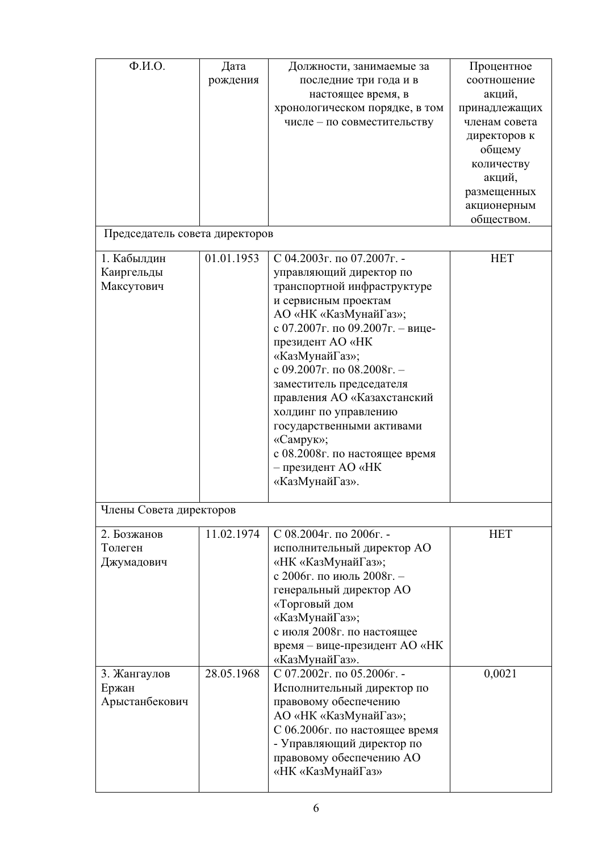| $\Phi$ . <i>H.O.</i>           | Дата       | Должности, занимаемые за         | Процентное    |
|--------------------------------|------------|----------------------------------|---------------|
|                                | рождения   | последние три года и в           | соотношение   |
|                                |            | настоящее время, в               | акций,        |
|                                |            | хронологическом порядке, в том   | принадлежащих |
|                                |            |                                  | членам совета |
|                                |            | числе - по совместительству      |               |
|                                |            |                                  | директоров к  |
|                                |            |                                  | общему        |
|                                |            |                                  | количеству    |
|                                |            |                                  | акций,        |
|                                |            |                                  | размещенных   |
|                                |            |                                  | акционерным   |
|                                |            |                                  | обществом.    |
| Председатель совета директоров |            |                                  |               |
| 1. Кабылдин                    | 01.01.1953 | С 04.2003г. по 07.2007г. -       | <b>HET</b>    |
| Каиргельды                     |            | управляющий директор по          |               |
| Максутович                     |            | транспортной инфраструктуре      |               |
|                                |            | и сервисным проектам             |               |
|                                |            | АО «НК «КазМунайГаз»;            |               |
|                                |            | с 07.2007г. по 09.2007г. - вице- |               |
|                                |            | президент AO «НК                 |               |
|                                |            | «КазМунайГаз»;                   |               |
|                                |            | с 09.2007г. по 08.2008г. -       |               |
|                                |            | заместитель председателя         |               |
|                                |            | правления AO «Казахстанский      |               |
|                                |            | холдинг по управлению            |               |
|                                |            | государственными активами        |               |
|                                |            |                                  |               |
|                                |            | «Самрук»;                        |               |
|                                |            | с 08.2008г. по настоящее время   |               |
|                                |            | - президент AO «НК               |               |
|                                |            | «КазМунайГаз».                   |               |
| Члены Совета директоров        |            |                                  |               |
| 2. Бозжанов                    | 11.02.1974 | С 08.2004г. по 2006г. -          | <b>HET</b>    |
| Толеген                        |            | исполнительный директор АО       |               |
| Джумадович                     |            | «НК «КазМунайГаз»;               |               |
|                                |            | с 2006г. по июль 2008г. -        |               |
|                                |            | генеральный директор АО          |               |
|                                |            | «Торговый дом                    |               |
|                                |            | «КазМунайГаз»;                   |               |
|                                |            | с июля 2008г. по настоящее       |               |
|                                |            | время - вице-президент АО «НК    |               |
|                                |            | «КазМунайГаз».                   |               |
|                                | 28.05.1968 | С 07.2002г. по 05.2006г. -       |               |
| 3. Жангаулов                   |            |                                  | 0,0021        |
| Ержан                          |            | Исполнительный директор по       |               |
| Арыстанбекович                 |            | правовому обеспечению            |               |
|                                |            | АО «НК «КазМунайГаз»;            |               |
|                                |            | С 06.2006г. по настоящее время   |               |
|                                |            | - Управляющий директор по        |               |
|                                |            | правовому обеспечению АО         |               |
|                                |            | «НК «КазМунайГаз»                |               |
|                                |            |                                  |               |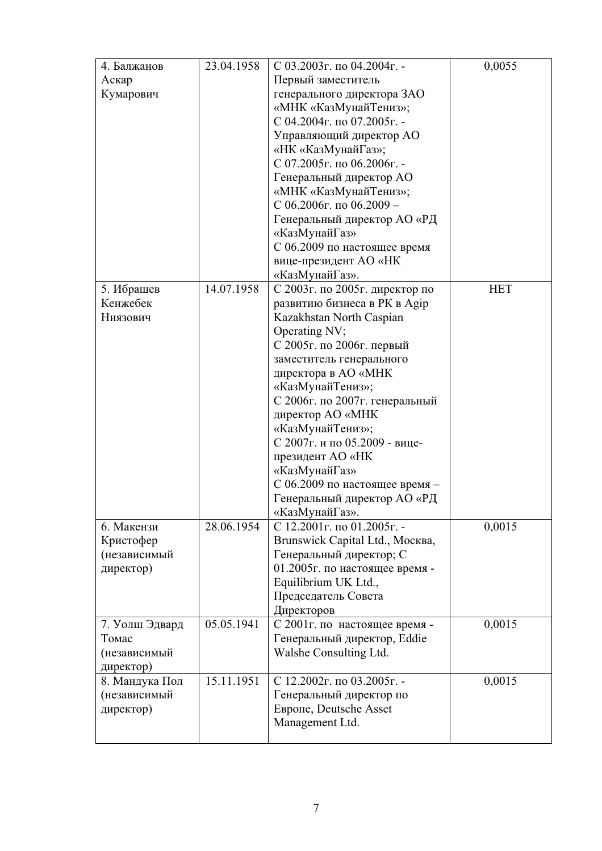| 4. Балжанов    | 23.04.1958 | С 03.2003г. по 04.2004г. -      | 0,0055     |
|----------------|------------|---------------------------------|------------|
| Аскар          |            | Первый заместитель              |            |
| Кумарович      |            | генерального директора ЗАО      |            |
|                |            | «МНК «КазМунайТениз»;           |            |
|                |            | С 04.2004г. по 07.2005г. -      |            |
|                |            | Управляющий директор АО         |            |
|                |            | «НК «КазМунайГаз»;              |            |
|                |            | С 07.2005г. по 06.2006г. -      |            |
|                |            | Генеральный директор АО         |            |
|                |            | «МНК «КазМунайТениз»;           |            |
|                |            | С 06.2006г. по 06.2009 -        |            |
|                |            | Генеральный директор АО «РД     |            |
|                |            | «КазМунайГаз»                   |            |
|                |            | С 06.2009 по настоящее время    |            |
|                |            | вице-президент AO «НК           |            |
|                |            | «КазМунайГаз».                  |            |
| 5. Ибрашев     | 14.07.1958 | С 2003г. по 2005г. директор по  | <b>HET</b> |
| Кенжебек       |            | развитию бизнеса в РК в Адір    |            |
| Ниязович       |            | Kazakhstan North Caspian        |            |
|                |            | Operating NV;                   |            |
|                |            | С 2005г. по 2006г. первый       |            |
|                |            | заместитель генерального        |            |
|                |            | директора в AO «МНК             |            |
|                |            | «КазМунайТениз»;                |            |
|                |            | С 2006г. по 2007г. генеральный  |            |
|                |            | директор AO «МНК                |            |
|                |            | «КазМунайТениз»;                |            |
|                |            | С 2007г. и по 05.2009 - вице-   |            |
|                |            | президент AO «НК                |            |
|                |            | «КазМунайГаз»                   |            |
|                |            | С 06.2009 по настоящее время -  |            |
|                |            | Генеральный директор АО «РД     |            |
|                |            | «КазМунайГаз».                  |            |
| 6. Макензи     | 28.06.1954 | С 12.2001г. по 01.2005г. -      | 0,0015     |
| Кристофер      |            | Brunswick Capital Ltd., Москва, |            |
| (независимый   |            | Генеральный директор; С         |            |
| директор)      |            | 01.2005г. по настоящее время -  |            |
|                |            | Equilibrium UK Ltd.,            |            |
|                |            | Председатель Совета             |            |
|                |            | Директоров                      |            |
| 7. Уолш Эдвард | 05.05.1941 | С 2001г. по настоящее время -   | 0,0015     |
| Томас          |            | Генеральный директор, Eddie     |            |
| (независимый   |            | Walshe Consulting Ltd.          |            |
| директор)      |            |                                 |            |
| 8. Мандука Пол | 15.11.1951 | С 12.2002г. по 03.2005г. -      | 0,0015     |
| (независимый   |            | Генеральный директор по         |            |
| директор)      |            | <b>Европе, Deutsche Asset</b>   |            |
|                |            | Management Ltd.                 |            |
|                |            |                                 |            |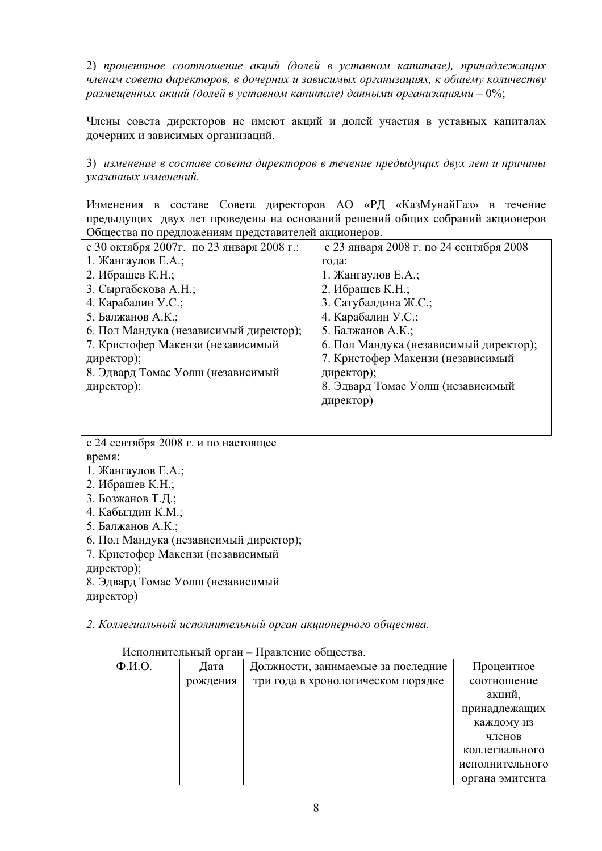2) процентное соотношение акций (долей в уставном капитале), принадлежащих членам совета директоров, в дочерних и зависимых организациях, к общему количеству  $pa$ змещенных акций (долей в уставном капитале) данными организациями – 0%;

Члены совета директоров не имеют акций и долей участия в уставных капиталах дочерних и зависимых организаций.

3) изменение в составе совета директоров в течение предыдущих двух лет и причины указанных изменений.

Изменения в составе Совета директоров АО «РД «КазМунайГаз» в течение предыдущих двух лет проведены на оснований решений общих собраний акционеров Общества по предложениям представителей акционеров.

| с 30 октября 2007г. по 23 января 2008 г.: | с 23 января 2008 г. по 24 сентября 2008 |
|-------------------------------------------|-----------------------------------------|
| 1. Жангаулов Е.А.;                        | года:                                   |
| 2. Ибрашев К.Н.;                          | 1. Жангаулов Е.А.;                      |
| 3. Сыргабекова А.Н.;                      | 2. Ибрашев К.Н.;                        |
| 4. Карабалин У.С.;                        | 3. Сатубалдина Ж.С.;                    |
| 5. Балжанов А.К.;                         | 4. Карабалин У.С.;                      |
| 6. Пол Мандука (независимый директор);    | 5. Балжанов А.К.;                       |
| 7. Кристофер Макензи (независимый         | 6. Пол Мандука (независимый директор);  |
| директор);                                | 7. Кристофер Макензи (независимый       |
| 8. Эдвард Томас Уолш (независимый         | директор);                              |
| директор);                                | 8. Эдвард Томас Уолш (независимый       |
|                                           | директор)                               |
|                                           |                                         |
|                                           |                                         |
| с 24 сентября 2008 г. и по настоящее      |                                         |
| время:                                    |                                         |
| 1. Жангаулов Е.А.;                        |                                         |
| 2. Ибрашев К.Н.;                          |                                         |
| 3. Бозжанов Т.Д.;                         |                                         |
| 4. Кабылдин К.М.;                         |                                         |
| 5. Балжанов А.К.;                         |                                         |
| 6. Пол Мандука (независимый директор);    |                                         |
| 7. Кристофер Макензи (независимый         |                                         |
| директор);                                |                                         |
| 8. Эдвард Томас Уолш (независимый         |                                         |
| директор)                                 |                                         |

2. Коллегиальный исполнительный орган акционерного общества.

Исполнительный орган – Правление общества.

| $\Phi$ <sub>M</sub> .O. | Дата     | Должности, занимаемые за последние | Процентное      |
|-------------------------|----------|------------------------------------|-----------------|
|                         | рождения | три года в хронологическом порядке | соотношение     |
|                         |          |                                    | акций,          |
|                         |          |                                    | принадлежащих   |
|                         |          |                                    | каждому из      |
|                         |          |                                    | членов          |
|                         |          |                                    | коллегиального  |
|                         |          |                                    | исполнительного |
|                         |          |                                    | органа эмитента |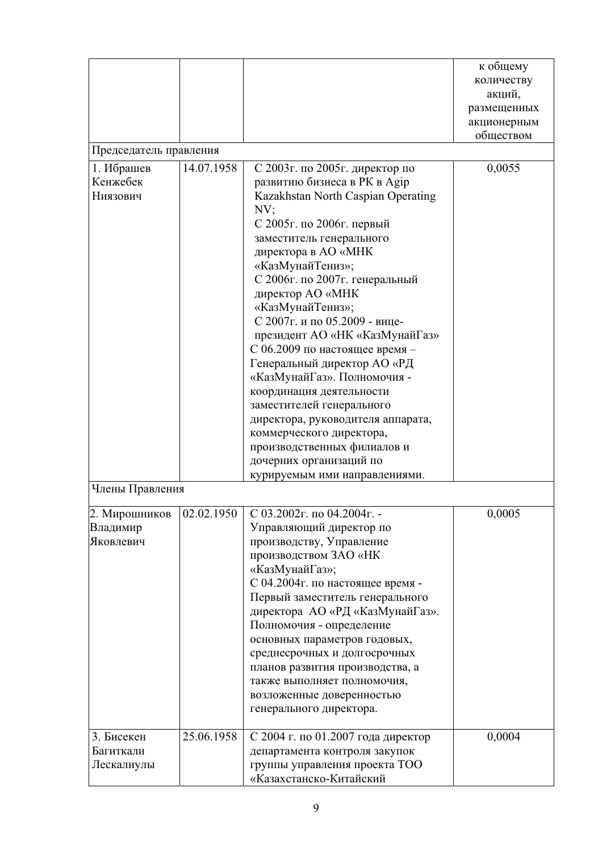|                        |            |                                    | к общему    |
|------------------------|------------|------------------------------------|-------------|
|                        |            |                                    | количеству  |
|                        |            |                                    | акций,      |
|                        |            |                                    | размещенных |
|                        |            |                                    | акционерным |
|                        |            |                                    | обществом   |
| Председатель правления |            |                                    |             |
| 1. Ибрашев             | 14.07.1958 | С 2003г. по 2005г. директор по     | 0,0055      |
| Кенжебек               |            | развитию бизнеса в РК в Адір       |             |
| Ниязович               |            | Kazakhstan North Caspian Operating |             |
|                        |            | NV;                                |             |
|                        |            | С 2005г. по 2006г. первый          |             |
|                        |            | заместитель генерального           |             |
|                        |            | директора в AO «МНК                |             |
|                        |            | «КазМунайТениз»;                   |             |
|                        |            | С 2006г. по 2007г. генеральный     |             |
|                        |            | директор AO «МНК                   |             |
|                        |            | «КазМунайТениз»;                   |             |
|                        |            | С 2007г. и по 05.2009 - вице-      |             |
|                        |            | президент AO «НК «КазМунайГаз»     |             |
|                        |            | С 06.2009 по настоящее время -     |             |
|                        |            | Генеральный директор АО «РД        |             |
|                        |            | «КазМунайГаз». Полномочия -        |             |
|                        |            | координация деятельности           |             |
|                        |            | заместителей генерального          |             |
|                        |            | директора, руководителя аппарата,  |             |
|                        |            | коммерческого директора,           |             |
|                        |            | производственных филиалов и        |             |
|                        |            | дочерних организаций по            |             |
|                        |            | курируемым ими направлениями.      |             |
| Члены Правления        |            |                                    |             |
| 2. Мирошников          | 02.02.1950 | С 03.2002г. по 04.2004г. -         | 0,0005      |
| Владимир               |            | Управляющий директор по            |             |
| Яковлевич              |            | производству, Управление           |             |
|                        |            | производством ЗАО «НК              |             |
|                        |            | «КазМунайГаз»;                     |             |
|                        |            | С 04.2004г. по настоящее время -   |             |
|                        |            | Первый заместитель генерального    |             |
|                        |            | директора АО «РД «КазМунайГаз».    |             |
|                        |            | Полномочия - определение           |             |
|                        |            | основных параметров годовых,       |             |
|                        |            | среднесрочных и долгосрочных       |             |
|                        |            | планов развития производства, а    |             |
|                        |            | также выполняет полномочия,        |             |
|                        |            | возложенные доверенностью          |             |
|                        |            | генерального директора.            |             |
| 3. Бисекен             | 25.06.1958 | С 2004 г. по 01.2007 года директор | 0,0004      |
| Багиткали              |            | департамента контроля закупок      |             |
| Лескалиулы             |            | группы управления проекта ТОО      |             |
|                        |            | «Казахстанско-Китайский            |             |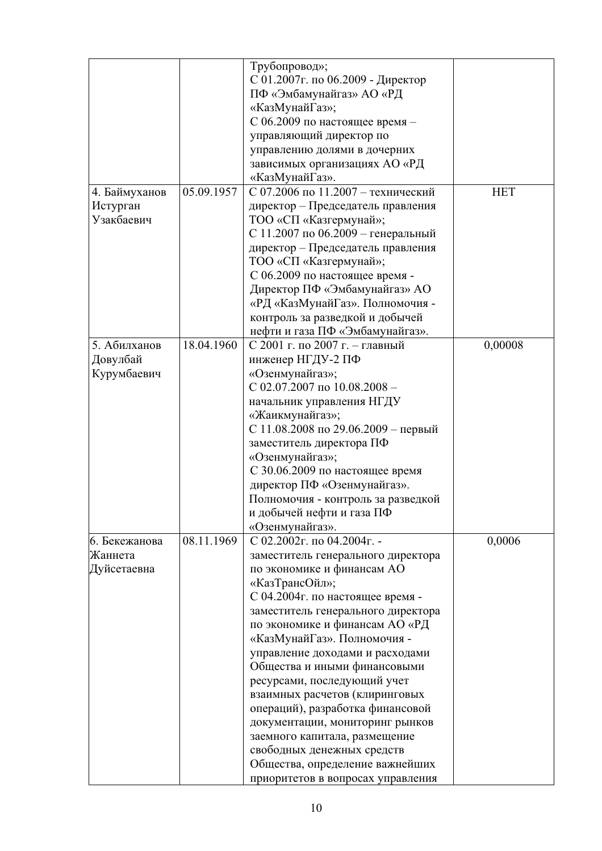|                                         |            | Трубопровод»;<br>С 01.2007г. по 06.2009 - Директор<br>ПФ «Эмбамунайгаз» АО «РД<br>«КазМунайГаз»;<br>С 06.2009 по настоящее время -<br>управляющий директор по<br>управлению долями в дочерних<br>зависимых организациях АО «РД<br>«КазМунайГаз».                                                                                                                                                                                                                                                                                                                                                              |            |
|-----------------------------------------|------------|---------------------------------------------------------------------------------------------------------------------------------------------------------------------------------------------------------------------------------------------------------------------------------------------------------------------------------------------------------------------------------------------------------------------------------------------------------------------------------------------------------------------------------------------------------------------------------------------------------------|------------|
| 4. Баймуханов<br>Истурган<br>Узакбаевич | 05.09.1957 | С 07.2006 по 11.2007 - технический<br>директор - Председатель правления<br>ТОО «СП «Казгермунай»;<br>С 11.2007 по 06.2009 - генеральный<br>директор - Председатель правления<br>ТОО «СП «Казгермунай»;<br>С 06.2009 по настоящее время -<br>Директор ПФ «Эмбамунайгаз» АО<br>«РД «КазМунайГаз». Полномочия -<br>контроль за разведкой и добычей<br>нефти и газа ПФ «Эмбамунайгаз».                                                                                                                                                                                                                            | <b>HET</b> |
| 5. Абилханов<br>Довулбай<br>Курумбаевич | 18.04.1960 | С 2001 г. по 2007 г. - главный<br>инженер НГДУ-2 ПФ<br>«Озенмунайгаз»;<br>C 02.07.2007 no $10.08.2008 -$<br>начальник управления НГДУ<br>«Жаикмунайгаз»;<br>С 11.08.2008 по 29.06.2009 - первый<br>заместитель директора ПФ<br>«Озенмунайгаз»;<br>С 30.06.2009 по настоящее время<br>директор ПФ «Озенмунайгаз».<br>Полномочия - контроль за разведкой<br>и добычей нефти и газа ПФ<br>«Озенмунайгаз».                                                                                                                                                                                                        | 0,00008    |
| 6. Бекежанова<br>Жаннета<br>Дуйсетаевна | 08.11.1969 | С 02.2002г. по 04.2004г. -<br>заместитель генерального директора<br>по экономике и финансам АО<br>«КазТрансОйл»;<br>С 04.2004г. по настоящее время -<br>заместитель генерального директора<br>по экономике и финансам АО «РД<br>«КазМунайГаз». Полномочия -<br>управление доходами и расходами<br>Общества и иными финансовыми<br>ресурсами, последующий учет<br>взаимных расчетов (клиринговых<br>операций), разработка финансовой<br>документации, мониторинг рынков<br>заемного капитала, размещение<br>свободных денежных средств<br>Общества, определение важнейших<br>приоритетов в вопросах управления | 0,0006     |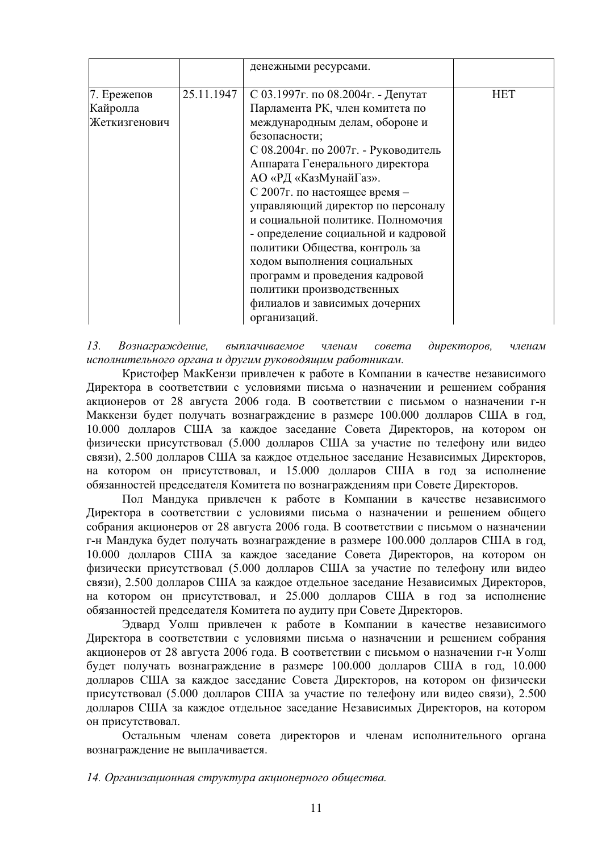|                                          |            | денежными ресурсами.                                                                                                                                                                                                                                                                                                                                                                                                                              |            |
|------------------------------------------|------------|---------------------------------------------------------------------------------------------------------------------------------------------------------------------------------------------------------------------------------------------------------------------------------------------------------------------------------------------------------------------------------------------------------------------------------------------------|------------|
| 7. Ережепов<br>Кайролла<br>Жеткизгенович | 25.11.1947 | С 03.1997 г. по 08.2004 г. - Депутат<br>Парламента РК, член комитета по<br>международным делам, обороне и<br>безопасности;<br>С 08.2004г. по 2007г. - Руководитель<br>Аппарата Генерального директора<br>АО «РД «КазМунайГаз».<br>С 2007г. по настоящее время -<br>управляющий директор по персоналу<br>и социальной политике. Полномочия<br>- определение социальной и кадровой<br>политики Общества, контроль за<br>ходом выполнения социальных | <b>HET</b> |
|                                          |            | программ и проведения кадровой<br>политики производственных<br>филиалов и зависимых дочерних<br>организаций.                                                                                                                                                                                                                                                                                                                                      |            |

13. Вознаграждение, выплачиваемое членам совета директоров, членам исполнительного органа и другим руководящим работникам.

Кристофер МакКензи привлечен к работе в Компании в качестве независимого Директора в соответствии с условиями письма о назначении и решением собрания акционеров от 28 августа 2006 года. В соответствии с письмом о назначении г-н Маккензи будет получать вознаграждение в размере 100.000 долларов США в год, 10.000 долларов США за каждое заседание Совета Директоров, на котором он физически присутствовал (5.000 долларов США за участие по телефону или видео связи), 2.500 долларов США за каждое отдельное заседание Независимых Директоров, на котором он присутствовал, и 15.000 долларов США в год за исполнение обязанностей председателя Комитета по вознаграждениям при Совете Директоров.

Пол Мандука привлечен к работе в Компании в качестве независимого Директора в соответствии с условиями письма о назначении и решением общего собрания акционеров от 28 августа 2006 года. В соответствии с письмом о назначении г-н Мандука будет получать вознаграждение в размере 100.000 долларов США в год, 10.000 долларов США за каждое заседание Совета Директоров, на котором он физически присутствовал (5.000 долларов США за участие по телефону или видео связи), 2.500 долларов США за каждое отдельное заседание Независимых Директоров, на котором он присутствовал, и 25.000 долларов США в год за исполнение обязанностей председателя Комитета по аудиту при Совете Директоров.

Эдвард Уолш привлечен к работе в Компании в качестве независимого Директора в соответствии с условиями письма о назначении и решением собрания акционеров от 28 августа 2006 года. В соответствии с письмом о назначении г-н Уолш будет получать вознаграждение в размере 100.000 долларов США в год, 10.000 долларов США за каждое заседание Совета Директоров, на котором он физически присутствовал (5.000 долларов США за участие по телефону или видео связи), 2.500 долларов США за каждое отдельное заседание Независимых Директоров, на котором он присутствовал.

Остальным членам совета директоров и членам исполнительного органа вознаграждение не выплачивается.

#### 14. Организационная структура акционерного общества.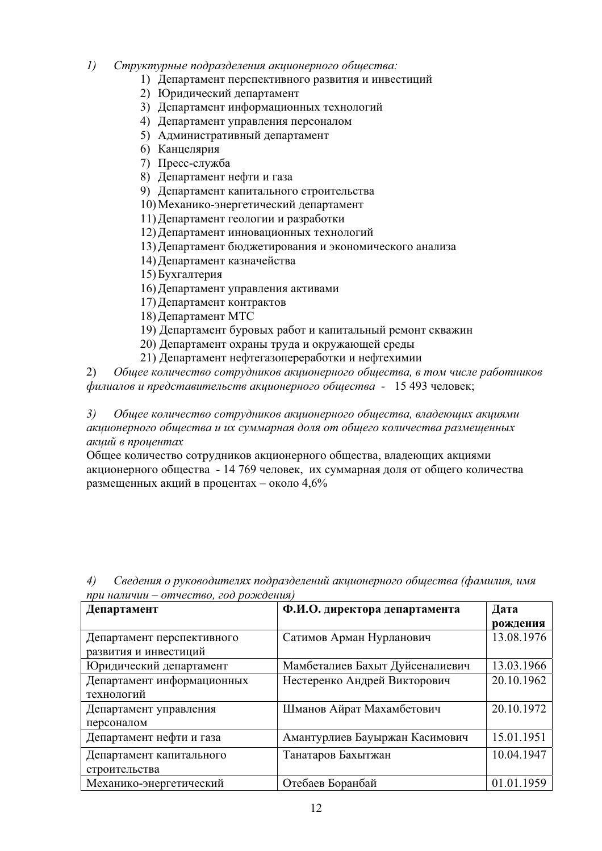- 1) Структурные подразделения акционерного общества:
	- 1) Департамент перспективного развития и инвестиций
	- 2) Юридический департамент
	- 3) Департамент информационных технологий
	- 4) Департамент управления персоналом
	- 5) Административный департамент
	- 6) Канцелярия
	- 7) Пресс-служба
	- 8) Департамент нефти и газа
	- 9) Департамент капитального строительства
	- 10) Механико-энергетический департамент
	- 11) Департамент геологии и разработки
	- 12) Департамент инновационных технологий
	- 13) Департамент бюджетирования и экономического анализа
	- 14) Департамент казначейства
	- 15) Бухгалтерия
	- 16) Департамент управления активами
	- 17) Департамент контрактов
	- 18) Лепартамент МТС
	- 19) Департамент буровых работ и капитальный ремонт скважин
	- 20) Департамент охраны труда и окружающей среды
	- 21) Департамент нефтегазопереработки и нефтехимии

2) *Обшее количество сотрудников акиионерного обшества, в том числе работников*  $\phi$ илиалов и представительств акционерного общества - 15 493 человек;

3) Общее количество сотрудников акционерного общества, владеющих акциями *ɚɤɰɢɨɧɟɪɧɨɝɨ ɨɛɳɟɫɬɜɚ ɢ ɢɯ ɫɭɦɦɚɪɧɚɹ ɞɨɥɹ ɨɬ ɨɛɳɟɝɨ ɤɨɥɢɱɟɫɬɜɚ ɪɚɡɦɟɳɟɧɧɵɯ* **акиий в проиентах** 

Общее количество сотрудников акционерного общества, владеющих акциями акционерного общества - 14 769 человек, их суммарная доля от общего количества размещенных акций в процентах – около 4,6%

| Департамент                | Ф.И.О. директора департамента   | Дата       |
|----------------------------|---------------------------------|------------|
|                            |                                 | рождения   |
| Департамент перспективного | Сатимов Арман Нурланович        | 13.08.1976 |
| развития и инвестиций      |                                 |            |
| Юридический департамент    | Мамбеталиев Бахыт Дуйсеналиевич | 13.03.1966 |
| Департамент информационных | Нестеренко Андрей Викторович    | 20.10.1962 |
| технологий                 |                                 |            |
| Департамент управления     | Шманов Айрат Махамбетович       | 20.10.1972 |
| персоналом                 |                                 |            |
| Департамент нефти и газа   | Амантурлиев Бауыржан Касимович  | 15.01.1951 |
| Департамент капитального   | Танатаров Бахытжан              | 10.04.1947 |
| строительства              |                                 |            |
| Механико-энергетический    | Отебаев Боранбай                | 01.01.1959 |

4) *Сведения о руководителях подразделений акционерного обшества (фамилия, имя при наличии – отчество, год рождения)*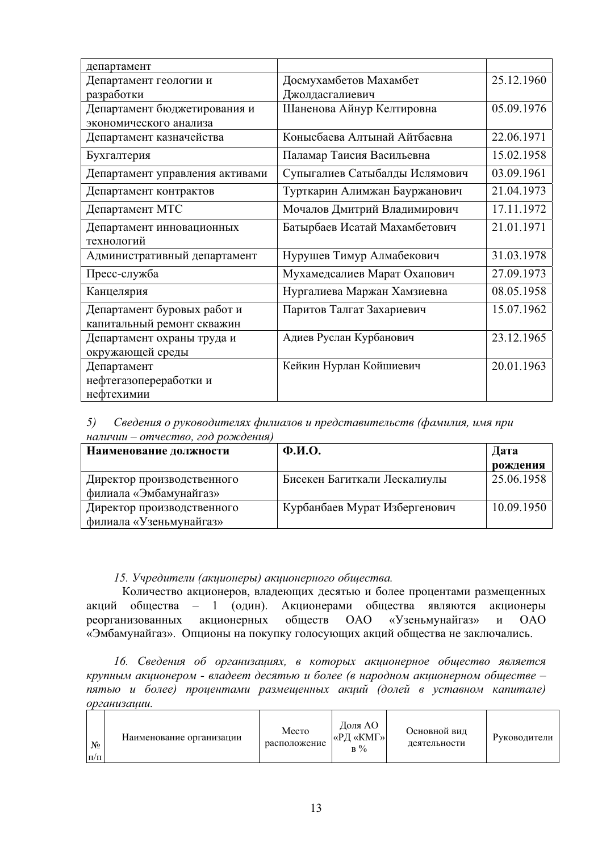| департамент                                               |                                |            |
|-----------------------------------------------------------|--------------------------------|------------|
| Департамент геологии и                                    | Досмухамбетов Махамбет         | 25.12.1960 |
| разработки                                                | Джолдасгалиевич                |            |
| Департамент бюджетирования и                              | Шаненова Айнур Келтировна      | 05.09.1976 |
| экономического анализа                                    |                                |            |
| Департамент казначейства                                  | Конысбаева Алтынай Айтбаевна   | 22.06.1971 |
| Бухгалтерия                                               | Паламар Таисия Васильевна      | 15.02.1958 |
| Департамент управления активами                           | Супыгалиев Сатыбалды Ислямович | 03.09.1961 |
| Департамент контрактов                                    | Турткарин Алимжан Бауржанович  | 21.04.1973 |
| Департамент МТС                                           | Мочалов Дмитрий Владимирович   | 17.11.1972 |
| Департамент инновационных<br>технологий                   | Батырбаев Исатай Махамбетович  | 21.01.1971 |
| Административный департамент                              | Нурушев Тимур Алмабекович      | 31.03.1978 |
| Пресс-служба                                              | Мухамедсалиев Марат Охапович   | 27.09.1973 |
| Канцелярия                                                | Нургалиева Маржан Хамзиевна    | 08.05.1958 |
| Департамент буровых работ и<br>капитальный ремонт скважин | Паритов Талгат Захариевич      | 15.07.1962 |
| Департамент охраны труда и<br>окружающей среды            | Адиев Руслан Курбанович        | 23.12.1965 |
| Департамент<br>нефтегазопереработки и<br>нефтехимии       | Кейкин Нурлан Койшиевич        | 20.01.1963 |

5) Сведения о руководителях филиалов и представительств (фамилия, имя при  $Ha\bar{x}uu\bar{u} - \bar{a}mv\bar{u}c$  *mчество*, *год рождения*)

| Наименование должности                                | $\Phi$ <sub>M</sub> .O.       | Дата       |
|-------------------------------------------------------|-------------------------------|------------|
|                                                       |                               | рождения   |
| Директор производственного<br>филиала «Эмбамунайгаз»  | Бисекен Багиткали Лескалиулы  | 25.06.1958 |
| Директор производственного<br>филиала «Узеньмунайгаз» | Курбанбаев Мурат Избергенович | 10.09.1950 |

# 15. Учредители (акционеры) акционерного общества.

Количество акционеров, владеющих десятью и более процентами размещенных акций общества – 1 (один). Акционерами общества являются акционеры<br>реорганизованных акционерных обществ ОАО «Узеньмунайгаз» и ОАО реорганизованных акционерных обществ ОАО «Узеньмунайгаз» и ОАО «Эмбамунайгаз». Опционы на покупку голосующих акций общества не заключались.

16. Сведения об организациях, в которых акционерное общество является  $k$ рупным акционером - владеет десятью и более (в народном акционерном обществе – пятью и более) процентами размещенных акций (долей в уставном капитале)  $opca$ низации.

| $N_2$<br>$\Pi/\Pi$ | Наименование организации | Место<br>расположение | Доля АО<br><b>«РД «КМГ»</b><br>$B\%$ | Основной вид<br>деятельности | Руководители |
|--------------------|--------------------------|-----------------------|--------------------------------------|------------------------------|--------------|
|--------------------|--------------------------|-----------------------|--------------------------------------|------------------------------|--------------|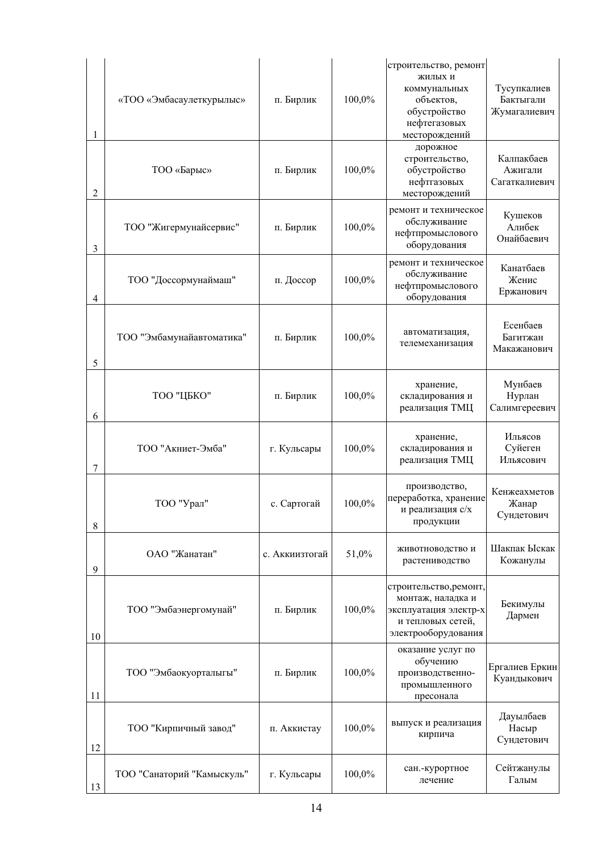| 1  | «ТОО «Эмбасаулеткурылыс»   | п. Бирлик      | 100,0% | строительство, ремонт<br>жилых и<br>коммунальных<br>объектов,<br>обустройство<br>нефтегазовых<br>месторождений   | Тусупкалиев<br>Бактыгали<br>Жумагалиевич |
|----|----------------------------|----------------|--------|------------------------------------------------------------------------------------------------------------------|------------------------------------------|
| 2  | ТОО «Барыс»                | п. Бирлик      | 100,0% | дорожное<br>строительство,<br>обустройство<br>нефтгазовых<br>месторождений                                       | Калпакбаев<br>Ажигали<br>Сагаткалиевич   |
| 3  | ТОО "Жигермунайсервис"     | п. Бирлик      | 100,0% | ремонт и техническое<br>обслуживание<br>нефтпромыслового<br>оборудования                                         | Кушеков<br>Алибек<br>Онайбаевич          |
| 4  | ТОО "Доссормунаймаш"       | п. Доссор      | 100,0% | ремонт и техническое<br>обслуживание<br>нефтпромыслового<br>оборудования                                         | Канатбаев<br>Женис<br>Ержанович          |
| 5  | ТОО "Эмбамунайавтоматика"  | п. Бирлик      | 100,0% | автоматизация,<br>телемеханизация                                                                                | Есенбаев<br>Багитжан<br>Макажанович      |
| 6  | ТОО "ЦБКО"                 | п. Бирлик      | 100,0% | хранение,<br>складирования и<br>реализация ТМЦ                                                                   | Мунбаев<br>Нурлан<br>Салимгереевич       |
| 7  | ТОО "Акниет-Эмба"          | г. Кульсары    | 100,0% | хранение,<br>складирования и<br>реализация ТМЦ                                                                   | Ильясов<br>Суйеген<br>Ильясович          |
| 8  | ТОО "Урал"                 | с. Сартогай    | 100,0% | производство,<br>переработка, хранение<br>и реализация с/х<br>продукции                                          | Кенжеахметов<br>Жанар<br>Сундетович      |
| 9  | ОАО "Жанатан"              | с. Аккиизтогай | 51,0%  | животноводство и<br>растениводство                                                                               | Шакпак Ыскак<br>Кожанулы                 |
| 10 | ТОО "Эмбаэнергомунай"      | п. Бирлик      | 100,0% | строительство, ремонт,<br>монтаж, наладка и<br>эксплуатация электр-х<br>и тепловых сетей,<br>электрооборудования | Бекимулы<br>Дармен                       |
| 11 | ТОО "Эмбаокуорталыгы"      | п. Бирлик      | 100,0% | оказание услуг по<br>обучению<br>производственно-<br>промышленного<br>пресонала                                  | Ергалиев Еркин<br>Куандыкович            |
| 12 | ТОО "Кирпичный завод"      | п. Аккистау    | 100,0% | выпуск и реализация<br>кирпича                                                                                   | Дауылбаев<br>Насыр<br>Сундетович         |
| 13 | ТОО "Санаторий "Камыскуль" | г. Кульсары    | 100,0% | сан.-курортное<br>лечение                                                                                        | Сейтжанулы<br>Галым                      |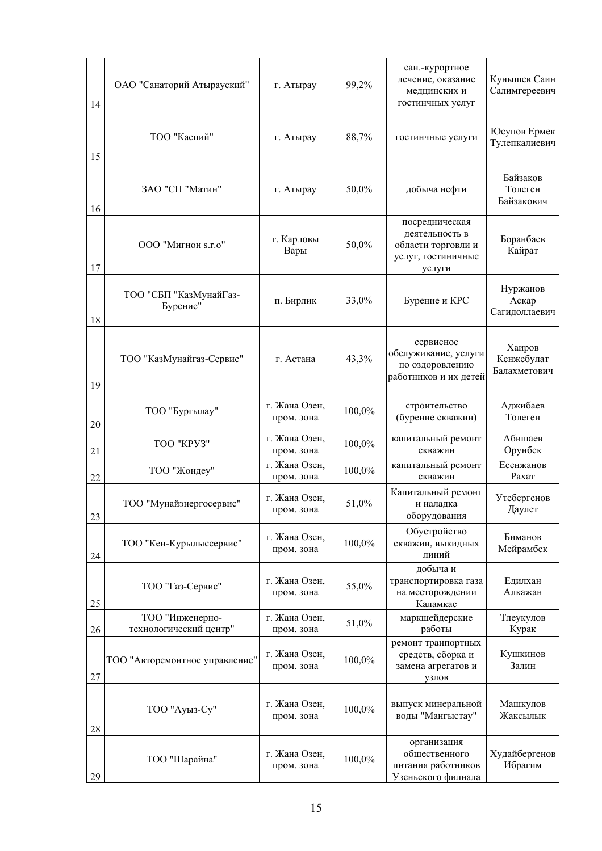| 14 | ОАО "Санаторий Атырауский"                | г. Атырау                   | 99,2%  | сан.-курортное<br>лечение, оказание<br>медцинских и<br>гостинчных услуг                | Кунышев Саин<br>Салимгереевич        |
|----|-------------------------------------------|-----------------------------|--------|----------------------------------------------------------------------------------------|--------------------------------------|
| 15 | ТОО "Каспий"                              | г. Атырау                   | 88,7%  | гостинчные услуги                                                                      | Юсупов Ермек<br>Тулепкалиевич        |
| 16 | ЗАО "СП "Матин"                           | г. Атырау                   | 50,0%  | добыча нефти                                                                           | Байзаков<br>Толеген<br>Байзакович    |
| 17 | ООО "Мигнон s.r.o"                        | г. Карловы<br>Вары          | 50,0%  | посредническая<br>деятельность в<br>области торговли и<br>услуг, гостиничные<br>услуги | Боранбаев<br>Кайрат                  |
| 18 | ТОО "СБП "КазМунайГаз-<br>Бурение"        | п. Бирлик                   | 33,0%  | Бурение и КРС                                                                          | Нуржанов<br>Аскар<br>Сагидоллаевич   |
| 19 | ТОО "КазМунайгаз-Сервис"                  | г. Астана                   | 43,3%  | сервисное<br>обслуживание, услуги<br>по оздоровлению<br>работников и их детей          | Хаиров<br>Кенжебулат<br>Балахметович |
| 20 | ТОО "Бургылау"                            | г. Жана Озен,<br>пром. зона | 100,0% | строительство<br>(бурение скважин)                                                     | Аджибаев<br>Толеген                  |
| 21 | TOO "KPY3"                                | г. Жана Озен,<br>пром. зона | 100,0% | капитальный ремонт<br>скважин                                                          | Абишаев<br>Орунбек                   |
| 22 | ТОО "Жондеу"                              | г. Жана Озен,<br>пром. зона | 100,0% | капитальный ремонт<br>скважин                                                          | Есенжанов<br>Рахат                   |
| 23 | ТОО "Мунайэнергосервис"                   | г. Жана Озен,<br>пром. зона | 51,0%  | Капитальный ремонт<br>и наладка<br>оборудования                                        | Утебергенов<br>Даулет                |
| 24 | ТОО "Кен-Курылыссервис"                   | г. Жана Озен,<br>пром. зона | 100,0% | Обустройство<br>скважин, выкидных<br>линий                                             | Биманов<br>Мейрамбек                 |
| 25 | ТОО "Газ-Сервис"                          | г. Жана Озен,<br>пром. зона | 55,0%  | добыча и<br>транспортировка газа<br>на месторождении<br>Каламкас                       | Едилхан<br>Алкажан                   |
| 26 | ТОО "Инженерно-<br>технологический центр" | г. Жана Озен,<br>пром. зона | 51,0%  | маркшейдерские<br>работы                                                               | Тлеукулов<br>Курак                   |
| 27 | ТОО "Авторемонтное управление"            | г. Жана Озен,<br>пром. зона | 100,0% | ремонт транпортных<br>средств, сборка и<br>замена агрегатов и<br>узлов                 | Кушкинов<br>Залин                    |
| 28 | ТОО "Ауыз-Су"                             | г. Жана Озен,<br>пром. зона | 100,0% | выпуск минеральной<br>воды "Мангыстау"                                                 | Машкулов<br>Жаксылык                 |
| 29 | ТОО "Шарайна"                             | г. Жана Озен,<br>пром. зона | 100,0% | организация<br>общественного<br>питания работников<br>Узеньского филиала               | Худайбергенов<br>Ибрагим             |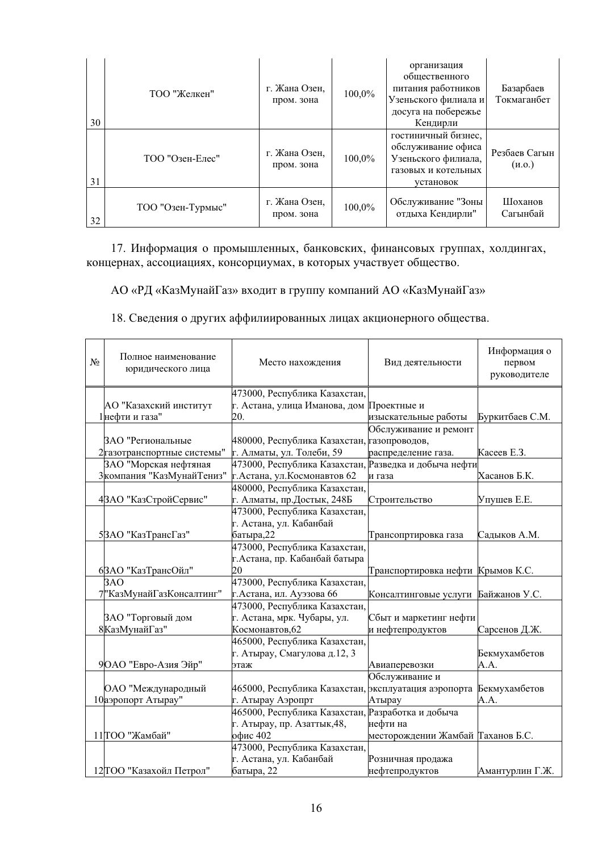| 30 | ТОО "Желкен"      | г. Жана Озен,<br>пром. зона | 100,0% | организация<br>общественного<br>питания работников<br>Узеньского филиала и<br>досуга на побережье<br>Кендирли | Базарбаев<br>Токмаганбет |
|----|-------------------|-----------------------------|--------|---------------------------------------------------------------------------------------------------------------|--------------------------|
| 31 | ТОО "Озен-Елес"   | г. Жана Озен,<br>пром. зона | 100,0% | гостиничный бизнес,<br>обслуживание офиса<br>Узеньского филиала,<br>газовых и котельных<br>установок          | Резбаев Сагын<br>(M.0.)  |
| 32 | ТОО "Озен-Турмыс" | г. Жана Озен,<br>пром. зона | 100,0% | Обслуживание "Зоны<br>отдыха Кендирли"                                                                        | Шоханов<br>Сагынбай      |

17. Информация о промышленных, банковских, финансовых группах, холдингах, концернах, ассоциациях, консорциумах, в которых участвует общество.

АО «РД «КазМунайГаз» входит в группу компаний АО «КазМунайГаз»

18. Сведения о других аффилиированных лицах акционерного общества.

| $N_2$ | Полное наименование<br>юридического лица | Место нахождения                                      | Вид деятельности                   | Информация о<br>первом<br>руководителе |
|-------|------------------------------------------|-------------------------------------------------------|------------------------------------|----------------------------------------|
|       |                                          | 473000, Республика Казахстан,                         |                                    |                                        |
|       | АО "Казахский институт                   | г. Астана, улица Иманова, дом                         | Проектные и                        |                                        |
|       | 1 нефти и газа"                          | 20.                                                   | изыскательные работы               | Буркитбаев С.М.                        |
|       |                                          |                                                       | Обслуживание и ремонт              |                                        |
|       | ЗАО "Региональные                        | 480000, Республика Казахстан, газопроводов,           |                                    |                                        |
|       | 2 газотранспортные системы"              | г. Алматы, ул. Толеби, 59                             | распределение газа.                | Касеев Е.З.                            |
|       | ЗАО "Морская нефтяная                    | 473000, Республика Казахстан, Разведка и добыча нефти |                                    |                                        |
|       | 3 компания "КазМунайТениз"               | г. Астана, ул. Космонавтов 62                         | и газа                             | Хасанов Б.К.                           |
|       |                                          | 480000, Республика Казахстан,                         |                                    |                                        |
|       | 4ЗАО "КазСтройСервис"                    | г. Алматы, пр.Достык, 248Б                            | Строительство                      | Упушев Е.Е.                            |
|       |                                          | 473000, Республика Казахстан,                         |                                    |                                        |
|       |                                          | г. Астана, ул. Кабанбай                               |                                    |                                        |
|       | 5ЗАО "КазТрансГаз"                       | батыра, 22                                            | Трансопртировка газа               | Садыков А.М.                           |
|       |                                          | 473000, Республика Казахстан,                         |                                    |                                        |
|       |                                          | г.Астана, пр. Кабанбай батыра                         |                                    |                                        |
|       | 6ЗАО "КазТрансОйл"                       | 20                                                    | Транспортировка нефти Крымов К.С.  |                                        |
|       | 3AO                                      | 473000, Республика Казахстан,                         |                                    |                                        |
|       | 7"КазМунайГазКонсалтинг"                 | г. Астана, ил. Ауэзова 66                             | Консалтинговые услуги              | Байжанов У.С.                          |
|       |                                          | 473000, Республика Казахстан,                         |                                    |                                        |
|       | ЗАО "Торговый дом                        | г. Астана, мрк. Чубары, ул.                           | Сбыт и маркетинг нефти             |                                        |
|       | 8КазМунайГаз"                            | Космонавтов, 62                                       | и нефтепродуктов                   | Сарсенов Д.Ж.                          |
|       |                                          | 465000, Республика Казахстан,                         |                                    |                                        |
|       |                                          | г. Атырау, Смагулова д.12, 3                          |                                    | Бекмухамбетов                          |
|       | 9 ОАО "Евро-Азия Эйр"                    | этаж                                                  | Авиаперевозки                      | A.A.                                   |
|       |                                          |                                                       | Обслуживание и                     |                                        |
|       | ОАО "Международный                       | 465000, Республика Казахстан,                         | эксплуатация аэропорта             | Бекмухамбетов                          |
|       | 10 аэропорт Атырау"                      | г. Атырау Аэропрт                                     | Атырау                             | A.A.                                   |
|       |                                          | 465000, Республика Казахстан, Разработка и добыча     |                                    |                                        |
|       |                                          | г. Атырау, пр. Азаттык, 48,                           | нефти на                           |                                        |
|       | 11 ТОО "Жамбай"                          | офис 402                                              | месторождении Жамбай  Таханов Б.С. |                                        |
|       |                                          | 473000, Республика Казахстан,                         |                                    |                                        |
|       |                                          | г. Астана, ул. Кабанбай                               | Розничная продажа                  |                                        |
|       | 12 ТОО "Казахойл Петрол"                 | батыра, 22                                            | нефтепродуктов                     | Амантурлин Г.Ж.                        |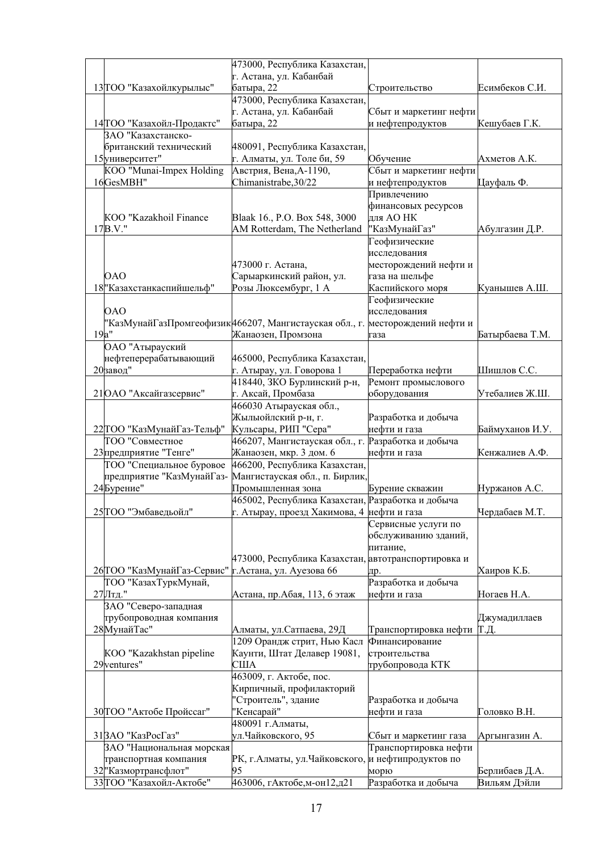|                             | 473000, Республика Казахстан,                                                                   |                                    |                 |
|-----------------------------|-------------------------------------------------------------------------------------------------|------------------------------------|-----------------|
|                             | г. Астана, ул. Кабанбай                                                                         |                                    |                 |
| 13 ТОО "Казахойлкурылыс"    | батыра, 22                                                                                      | Строительство                      | Есимбеков С.И.  |
|                             | 473000, Республика Казахстан,                                                                   |                                    |                 |
|                             | г. Астана, ул. Кабанбай                                                                         | Сбыт и маркетинг нефти             |                 |
| 14 ТОО "Казахойл-Продактс"  | батыра, 22                                                                                      | и нефтепродуктов                   | Кешубаев Г.К.   |
| ЗАО "Казахстанско-          |                                                                                                 |                                    |                 |
| британский технический      | 480091, Республика Казахстан,                                                                   |                                    |                 |
| 15 университет"             | г. Алматы, ул. Толе би, 59                                                                      | Обучение                           | Ахметов А.К.    |
| KOO "Munai-Impex Holding    | Австрия, Вена, А-1190,                                                                          | Сбыт и маркетинг нефти             |                 |
| 16GesMBH"                   | Chimanistrabe, 30/22                                                                            | и нефтепродуктов                   | Цауфаль Ф.      |
|                             |                                                                                                 | Привлечению<br>финансовых ресурсов |                 |
| KOO "Kazakhoil Finance      | Blaak 16., P.O. Box 548, 3000                                                                   | для АО НК                          |                 |
| $17B.V.$ "                  | AM Rotterdam, The Netherland                                                                    | "КазМунайГаз"                      | Абулгазин Д.Р.  |
|                             |                                                                                                 | Геофизические                      |                 |
|                             |                                                                                                 | исследования                       |                 |
|                             | 473000 г. Астана,                                                                               | месторождений нефти и              |                 |
| 0AO                         | Сарыаркинский район, ул.                                                                        | газа на шельфе                     |                 |
| 18" Казахстанкаспийшельф"   | Розы Люксембург, 1 А                                                                            | Каспийского моря                   | Куанышев А.Ш.   |
|                             |                                                                                                 | Геофизические                      |                 |
| <b>OAO</b>                  |                                                                                                 | исследования                       |                 |
|                             | "КазМунайГазПромгеофизик 466207, Мангистауская обл., г.                                         | месторождений нефти и              |                 |
| 19a"                        | Жанаозен, Промзона                                                                              | газа                               | Батырбаева Т.М. |
| ОАО "Атырауский             |                                                                                                 |                                    |                 |
| нефтеперерабатывающий       | 465000, Республика Казахстан,                                                                   |                                    |                 |
| 20 завод"                   | г. Атырау, ул. Говорова 1                                                                       | Переработка нефти                  | Шишлов С.С.     |
|                             | 418440, ЗКО Бурлинский р-н,                                                                     | Ремонт промыслового                |                 |
| 21 ОАО "Аксайгазсервис"     | г. Аксай, Промбаза                                                                              | оборудования                       | Утебалиев Ж.Ш.  |
|                             | 466030 Атырауская обл.,                                                                         |                                    |                 |
|                             | Жылыойлский р-н, г.                                                                             | Разработка и добыча                |                 |
| 22 ТОО "КазМунайГаз-Тельф"  | Кульсары, РИП "Сера"                                                                            | нефти и газа                       | Баймуханов И.У. |
| ТОО "Совместное             | 466207, Мангистауская обл., г.                                                                  | Разработка и добыча                |                 |
| 23 предприятие "Тенге"      | Жанаозен, мкр. 3 дом. 6                                                                         | нефти и газа                       | Кенжалиев А.Ф.  |
| ТОО "Специальное буровое    | 466200, Республика Казахстан,                                                                   |                                    |                 |
| предприятие "КазМунайГаз-   | Мангистауская обл., п. Бирлик,                                                                  |                                    |                 |
| 24 Бурение"                 | Промышленная зона                                                                               | Бурение скважин                    | Нуржанов А.С.   |
| 25 ТОО "Эмбаведьойл"        | 465002, Республика Казахстан, Разработка и добыча<br>г. Атырау, проезд Хакимова, 4 нефти и газа |                                    | Чердабаев М.Т.  |
|                             |                                                                                                 | Сервисные услуги по                |                 |
|                             |                                                                                                 | обслуживанию зданий,               |                 |
|                             |                                                                                                 | питание,                           |                 |
|                             | 473000, Республика Казахстан, автотранспортировка и                                             |                                    |                 |
| 26 ТОО "КазМунайГаз-Сервис" | г. Астана, ул. Ауезова 66                                                                       | дp.                                | Хаиров К.Б.     |
| ТОО "КазахТуркМунай,        |                                                                                                 | Разработка и добыча                |                 |
| 27Лтд."                     | Астана, пр. Абая, 113, 6 этаж                                                                   | нефти и газа                       | Ногаев Н.А.     |
| ЗАО "Северо-западная        |                                                                                                 |                                    |                 |
| трубопроводная компания     |                                                                                                 |                                    | Джумадиллаев    |
| 28 МунайТас"                | Алматы, ул.Сатпаева, 29Д                                                                        | Транспортировка нефти              | Т.Д.            |
|                             | 1209 Орандж стрит, Нью Касл                                                                     | Финансирование                     |                 |
| KOO "Kazakhstan pipeline    | Каунти, Штат Делавер 19081,                                                                     | строительства                      |                 |
| 29 <sub>ventures"</sub>     | США                                                                                             | трубопровода КТК                   |                 |
|                             | 463009, г. Актобе, пос.                                                                         |                                    |                 |
|                             | Кирпичный, профилакторий                                                                        |                                    |                 |
|                             | "Строитель", здание                                                                             | Разработка и добыча                |                 |
| 30 ТОО "Актобе Пройссаг"    | "Кенсарай"                                                                                      | нефти и газа                       | Головко В.Н.    |
|                             | 480091 г. Алматы,                                                                               |                                    |                 |
| 31 ЗАО "КазРосГаз"          | ул.Чайковского, 95                                                                              | Сбыт и маркетинг газа              | Аргынгазин А.   |
| ЗАО "Национальная морская   |                                                                                                 | Транспортировка нефти              |                 |
| транспортная компания       | РК, г.Алматы, ул.Чайковского, и нефтипродуктов по                                               |                                    |                 |
| 32 "Казмортрансфлот"        | 95                                                                                              | морю                               | Берлибаев Д.А.  |
| 33 ТОО "Казахойл-Актобе"    | 463006, гАктобе,м-он12,д21                                                                      | Разработка и добыча                | Вильям Дэйли    |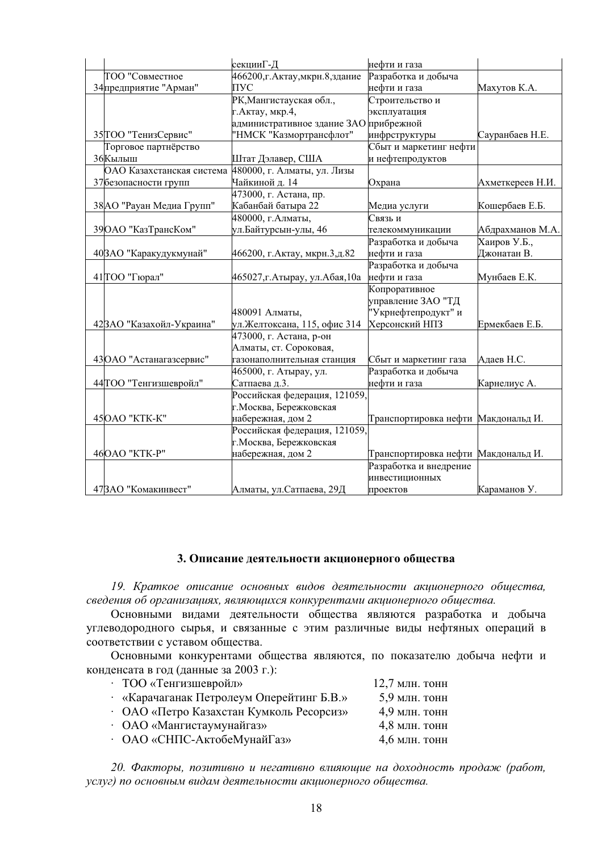|                           | секцииГ-Д                              | нефти и газа                        |                  |
|---------------------------|----------------------------------------|-------------------------------------|------------------|
| ТОО "Совместное           | 466200,г. Актау,мкрн.8,здание          | Разработка и добыча                 |                  |
| 34 предприятие "Арман"    | ПУС                                    | нефти и газа                        | Махутов К.А.     |
|                           | РК, Мангистауская обл.,                | Строительство и                     |                  |
|                           | г. Актау, мкр. 4,                      | эксплуатация                        |                  |
|                           | административное здание ЗАО прибрежной |                                     |                  |
| 35 ТОО "ТенизСервис"      | "НМСК "Казмортрансфлот"                | инфрструктуры                       | Сауранбаев Н.Е.  |
| Торговое партнёрство      |                                        | Сбыт и маркетинг нефти              |                  |
| 36 Кылыш                  | Штат Дэлавер, США                      | и нефтепродуктов                    |                  |
| ОАО Казахстанская система | 480000, г. Алматы, ул. Лизы            |                                     |                  |
| 37 безопасности групп     | Чайкиной д. 14                         | Охрана                              | Ахметкереев Н.И. |
|                           | 473000, г. Астана, пр.                 |                                     |                  |
| 38 АО "Рауан Медиа Групп" | Кабанбай батыра 22                     | Медиа услуги                        | Кошербаев Е.Б.   |
|                           | 480000, г. Алматы,                     | Связь и                             |                  |
| 39 ОАО "КазТрансКом"      | ул.Байтурсын-улы, 46                   | телекоммуникации                    | Абдрахманов М.А. |
|                           |                                        | Разработка и добыча                 | Хаиров У.Б.,     |
| 40 ЗАО "Каракудукмунай"   | 466200, г. Актау, мкрн.3,д.82          | нефти и газа                        | Джонатан В.      |
|                           |                                        | Разработка и добыча                 |                  |
| 41 ТОО "Гюрал"            | 465027,г.Атырау, ул.Абая,10а           | нефти и газа                        | Мунбаев Е.К.     |
|                           |                                        | Копроративное                       |                  |
|                           |                                        | управление ЗАО "ТД                  |                  |
|                           | 480091 Алматы,                         | "Укрнефтепродукт" и                 |                  |
| 42 ЗАО "Казахойл-Украина" | ул.Желтоксана, 115, офис 314           | Херсонский НПЗ                      | Ермекбаев Е.Б.   |
|                           | 473000, г. Астана, р-он                |                                     |                  |
|                           | Алматы, ст. Сороковая,                 |                                     |                  |
| 43 ОАО "Астанагазсервис"  | газонаполнительная станция             | Сбыт и маркетинг газа               | Адаев Н.С.       |
|                           | 465000, г. Атырау, ул.                 | Разработка и добыча                 |                  |
| 44 ТОО "Тенгизшевройл"    | Сатпаева д.3.                          | нефти и газа                        | Карнелиус А.     |
|                           | Российская федерация, 121059,          |                                     |                  |
|                           | г. Москва, Бережковская                |                                     |                  |
| 45 OAO "KTK-K"            | набережная, дом 2                      | Транспортировка нефти Макдональд И. |                  |
|                           | Российская федерация, 121059,          |                                     |                  |
|                           | г. Москва, Бережковская                |                                     |                  |
| 46 ОАО "КТК-Р"            | набережная, дом 2                      | Транспортировка нефти Макдональд И. |                  |
|                           |                                        | Разработка и внедрение              |                  |
|                           |                                        | инвестиционных                      |                  |
| 473АО "Комакинвест"       | Алматы, ул.Сатпаева, 29Д               | проектов                            | Караманов У.     |

## 3. Описание деятельности акционерного общества

19. Краткое описание основных видов деятельности акционерного общества, сведения об организациях, являющихся конкурентами акционерного общества.

Основными видами деятельности общества являются разработка и добыча углеводородного сырья, и связанные с этим различные виды нефтяных операций в соответствии с уставом общества.

Основными конкурентами общества являются, по показателю добыча нефти и конденсата в год (данные за 2003 г.):

| • ТОО «Тенгизшевройл»                    | 12,7 млн. тонн  |
|------------------------------------------|-----------------|
| «Карачаганак Петролеум Оперейтинг Б.В.»  | 5,9 млн. тонн   |
| • ОАО «Петро Казахстан Кумколь Ресорсиз» | $4.9$ млн. тонн |
| • ОАО «Мангистаумунайгаз»                | $4,8$ млн. тонн |
| • ОАО «СНПС-АктобеМунайГаз»              | $4,6$ млн. тонн |
|                                          |                 |

20. Факторы, позитивно и негативно влияющие на доходность продаж (работ, услуг) по основным видам деятельности акционерного общества.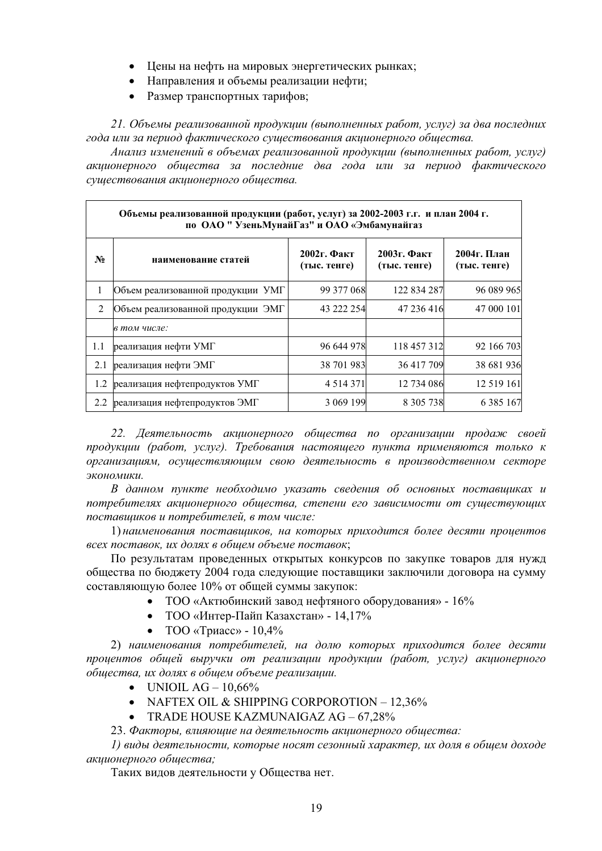- Цены на нефть на мировых энергетических рынках;
- Направления и объемы реализации нефти;
- Размер транспортных тарифов;

21. Объемы реализованной продукции (выполненных работ, услуг) за два последних  $\overline{\text{20da}}$  или за период фактического существования акционерного общества.

 $A$ нализ изменений в объемах реализованной продукции (выполненных работ, услуг) акиионерного обшества за последние два года или за период фактического существования акционерного общества.

|                | Объемы реализованной продукции (работ, услуг) за 2002-2003 г.г. и план 2004 г.<br>по ОАО " Узень Мунай Газ" и ОАО «Эмбамунайгаз |                                |                                |                             |
|----------------|---------------------------------------------------------------------------------------------------------------------------------|--------------------------------|--------------------------------|-----------------------------|
| $\mathbf{N_2}$ | наименование статей                                                                                                             | $2002$ г. Факт<br>(тыс. тенге) | $2003$ г. Факт<br>(тыс. тенге) | 2004г. План<br>(тыс. тенге) |
| 1              | Объем реализованной продукции УМГ                                                                                               | 99 377 068                     | 122 834 287                    | 96 089 965                  |
| 2              | Объем реализованной продукции ЭМГ                                                                                               | 43 222 254                     | 47 236 416                     | 47 000 101                  |
|                | в том числе:                                                                                                                    |                                |                                |                             |
| 1.1            | реализация нефти УМГ                                                                                                            | 96 644 978                     | 118 457 312                    | 92 166 703                  |
| 2.1            | реализация нефти ЭМГ                                                                                                            | 38 701 983                     | 36 417 709                     | 38 681 936                  |
| 1.2            | реализация нефтепродуктов УМГ                                                                                                   | 4 5 1 4 3 7 1                  | 12 734 086                     | 12 5 19 16 1                |
| 2.2            | реализация нефтепродуктов ЭМГ                                                                                                   | 3 069 199                      | 8 3 0 5 7 3 8                  | 6 3 8 5 1 6 7               |

22. Деятельность акционерного общества по организации продаж своей продукции (работ, услуг). Требования настоящего пункта применяются только к  $opz$ анизациям, осуществляющим свою деятельность в производственном секторе  $3$ *<i>KOHOMUKU*.

В данном пункте необходимо указать сведения об основных поставщиках и потребителях акционерного общества, степени его зависимости от существующих  $nocma$ вщиков и потребителей, в том числе:

1) наименования поставщиков, на которых приходится более десяти процентов  $\epsilon$ есех поставок, их долях в общем объеме поставок;

По результатам проведенных открытых конкурсов по закупке товаров для нужд обшества по бюлжету 2004 года следующие поставшики заключили договора на сумму составляющую более 10% от общей суммы закупок:

- ТОО «Актюбинский завод нефтяного оборудования»  $16\%$
- ТОО «Интер-Пайп Казахстан» 14,17%
- $TOO \times TDRacc$   $10.4\%$

2) наименования потребителей, на долю которых приходится более десяти процентов общей выручки от реализации продукции (работ, услуг) акционерного  $\delta$ бщества, их долях в общем объеме реализации.

- $\bullet$  UNIOIL AG 10,66%
- NAFTEX OIL & SHIPPING CORPOROTION  $-12,36\%$
- TRADE HOUSE KAZMUNAIGAZ AG  $-67,28\%$
- 23. Факторы, влияющие на деятельность акционерного общества:

*1)* виды деятельности, которые носят сезонный характер, их доля в общем доходе *ɚɤɰɢɨɧɟɪɧɨɝɨ ɨɛɳɟɫɬɜɚ;*

Таких видов деятельности у Общества нет.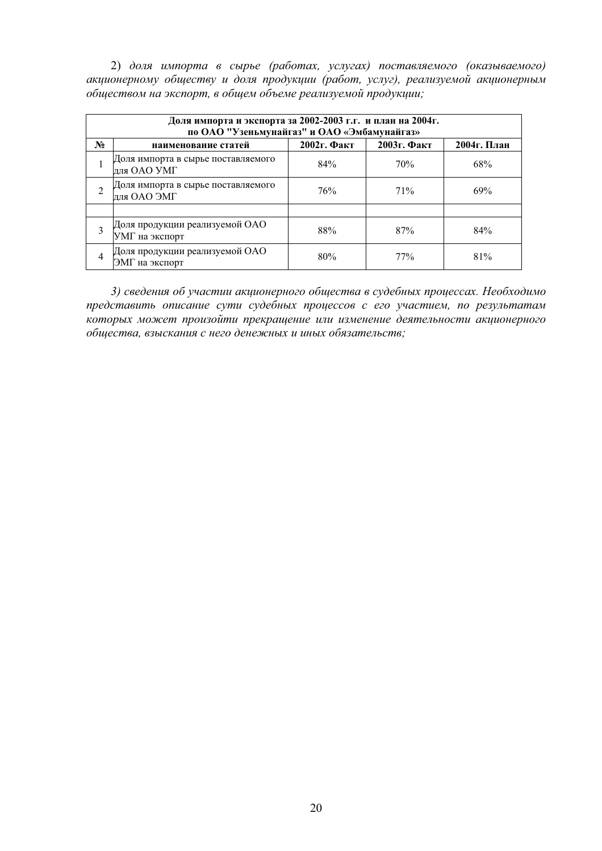2) доля импорта в сырье (работах, услугах) поставляемого (оказываемого)  $\alpha$ кционерному обществу и доля продукции (работ, услуг), реализуемой акционерным  $o$ бществом на экспорт, в общем объеме реализуемой продукции;

|                | Доля импорта и экспорта за 2002-2003 г.г. и план на 2004г.<br>по ОАО "Узеньмунайгаз" и ОАО «Эмбамунайгаз» |                |                |             |
|----------------|-----------------------------------------------------------------------------------------------------------|----------------|----------------|-------------|
| $N_2$          | наименование статей                                                                                       | $2002$ г. Факт | $2003$ г. Факт | 2004г. План |
|                | Доля импорта в сырье поставляемого<br>ДЛЯ ОАО УМГ                                                         | 84%            | 70%            | 68%         |
| $\overline{2}$ | Доля импорта в сырье поставляемого<br>ДЛЯ ОАО ЭМГ                                                         | 76%            | 71%            | 69%         |
|                |                                                                                                           |                |                |             |
| 3              | Доля продукции реализуемой ОАО<br>УМГ на экспорт                                                          | 88%            | 87%            | 84%         |
| 4              | Доля продукции реализуемой ОАО<br>ЭМГ на экспорт                                                          | 80%            | 77%            | 81%         |

3) сведения об участии акционерного общества в судебных процессах. Необходимо представить описание сути судебных процессов с его участием, по результатам которых может произойти прекращение или изменение деятельности акционерного  $o$ бщества, взыскания с него денежных и иных обязательств;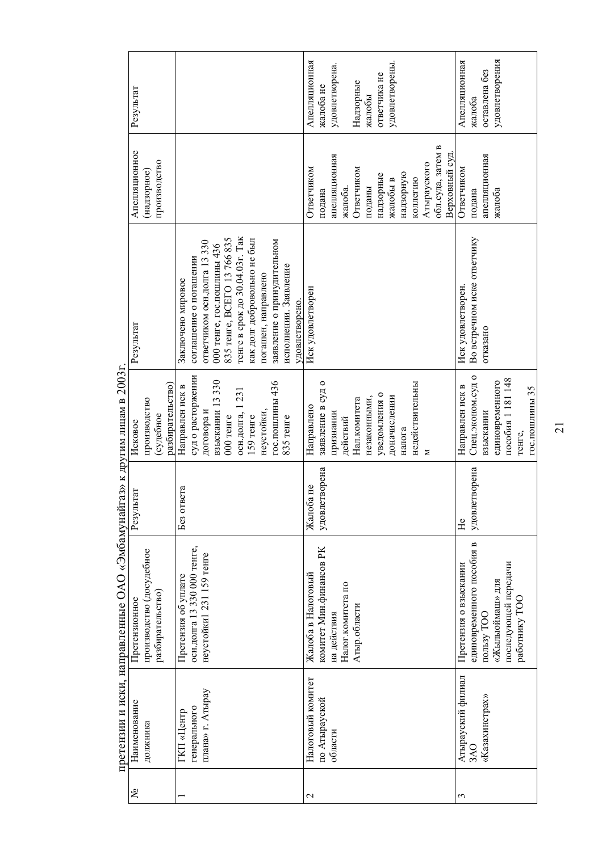|                 |                   | претензии и иски, направленные ОДО «Одомунали аз» к другим лицам в 2003. |               |                   |                                |                   |                |
|-----------------|-------------------|--------------------------------------------------------------------------|---------------|-------------------|--------------------------------|-------------------|----------------|
| يع              | Наименование      | Претензионное                                                            | Результат     | Исковое           | Результат                      | Апелляционное     | Результат      |
|                 | должника          | производство (досудебное                                                 |               | производство      |                                | (надзорное)       |                |
|                 |                   | разбирательство                                                          |               | (судебное         |                                | производство      |                |
|                 |                   |                                                                          |               | разбирательство)  |                                |                   |                |
|                 | ГКП «Центр        | Претензия об уплате                                                      | Без ответа    | Направлен иск в   | Заключено мировое              |                   |                |
|                 | генерального      | осн.долга 13 330 000 тенге,                                              |               | суд о расторжении | соглашение о погашении         |                   |                |
|                 | плана» г. Атырау  | неустойки 1231 159 тенге                                                 |               | договора и        | ответчиком осн.долга 13 330    |                   |                |
|                 |                   |                                                                          |               | взыскании 13 330  | 000 тенге, гос.пошлины 436     |                   |                |
|                 |                   |                                                                          |               | $000$ тенге       | 835 reure, BCETO 13 766 835    |                   |                |
|                 |                   |                                                                          |               | осн.долга, 1 231  | тенге в срок до 30.04.03г. Так |                   |                |
|                 |                   |                                                                          |               | $159$ re $are$    | как долг добровольно не был    |                   |                |
|                 |                   |                                                                          |               | неустойки,        | погашен, направлено            |                   |                |
|                 |                   |                                                                          |               | гос.пошлины 436   | заявление о принудительном     |                   |                |
|                 |                   |                                                                          |               | 835 тенге         | исполнении. Заявление          |                   |                |
|                 |                   |                                                                          |               |                   | удовлетворено.                 |                   |                |
| $\mathbf{\sim}$ | Налоговый комитет | Жалоба в Налоговый                                                       | Жалоба не     | Направлено        | Иск удовлетворен               | Ответчиком        | Апелляционная  |
|                 | по Атырауской     | комитет Мин.финансов РК                                                  | удовлетворена | заявление в судо  |                                | подана            | жалоба не      |
|                 | области           | на действия                                                              |               | признании         |                                | апелляционная     | удовлетворена. |
|                 |                   | Налог.комитета по                                                        |               | действий          |                                | жалоба            |                |
|                 |                   | Атыр.области                                                             |               | Нал.комитета      |                                | Ответчиком        | Надзорные      |
|                 |                   |                                                                          |               | незаконными,      |                                | поданы            | жалобы         |
|                 |                   |                                                                          |               | уведомления о     |                                | надзорные         | ответчика не   |
|                 |                   |                                                                          |               | доначислении      |                                | жалобы в          | удовлетворены. |
|                 |                   |                                                                          |               |                   |                                |                   |                |
|                 |                   |                                                                          |               | налога            |                                | надзорную         |                |
|                 |                   |                                                                          |               | недействительны   |                                | коллегию          |                |
|                 |                   |                                                                          |               | z                 |                                | Атырауского       |                |
|                 |                   |                                                                          |               |                   |                                | обл.суда, затем в |                |
|                 |                   |                                                                          |               |                   |                                | Верховный суд     |                |
| 3               | Атырауский филиал | Претензия о взыскании                                                    | He            | Направлен иск в   | Иск удовлетворен.              | Ответчиком        | Апелляционная  |
|                 | 3AO               | единовременного пособия в                                                | удовлетворена | Спец.эконом.судо  | Во встречном иске ответчику    | подана            | жалоба         |
|                 | «Казахинстрах»    | пользу ТОО                                                               |               | взыскании         | отказано                       | апелляционная     | оставлена без  |
|                 |                   | «Жылыоймаш» для                                                          |               | единовременного   |                                | жалоба            | удовлетворения |
|                 |                   | последующей передачи                                                     |               | пособия 1 181 148 |                                |                   |                |
|                 |                   | работнику ТОС                                                            |               | тенге,            |                                |                   |                |
|                 |                   |                                                                          |               | гос.пошлины 35    |                                |                   |                |
|                 |                   |                                                                          |               |                   |                                |                   |                |

претензии и иски, направленные ОАО «Эмбамунайгаз» к лругим липам в 2003г. претензии и иски, направленные ОАО «Эмбамунайгаз» к другим лицам в 2003г.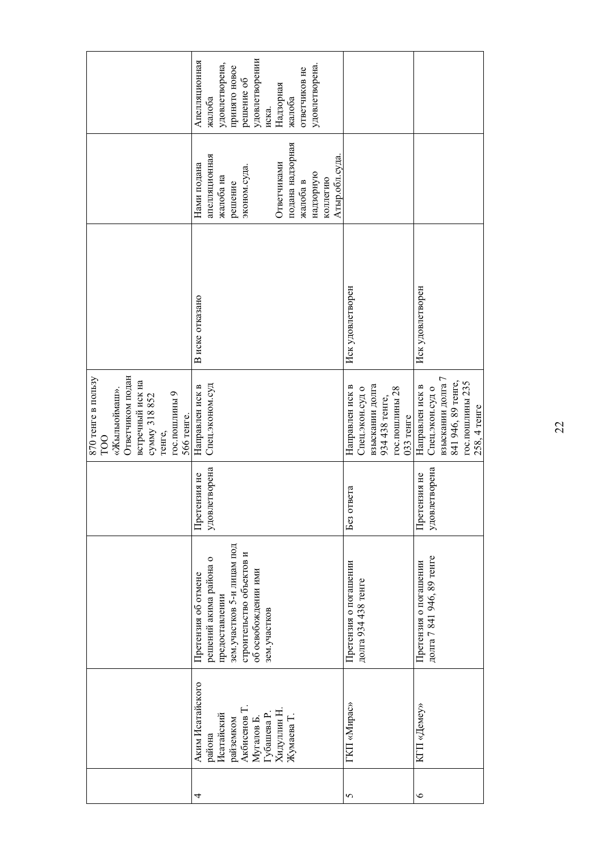|                                                                                                                                             | удовлетворении<br>Апелляционная<br>удовлетворена,<br>удовлетворена.<br>принято новое<br>ответчиков не<br>решение об<br>Надзорная<br>жалоба<br>жалоба<br>иска.     |                                                                                                          |                                                                                                                 |
|---------------------------------------------------------------------------------------------------------------------------------------------|-------------------------------------------------------------------------------------------------------------------------------------------------------------------|----------------------------------------------------------------------------------------------------------|-----------------------------------------------------------------------------------------------------------------|
|                                                                                                                                             | подана надзорная<br>апелляционная<br>Атыр.обл.суда.<br>Ответчиками<br>Нами подана<br>эконом.суда.<br>надзорную<br>жалоба на<br>коллегию<br>жалоба в<br>решение    |                                                                                                          |                                                                                                                 |
|                                                                                                                                             | В иске отказано                                                                                                                                                   | Иск удовлетворен                                                                                         | Иск удовлетворен                                                                                                |
| Ответчиком подан<br>870 тенге в пользу<br>встречный иск на<br>«Жылыоймаш».<br>гос.пошлины 9<br>сумму 318 852<br>566 тенге.<br>тенге,<br>TOO | Спец.эконом.суд<br>Направлен иск в                                                                                                                                | взыскании долга<br>Направлен иск в<br>Спец.экон.суд о<br>гос.пошлины 28<br>934 438 тенге,<br>$033$ тенге | взыскании долга 7<br>841 946, 89 тенге,<br>гос.пошлины 235<br>Направлен иск в<br>Спец.экон.судо<br>258, 4 тенге |
|                                                                                                                                             | етворена<br>Претензия не<br>удовл                                                                                                                                 | Без ответа                                                                                               | етворена<br>Претензия не<br>удовл                                                                               |
|                                                                                                                                             | зем. участков 5-и лицам под<br>строительство объектов и<br>решений акима района о<br>об освобождении ими<br>Претензия об отмене<br>предоставлении<br>зем.участков | Претензия о погашении<br>долга 934 438 тенге                                                             | долга 7 841 946, 89 тенге<br>Претензия о погашении                                                              |
|                                                                                                                                             | Аким Исатайского<br>Акбисенов Т<br>Хидуллин Н.<br>Губашева Р.<br>Исатайский<br>Жумаева Т.<br>Мугалов Б.<br>райземком<br>района                                    | ГКП «Мирас»                                                                                              | КГП «Демеу»                                                                                                     |
|                                                                                                                                             | 4                                                                                                                                                                 | 5                                                                                                        | $\circ$                                                                                                         |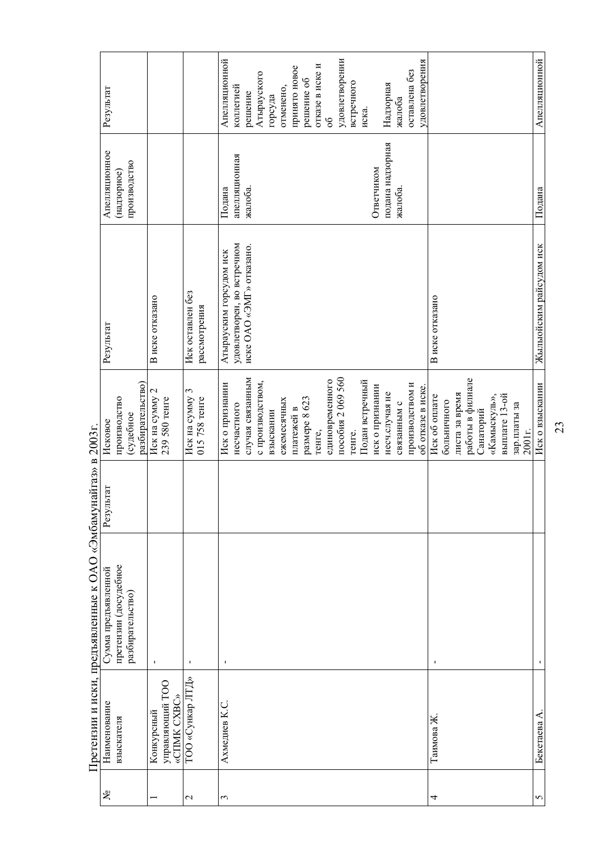|                    |                  | Претензии и иски, предъявленные к ОАО «Эмбамунайгаз» в 2003г. |           |                   |                            |                  |                 |
|--------------------|------------------|---------------------------------------------------------------|-----------|-------------------|----------------------------|------------------|-----------------|
| కి                 | Наименование     | Сумма предъявленной                                           | Результат | Исковое           | Результат                  | Апелляционное    | Результат       |
|                    | взыскателя       | претензии (досудебное                                         |           | производство      |                            | (надзорное)      |                 |
|                    |                  | разбирательство)                                              |           | (судебное         |                            | производство     |                 |
|                    |                  |                                                               |           | разбирательство)  |                            |                  |                 |
|                    | Конкурсный       | $\mathbf I$                                                   |           | Иск на сумму 2    | В иске отказано            |                  |                 |
|                    | управляющий ТОО  |                                                               |           | 239 580 тенге     |                            |                  |                 |
|                    | «CIIMK CXBC»     |                                                               |           |                   |                            |                  |                 |
| $\mathbf 2$        | ТОО «Сункар ЛТД» | $\mathbf I$                                                   |           | Иск на сумму 3    | Иск оставлен без           |                  |                 |
|                    |                  |                                                               |           | 015 758 тенге     | рассмотрения               |                  |                 |
| 3                  | Ахмедиев К.С.    | $\mathbf I$                                                   |           | Иск о признании   | Атырауским горсудом иск    | Подана           | Апелляционной   |
|                    |                  |                                                               |           | несчастного       | удовлетворен, во встречном | апелляционная    | коллегией       |
|                    |                  |                                                               |           | случая связанным  | иске ОАО «ЭМГ» отказано.   | жалоба.          | решение         |
|                    |                  |                                                               |           |                   |                            |                  |                 |
|                    |                  |                                                               |           | с производством,  |                            |                  | Атырауского     |
|                    |                  |                                                               |           | взыскании         |                            |                  | горсуда         |
|                    |                  |                                                               |           | ежемесячных       |                            |                  | отменено,       |
|                    |                  |                                                               |           | платежей в        |                            |                  | принято новое   |
|                    |                  |                                                               |           | размере 8 623     |                            |                  | решение об      |
|                    |                  |                                                               |           |                   |                            |                  |                 |
|                    |                  |                                                               |           | тенге,            |                            |                  | отказе в иске и |
|                    |                  |                                                               |           | единовременного   |                            |                  | $\delta$        |
|                    |                  |                                                               |           | пособия 2069 560  |                            |                  | удовлетворении  |
|                    |                  |                                                               |           | Tehre.            |                            |                  | встречного      |
|                    |                  |                                                               |           | Подан встречный   |                            |                  | иска.           |
|                    |                  |                                                               |           | иск о признании   |                            | Ответчиком       |                 |
|                    |                  |                                                               |           | несч.случая не    |                            | подана надзорная | Надзорная       |
|                    |                  |                                                               |           | связанным с       |                            | жалоба.          | жалоба          |
|                    |                  |                                                               |           | производством и   |                            |                  | оставлена без   |
|                    |                  |                                                               |           | об отказе в иске. |                            |                  | удовлетворения  |
| 4                  | Таимова Ж        | $\mathbf{I}$                                                  |           | Иск об оплате     | В иске отказано            |                  |                 |
|                    |                  |                                                               |           | больничного       |                            |                  |                 |
|                    |                  |                                                               |           | листа за время    |                            |                  |                 |
|                    |                  |                                                               |           | работы в филиале  |                            |                  |                 |
|                    |                  |                                                               |           | Санаторий         |                            |                  |                 |
|                    |                  |                                                               |           | «Камыскуль»,      |                            |                  |                 |
|                    |                  |                                                               |           | выплате 13-ой     |                            |                  |                 |
|                    |                  |                                                               |           | зар.платы за      |                            |                  |                 |
|                    |                  |                                                               |           | 2001r.            |                            |                  |                 |
| $\mathbf{\hat{c}}$ | Бекетаева А.     | $\mathbf I$                                                   |           | Иск о взыскании   | Жылыойским райсудом иск    | Подана           | Апелляционной   |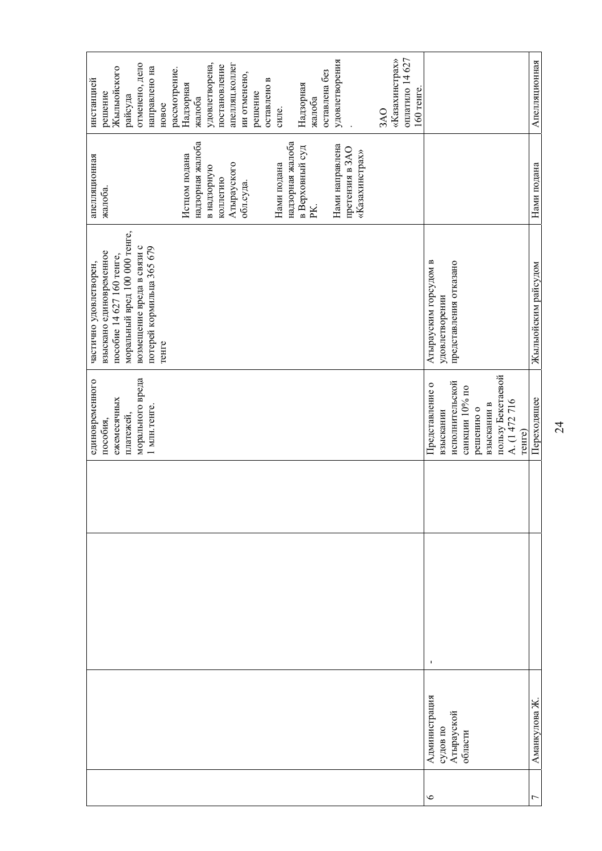|         |                               | единовременного<br>пособия,      | взыскано единовременное<br>частично удовлетворен, | апелляционная<br>жалоба.          | инстанцией<br>решение          |
|---------|-------------------------------|----------------------------------|---------------------------------------------------|-----------------------------------|--------------------------------|
|         |                               | ежемесячных                      | пособие 14 627 160 тенге,                         |                                   | Жылыойского                    |
|         |                               | платежей,                        | моральный вред 100 000 тенге,                     |                                   | райсуда                        |
|         |                               | морального вреда                 | возмещение вреда в связи с                        |                                   | отменено, дело                 |
|         |                               | 1 млн. тенге.                    | потерей кормильца 365 679<br>тенге                |                                   | направлено на<br>новое         |
|         |                               |                                  |                                                   |                                   | рассмотрение.                  |
|         |                               |                                  |                                                   | Истцом подана                     | Надзорная                      |
|         |                               |                                  |                                                   | надзорная жалоба                  | жалоба                         |
|         |                               |                                  |                                                   | в надзорную                       | удовлетворена,                 |
|         |                               |                                  |                                                   | коллегию                          | постановление                  |
|         |                               |                                  |                                                   | Атырауского                       | апелляц.коллег                 |
|         |                               |                                  |                                                   | обл.суда.                         | ии отменено,                   |
|         |                               |                                  |                                                   |                                   | решение                        |
|         |                               |                                  |                                                   |                                   | оставлено в                    |
|         |                               |                                  |                                                   | Нами подана                       | силе.                          |
|         |                               |                                  |                                                   | надзорная жалоба                  |                                |
|         |                               |                                  |                                                   | в Верховный суд                   | Надзорная                      |
|         |                               |                                  |                                                   | PK.                               | жалоба                         |
|         |                               |                                  |                                                   |                                   | оставлена без                  |
|         |                               |                                  |                                                   | Нами направлена                   | удовлетворения                 |
|         |                               |                                  |                                                   | претензия в ЗАО<br>«Казахинстрах» |                                |
|         |                               |                                  |                                                   |                                   |                                |
|         |                               |                                  |                                                   |                                   | 3AO                            |
|         |                               |                                  |                                                   |                                   | «Казахинстрах»                 |
|         |                               |                                  |                                                   |                                   | оплатило 14 627<br>$160$ тенге |
| $\circ$ | $\mathbf{I}$<br>Администрация | Представление о                  | Атырауским горсудом в                             |                                   |                                |
|         | судов по                      | взыскании                        | удовлетворении                                    |                                   |                                |
|         | Атырауской                    | исполнительской                  | представления отказано                            |                                   |                                |
|         | области                       | санкции 10% по                   |                                                   |                                   |                                |
|         |                               | решению о                        |                                                   |                                   |                                |
|         |                               | взыскании в                      |                                                   |                                   |                                |
|         |                               | пользу Бекетаевой<br>A. (1472716 |                                                   |                                   |                                |
|         |                               | тенге)                           |                                                   |                                   |                                |
| Γ       | Аманкулова Ж                  | Переходящее                      | Жылыойским райсудом                               | Нами подана                       | Апелляционная                  |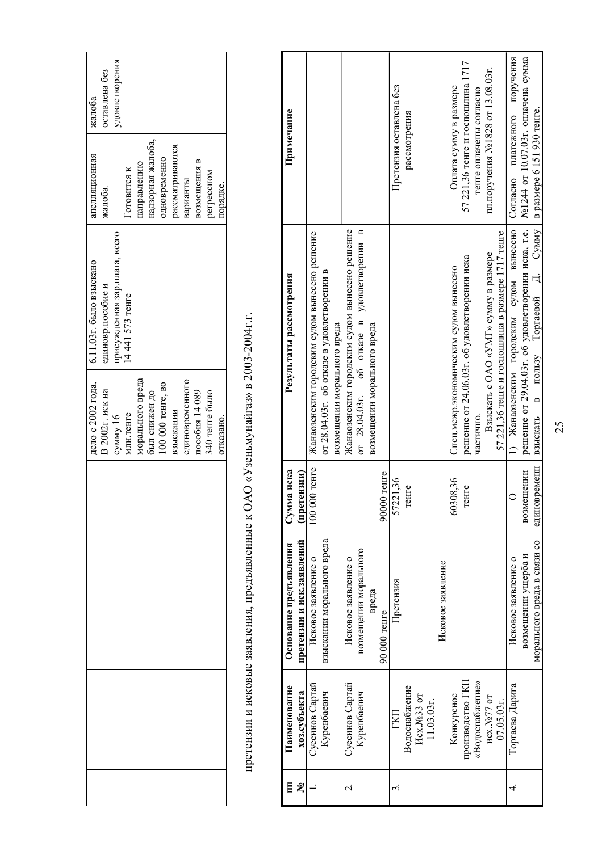| удовлетворения                                  |                  |                   |              |                   |                 |                |                |           |
|-------------------------------------------------|------------------|-------------------|--------------|-------------------|-----------------|----------------|----------------|-----------|
| Готовится к                                     | направлению      | надзорная жалоба, | одновременно | рассматриваются   | варианты        | возмещения в   | регрессном     | порядке.  |
| присужденная зар.плата, всего<br>14441573 тенге |                  |                   |              |                   |                 |                |                |           |
| млн.тенге<br>сумму 16                           | морального вреда | был снижен до     |              | взыскании         | единовременного | пособия 14 089 | 340 тенге было | отказано. |
|                                                 |                  |                   |              |                   |                 |                |                |           |
|                                                 |                  |                   |              |                   |                 |                |                |           |
|                                                 |                  |                   |              |                   |                 |                |                |           |
|                                                 |                  |                   |              |                   |                 |                |                |           |
|                                                 |                  |                   |              | 100 000 тенге, во |                 |                |                |           |

претензии и исковые заявления, предъявленные к ОАО «Узеньмунайгаз» в 2003-2004г.г. претензии и исковые заявления, предъявленные к ОАО «Узеньмунайгаз» в 2003-2004г.г.

| Ē             | Наименование     | Основание предъявления      | Сумма иска    | Результаты рассмотрения                                                                 | Примечание                        |
|---------------|------------------|-----------------------------|---------------|-----------------------------------------------------------------------------------------|-----------------------------------|
| ౽             | хоз.субъекта     | претензии и иск.заявлений   | (претензии)   |                                                                                         |                                   |
|               | Суесинов Сартай  | Исковое заявление о         | 100 000 тенге | Жанаозенским городским судом вынесено решение                                           |                                   |
|               | Куренбаевич      | взыскании морального вреда  |               | от 28.04.03г. об отказе в удовлетворении в                                              |                                   |
|               |                  |                             |               | возмещении морального вреда                                                             |                                   |
| $\dot{\circ}$ | Суесинов Сартай  | Исковое заявление о         |               | Жанаозенским городским судом вынесено решение                                           |                                   |
|               | Куренбаевич      | возмещении морального       |               | об отказе в удовлетворении в<br>or $28.04.03$ r.                                        |                                   |
|               |                  | вреда                       |               | возмещении морального вреда                                                             |                                   |
|               |                  | 90 000 тенге                | 90000 тенге   |                                                                                         |                                   |
|               | ГKП              | Претензия                   | 57221,36      |                                                                                         | Претензия оставлена без           |
|               | Водоснабжение    |                             | reure         |                                                                                         | рассмотрения                      |
|               | Hcx.No33 or      |                             |               |                                                                                         |                                   |
|               | 11.03.03r.       |                             |               |                                                                                         |                                   |
|               |                  | Исковое заявление           |               |                                                                                         |                                   |
|               | Конкурсное       |                             | 60308,36      | Спец.межр.экономическим судом вынесено                                                  | Оплата сумму в размере            |
|               | производство ГКП |                             | снге          | решение от 24.06.03г. об удовлетворении иска                                            | 57 221,36 тенге и госпошлина 1717 |
|               | «Водоснабжение»  |                             |               | частично.                                                                               | тенге оплачены согласно           |
|               | исх.№77 от       |                             |               | Взыскать с ОАО «УМГ» сумму в размере                                                    | пл.поручения №1828 от 13.08.03г.  |
|               | 07.05.03r.       |                             |               | 57 221,36 тенге и госпошлина в размере 1717 тенге                                       |                                   |
|               | Торгаева Дарига  | Исковое заявление о         |               | 1) Жанаозенским городским судом вынесено                                                | Согласно платежного поручения     |
|               |                  | возмещении ущерба и         | возмещении    | решение от 29.04.03г. об удовлетворении иска, т.е.   №1244 от 10.07.03г. оплачена сумма |                                   |
|               |                  | морального вреда в связи со | единовременн  | взыскать в пользу Торгаевой Д. Сумму в размере 6 151 930 тенге.                         |                                   |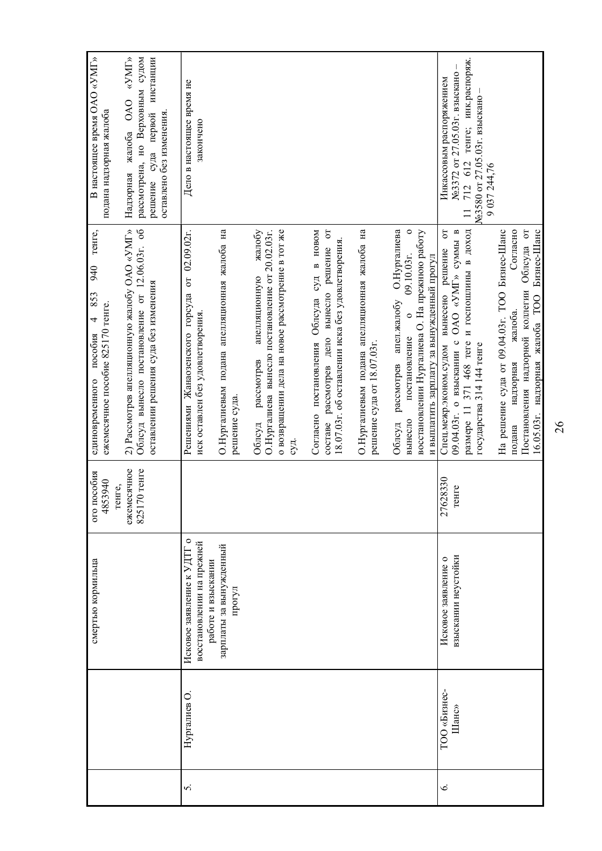|    |              | смертью кормильца                               | пособия<br>4853940<br>010 | тенге,<br>940<br>853<br>ежемесячное пособие 825170 тенге.<br>$\overline{4}$<br>единовременного пособия | В настоящее время ОАО «УМГ»<br>подана надзорная жалоба                 |
|----|--------------|-------------------------------------------------|---------------------------|--------------------------------------------------------------------------------------------------------|------------------------------------------------------------------------|
|    |              |                                                 | ежемесячное<br>тенге,     | 2) Рассмотрев апелляционную жалобу ОАО «УМГ»                                                           | «VMI»<br><b>OAO</b><br>жалоба<br>Надзорная                             |
|    |              |                                                 | $70$ тенге<br>8251        | Облсуд вынесло постановление от 12.06.03г. об<br>оставлении решения суда без изменения                 | рассмотрена, но Верховным судом<br>инстанции<br>суда первой<br>решение |
|    |              |                                                 |                           |                                                                                                        | оставлено без изменения.                                               |
| s. | Нургалиев О  | Исковое заявление к УДТГ о                      |                           | 02.09.02r.<br>$\sigma$<br>Решениями Жанаозенского горсуда                                              | Дело в настоящее время не                                              |
|    |              | восстановлении на прежней<br>работе и взыскании |                           | иск оставлен без удовлетворения.                                                                       | закончено                                                              |
|    |              | зарплаты за вынужденный                         |                           | О.Нургалиевым подана апелляционная жалоба на                                                           |                                                                        |
|    |              | прогул                                          |                           | решение суда.                                                                                          |                                                                        |
|    |              |                                                 |                           | О. Нургалиева вынесло постановление от 20.02.03г.<br>жалобу<br>апелляционную<br>рассмотрев<br>Облсуд   |                                                                        |
|    |              |                                                 |                           | о возвращении дела на новое рассмотрение в тот же                                                      |                                                                        |
|    |              |                                                 |                           | суд.                                                                                                   |                                                                        |
|    |              |                                                 |                           | Согласно постановления Облсуда суд в новом                                                             |                                                                        |
|    |              |                                                 |                           | составе рассмотрев дело вынесло решение от<br>18.07.03г. об оставлении иска без удовлетворения.        |                                                                        |
|    |              |                                                 |                           | О. Нургалиевым подана апелляционная жалоба на                                                          |                                                                        |
|    |              |                                                 |                           | решение суда от 18.07.03г.                                                                             |                                                                        |
|    |              |                                                 |                           | рассмотрев апел.жалобу О.Нургалиева<br>Облсуд                                                          |                                                                        |
|    |              |                                                 |                           | $\circ$<br>09.10.03r.<br>$\circ$<br>постановление<br>вынесло                                           |                                                                        |
|    |              |                                                 |                           | восстановлении Нургалиева О. На прежнюю работу<br>и выплатить зарплату за вынужденный прогул           |                                                                        |
| Ġ. | ТОО «Бизнес- | Исковое заявление о                             | 27628330                  | $\overline{c}$<br>Спецмежр.эконом.судом вынесено решение                                               | Инкассовым распоряжением                                               |
|    | Шанс»        | взыскании неустойки                             | снге                      | 09.04.03г. о взыскании с ОАО «УМГ» суммы в                                                             | №3372 от 27.05.03г. взыскано                                           |
|    |              |                                                 |                           | размере 11 371 468 теге и госпошлины в доход                                                           | 712 612 тенге; инк.распоряж.<br>$\Box$                                 |
|    |              |                                                 |                           | государства 314 144 тенге                                                                              | №3580 от 27.05.03г. взыскано<br>9 037 244,76                           |
|    |              |                                                 |                           | На решение суда от 09.04.03г. ТОО Бизнес-Шанс                                                          |                                                                        |
|    |              |                                                 |                           | Согласно<br>жалоба.<br>надзорная<br>подана                                                             |                                                                        |
|    |              |                                                 |                           | Постановления надзорной коллегии Облсуда от<br>16.05.03г. надзорная жалоба ТОО Бизнес-Шанс             |                                                                        |
|    |              |                                                 |                           |                                                                                                        |                                                                        |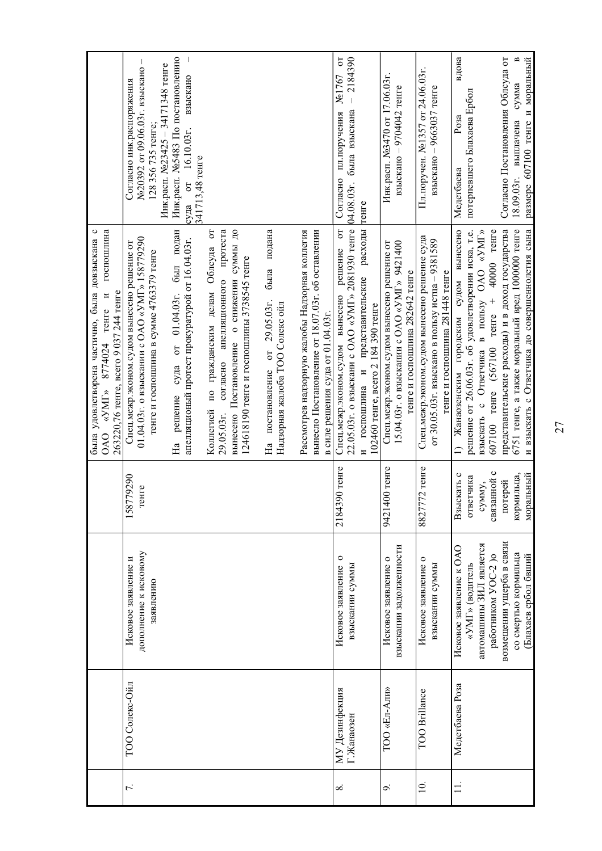|          |                              |                                                           |                         | была удовлетворена частично, была довзыскана с<br>госпошлина<br>263220,76 тенге, всего 9 037 244 тенге<br>$\alpha$ yMT» 8774024 тенге и<br>OAO                                                     |                                                                                                                           |
|----------|------------------------------|-----------------------------------------------------------|-------------------------|----------------------------------------------------------------------------------------------------------------------------------------------------------------------------------------------------|---------------------------------------------------------------------------------------------------------------------------|
| J.       | ТОО Солекс-Ойл               | дополнение к исковому<br>Исковое заявление и<br>заявлению | 179290<br>енге<br>158   | 01.04.03г. о взыскании с ОАО «УМГ» 158779290<br>Спец.межр.эконом.судом вынесено решение от<br>тенге и госпошлина в сумме 4763379 тенге                                                             | I<br>Инк.расп. №23425 - 34171348 тенге<br>№20392 от 09.06.03г. взыскано<br>Согласно инк.распоряжения<br>128 356 735 тенге |
|          |                              |                                                           |                         | был подан<br>апелляционый протест прокуратурой от 16.04.03г.<br>$01.04.03$ r.<br>$\sigma$<br>суда<br>решение<br>Нa                                                                                 | Инк.расп. №5483 По постановлению<br>взыскано<br>от 16.10.03г.<br>341713,48 тенге<br>суда                                  |
|          |                              |                                                           |                         | вынесено Постановление о снижении суммы до<br>протеста<br>5<br>по гражданским делам Облсуда<br>124618190 тенге и госпошлины 3738545 тенге<br>апелляционного<br>согласно<br>Коллегией<br>29.05.03r. |                                                                                                                           |
|          |                              |                                                           |                         | была подана<br>На постановление от 29.05.03г.<br>Надзорная жалоба ТОО Солекс ойл                                                                                                                   |                                                                                                                           |
|          |                              |                                                           |                         | Рассмотрев надзорную жалобы Надзорная коллегия<br>вынесло Постановление от 18.07.03г. об оставлении<br>в силе решения суда от 01.04.03г.                                                           |                                                                                                                           |
| $\infty$ | МУ Дезинфекция<br>Г.Жанаозен | $\circ$<br>Исковое заявление<br>взыскании суммы           | 390 тенге<br>21843      | 22.05.03г. о взыскани с ОАО «УМГ» 2081930 тенге<br>$\overline{c}$<br>решение<br>Спец.межр.эконом.судом вынесено                                                                                    | $\overline{5}$<br>$-2184390$<br>No1767<br>была взыскана<br>пл.поручения<br>Согласно<br>04.08.03r.                         |
|          |                              |                                                           |                         | расходы<br>представительские<br>102460 тенге, всего 2 184 390 тенге<br>госпошлина и                                                                                                                | тенге                                                                                                                     |
| ٩        | TOO «Ел-Али»                 | взыскании задолженности<br>Исковое заявление о            | 9421400 тенге           | 15.04.03г. о взыскании с ОАО «УМГ» 9421400<br>Спец.межр.эконом.судом вынесено решение от<br>тенге и госпошлина 282642 тенге                                                                        | Инк.расп. №3470 от 17.06.03г.<br>взыскано - 9704042 тенге                                                                 |
| $\Xi$    | TOO Brillance                | $\circ$<br>Исковое заявление<br>взыскании суммы           | $772$ тенге<br>8827     | Спец.межр.эконом.судом вынесено решение суда<br>от 30.05.03г. взыскано в пользу истца - 9381589<br>тенге и госпошлина 281448 тенге                                                                 | Пл. поручен. №1357 от 24.06.03г.<br>взыскано - 9663037 тенге                                                              |
| $\equiv$ | Медетбаева Роза              | Исковое заявление к ОАО<br>«УМГ» (водитель                | Взыскать с<br>ответчика | решение от 26.06.03г. об удовлетворении иска, т.е.<br>Жанаозенским городским судом вынесено<br>$\Box$                                                                                              | вдова<br>потерпевшего Блахаева Ербол<br>Posa<br>Медетбаева                                                                |
|          |                              | автомашины ЗИЛ является<br>работником УОС-2 )о            | связанной с<br>сумму,   | 607100 тенге (567100 тенге + 40000 тенге<br>взыскать с Ответчика в пользу ОАО «УМГ»                                                                                                                |                                                                                                                           |
|          |                              | возмещении ущерба в связи                                 | потерей                 | представительские расходы) и в доход государства                                                                                                                                                   | Согласно Постановления Облсуда от                                                                                         |
|          |                              | со смертью кормильца<br>(Блахаев ербол бвший              | кормильца,<br>моральный | 6751 тенге, а также моральный вред 1000000 тенге<br>и взыскать с Ответчика до совершеннолетия сына                                                                                                 | B<br>размере 607100 тенге и моральный<br>сумма<br>выплачена<br>18.09.03r.                                                 |
|          |                              |                                                           |                         |                                                                                                                                                                                                    |                                                                                                                           |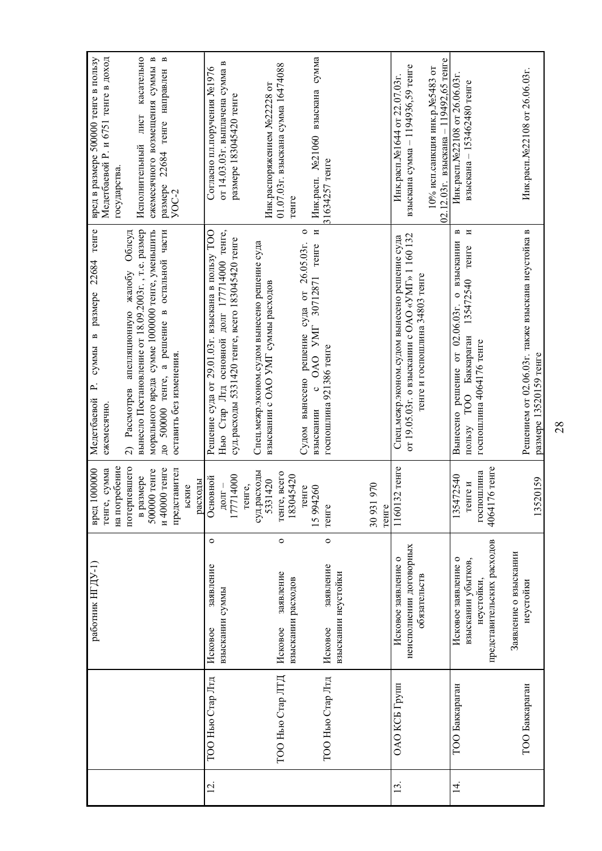| 02.12.03г. взыскана - 119492,65 тенге<br>Инк.расп.№22108 от 26.06.03г.<br>размере 183045420 тенге<br>лист<br>Исполнительный<br>22684<br>31634257 тенге<br>pasmepe<br>$YOC-2$<br>тенге<br>а решение в остальной части<br>Нью Стар Лтд основной долг 177714000 тенге,<br>N<br>вынесло Постановление от 18.09.2003г., т.е. размер<br>морального вреда сумме 1000000 тенге, уменьшить<br>В<br>И<br>Решением от 02.06.03г. также взыскана неустойка в<br>Решение суда от 29.01.03г. взыскана в пользу ТОО<br>$\circ$<br>жалобу Облсуд<br>от 19.05.03г. о взыскании с ОАО «УМГ» 1 160 132<br>Спец.межр.эконом.судом вынесено решение суда<br>суд.расходы 5331420 тенге, всего 183045420 тенге<br>Спец.межр.эконом.судом вынесено решение суда<br>о взыскании<br>решение суда от 26.05.03г.<br>30712871 тенге<br>TeHTe<br>тенге и госпошлина 34803 тенге<br>135472540<br>взыскании с ОАО УМГ суммы расходов<br>решение от 02.06.03г.<br>2) Рассмотрев апелляционную<br>c OAO YMT<br>Баккараган<br>госпошлина 4064176 тенге<br>госпошлина 921386 тенге<br>оставить без изменения<br>размере 13520159 тенге<br>Судом вынесено<br>500000 тенге,<br>TO <sub>O</sub><br>взыскании<br>Вынесено<br>пользу<br>$\overline{A}$<br>потерпевшего<br>1160132 тенге<br>176 тенге<br>и 40000 тенге<br>500000 тенге<br>представител<br>суд.расходы<br>госпошлина<br>тенге, всего<br>183045420<br>177714000<br>135472540<br>в размере<br>Основной<br>520159<br>5331420<br>расходы<br>тенге и<br>30931970<br>$\mbox{LOIT}$ $-$<br>reнге,<br>ьские<br>15994260<br>тенге<br>тенге<br>тенге<br>4064<br>$\overline{13}$<br>$\circ$<br>$\circ$<br>$\circ$<br>представительских расходов<br>неисполнении договорных<br>Заявление о взыскании<br>Исковое заявление о<br>Исковое заявление о<br>взыскании убытков,<br>заявление<br>заявление<br>заявление<br>взыскании неустойки<br>обязательств<br>взыскании расходов<br>неустойки,<br>неустойки<br>взыскании суммы<br>Исковое<br>Исковое<br>Исковое<br>ТОО Нью Стар ЛТД<br>ТОО Нью Стар Лтд<br>ТОО Нью Стар Лтд<br>ОАО КСБ Групп<br>ТОО Баккараган<br>ТОО Баккараган<br>Ξ.<br>$\vec{4}$<br>13. |  | работник НГДУ-1) | на погребение<br>вред 1000000<br>тенге, сумма | тенге<br>размере 22684<br>$\mathbf{a}$<br>суммы<br>$\dot{=}$<br>Медетбаевой<br>ежемесячно | вред в размере 500000 тенге в пользу<br>Медетбаевой Р. и 6751 тенге в доход<br>государства. |
|-----------------------------------------------------------------------------------------------------------------------------------------------------------------------------------------------------------------------------------------------------------------------------------------------------------------------------------------------------------------------------------------------------------------------------------------------------------------------------------------------------------------------------------------------------------------------------------------------------------------------------------------------------------------------------------------------------------------------------------------------------------------------------------------------------------------------------------------------------------------------------------------------------------------------------------------------------------------------------------------------------------------------------------------------------------------------------------------------------------------------------------------------------------------------------------------------------------------------------------------------------------------------------------------------------------------------------------------------------------------------------------------------------------------------------------------------------------------------------------------------------------------------------------------------------------------------------------------------------------------------------------------------------------------------------------------------------------------------------------------------------------------------------------------------------------------------------------------------------------------------------------------------------------------------------------------------------------------------------------------------------------------------------------------------------------------------------------------------------------------|--|------------------|-----------------------------------------------|-------------------------------------------------------------------------------------------|---------------------------------------------------------------------------------------------|
|                                                                                                                                                                                                                                                                                                                                                                                                                                                                                                                                                                                                                                                                                                                                                                                                                                                                                                                                                                                                                                                                                                                                                                                                                                                                                                                                                                                                                                                                                                                                                                                                                                                                                                                                                                                                                                                                                                                                                                                                                                                                                                                 |  |                  |                                               |                                                                                           |                                                                                             |
|                                                                                                                                                                                                                                                                                                                                                                                                                                                                                                                                                                                                                                                                                                                                                                                                                                                                                                                                                                                                                                                                                                                                                                                                                                                                                                                                                                                                                                                                                                                                                                                                                                                                                                                                                                                                                                                                                                                                                                                                                                                                                                                 |  |                  |                                               |                                                                                           | касательно<br>$\mathbf{m}$<br>ежемесячного возмещения суммы                                 |
|                                                                                                                                                                                                                                                                                                                                                                                                                                                                                                                                                                                                                                                                                                                                                                                                                                                                                                                                                                                                                                                                                                                                                                                                                                                                                                                                                                                                                                                                                                                                                                                                                                                                                                                                                                                                                                                                                                                                                                                                                                                                                                                 |  |                  |                                               |                                                                                           | B<br>тенге направлен                                                                        |
|                                                                                                                                                                                                                                                                                                                                                                                                                                                                                                                                                                                                                                                                                                                                                                                                                                                                                                                                                                                                                                                                                                                                                                                                                                                                                                                                                                                                                                                                                                                                                                                                                                                                                                                                                                                                                                                                                                                                                                                                                                                                                                                 |  |                  |                                               |                                                                                           |                                                                                             |
|                                                                                                                                                                                                                                                                                                                                                                                                                                                                                                                                                                                                                                                                                                                                                                                                                                                                                                                                                                                                                                                                                                                                                                                                                                                                                                                                                                                                                                                                                                                                                                                                                                                                                                                                                                                                                                                                                                                                                                                                                                                                                                                 |  |                  |                                               |                                                                                           |                                                                                             |
|                                                                                                                                                                                                                                                                                                                                                                                                                                                                                                                                                                                                                                                                                                                                                                                                                                                                                                                                                                                                                                                                                                                                                                                                                                                                                                                                                                                                                                                                                                                                                                                                                                                                                                                                                                                                                                                                                                                                                                                                                                                                                                                 |  |                  |                                               |                                                                                           | Согласно пл.поручения №1976                                                                 |
|                                                                                                                                                                                                                                                                                                                                                                                                                                                                                                                                                                                                                                                                                                                                                                                                                                                                                                                                                                                                                                                                                                                                                                                                                                                                                                                                                                                                                                                                                                                                                                                                                                                                                                                                                                                                                                                                                                                                                                                                                                                                                                                 |  |                  |                                               |                                                                                           | от 14.03.03г. выплачена сумма в                                                             |
|                                                                                                                                                                                                                                                                                                                                                                                                                                                                                                                                                                                                                                                                                                                                                                                                                                                                                                                                                                                                                                                                                                                                                                                                                                                                                                                                                                                                                                                                                                                                                                                                                                                                                                                                                                                                                                                                                                                                                                                                                                                                                                                 |  |                  |                                               |                                                                                           |                                                                                             |
|                                                                                                                                                                                                                                                                                                                                                                                                                                                                                                                                                                                                                                                                                                                                                                                                                                                                                                                                                                                                                                                                                                                                                                                                                                                                                                                                                                                                                                                                                                                                                                                                                                                                                                                                                                                                                                                                                                                                                                                                                                                                                                                 |  |                  |                                               |                                                                                           |                                                                                             |
|                                                                                                                                                                                                                                                                                                                                                                                                                                                                                                                                                                                                                                                                                                                                                                                                                                                                                                                                                                                                                                                                                                                                                                                                                                                                                                                                                                                                                                                                                                                                                                                                                                                                                                                                                                                                                                                                                                                                                                                                                                                                                                                 |  |                  |                                               |                                                                                           | Инк.распоряжением №22228 от                                                                 |
|                                                                                                                                                                                                                                                                                                                                                                                                                                                                                                                                                                                                                                                                                                                                                                                                                                                                                                                                                                                                                                                                                                                                                                                                                                                                                                                                                                                                                                                                                                                                                                                                                                                                                                                                                                                                                                                                                                                                                                                                                                                                                                                 |  |                  |                                               |                                                                                           | 01.07.03г. взыскана сумма 16474088                                                          |
|                                                                                                                                                                                                                                                                                                                                                                                                                                                                                                                                                                                                                                                                                                                                                                                                                                                                                                                                                                                                                                                                                                                                                                                                                                                                                                                                                                                                                                                                                                                                                                                                                                                                                                                                                                                                                                                                                                                                                                                                                                                                                                                 |  |                  |                                               |                                                                                           |                                                                                             |
|                                                                                                                                                                                                                                                                                                                                                                                                                                                                                                                                                                                                                                                                                                                                                                                                                                                                                                                                                                                                                                                                                                                                                                                                                                                                                                                                                                                                                                                                                                                                                                                                                                                                                                                                                                                                                                                                                                                                                                                                                                                                                                                 |  |                  |                                               |                                                                                           | Инк.расп. №21060 взыскана сумма                                                             |
|                                                                                                                                                                                                                                                                                                                                                                                                                                                                                                                                                                                                                                                                                                                                                                                                                                                                                                                                                                                                                                                                                                                                                                                                                                                                                                                                                                                                                                                                                                                                                                                                                                                                                                                                                                                                                                                                                                                                                                                                                                                                                                                 |  |                  |                                               |                                                                                           |                                                                                             |
|                                                                                                                                                                                                                                                                                                                                                                                                                                                                                                                                                                                                                                                                                                                                                                                                                                                                                                                                                                                                                                                                                                                                                                                                                                                                                                                                                                                                                                                                                                                                                                                                                                                                                                                                                                                                                                                                                                                                                                                                                                                                                                                 |  |                  |                                               |                                                                                           |                                                                                             |
|                                                                                                                                                                                                                                                                                                                                                                                                                                                                                                                                                                                                                                                                                                                                                                                                                                                                                                                                                                                                                                                                                                                                                                                                                                                                                                                                                                                                                                                                                                                                                                                                                                                                                                                                                                                                                                                                                                                                                                                                                                                                                                                 |  |                  |                                               |                                                                                           |                                                                                             |
|                                                                                                                                                                                                                                                                                                                                                                                                                                                                                                                                                                                                                                                                                                                                                                                                                                                                                                                                                                                                                                                                                                                                                                                                                                                                                                                                                                                                                                                                                                                                                                                                                                                                                                                                                                                                                                                                                                                                                                                                                                                                                                                 |  |                  |                                               |                                                                                           |                                                                                             |
|                                                                                                                                                                                                                                                                                                                                                                                                                                                                                                                                                                                                                                                                                                                                                                                                                                                                                                                                                                                                                                                                                                                                                                                                                                                                                                                                                                                                                                                                                                                                                                                                                                                                                                                                                                                                                                                                                                                                                                                                                                                                                                                 |  |                  |                                               |                                                                                           | взыскана сумма - 1194936,59 тенге<br>Инк.расп.№1644 от 22.07.03г.                           |
|                                                                                                                                                                                                                                                                                                                                                                                                                                                                                                                                                                                                                                                                                                                                                                                                                                                                                                                                                                                                                                                                                                                                                                                                                                                                                                                                                                                                                                                                                                                                                                                                                                                                                                                                                                                                                                                                                                                                                                                                                                                                                                                 |  |                  |                                               |                                                                                           | 10% исп. санкция инк. р. №5483 от                                                           |
|                                                                                                                                                                                                                                                                                                                                                                                                                                                                                                                                                                                                                                                                                                                                                                                                                                                                                                                                                                                                                                                                                                                                                                                                                                                                                                                                                                                                                                                                                                                                                                                                                                                                                                                                                                                                                                                                                                                                                                                                                                                                                                                 |  |                  |                                               |                                                                                           | Инк.расп.№22108 от 26.06.03г.                                                               |
|                                                                                                                                                                                                                                                                                                                                                                                                                                                                                                                                                                                                                                                                                                                                                                                                                                                                                                                                                                                                                                                                                                                                                                                                                                                                                                                                                                                                                                                                                                                                                                                                                                                                                                                                                                                                                                                                                                                                                                                                                                                                                                                 |  |                  |                                               |                                                                                           | взыскана - 153462480 тенге                                                                  |
|                                                                                                                                                                                                                                                                                                                                                                                                                                                                                                                                                                                                                                                                                                                                                                                                                                                                                                                                                                                                                                                                                                                                                                                                                                                                                                                                                                                                                                                                                                                                                                                                                                                                                                                                                                                                                                                                                                                                                                                                                                                                                                                 |  |                  |                                               |                                                                                           |                                                                                             |
|                                                                                                                                                                                                                                                                                                                                                                                                                                                                                                                                                                                                                                                                                                                                                                                                                                                                                                                                                                                                                                                                                                                                                                                                                                                                                                                                                                                                                                                                                                                                                                                                                                                                                                                                                                                                                                                                                                                                                                                                                                                                                                                 |  |                  |                                               |                                                                                           |                                                                                             |
|                                                                                                                                                                                                                                                                                                                                                                                                                                                                                                                                                                                                                                                                                                                                                                                                                                                                                                                                                                                                                                                                                                                                                                                                                                                                                                                                                                                                                                                                                                                                                                                                                                                                                                                                                                                                                                                                                                                                                                                                                                                                                                                 |  |                  |                                               |                                                                                           |                                                                                             |
|                                                                                                                                                                                                                                                                                                                                                                                                                                                                                                                                                                                                                                                                                                                                                                                                                                                                                                                                                                                                                                                                                                                                                                                                                                                                                                                                                                                                                                                                                                                                                                                                                                                                                                                                                                                                                                                                                                                                                                                                                                                                                                                 |  |                  |                                               |                                                                                           |                                                                                             |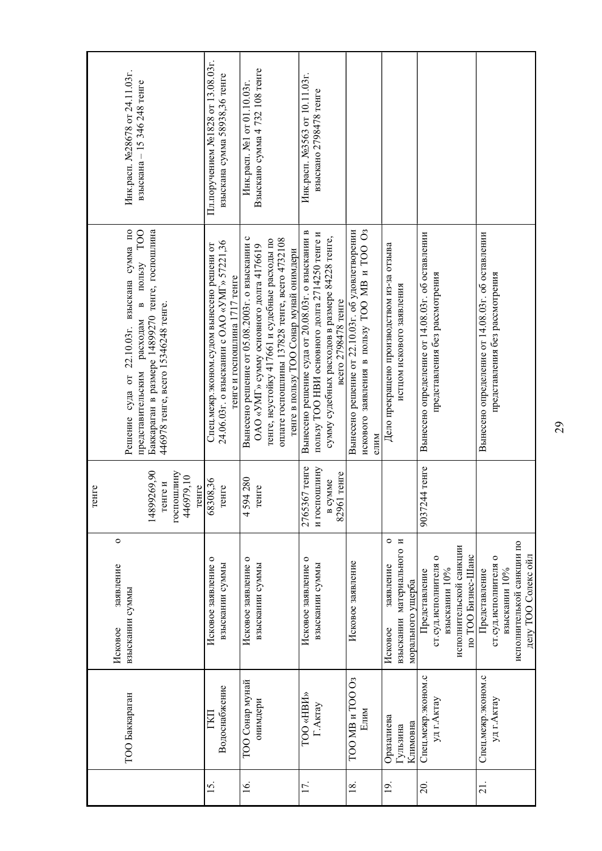| Инк.расп. №28678 от 24.11.03г.<br>взыскана - 15 346 248 тенге<br>в пользу ТОО                                                                                        | Пл. поручением №1828 от 13.08.03г.<br>взыскана сумма 58938,36 тенге                                                       | Взыскано сумма 4 732 108 тенге<br>Инк.расп. №1 от 01.10.03г.                                                                                                                                                                           | Инк.расп. №3563 от 10.11.03г.<br>взыскано 2798478 тенге                                                                                                                      |                                                                                                         |                                                                                   |                                                                                                            |                                                                                                               |
|----------------------------------------------------------------------------------------------------------------------------------------------------------------------|---------------------------------------------------------------------------------------------------------------------------|----------------------------------------------------------------------------------------------------------------------------------------------------------------------------------------------------------------------------------------|------------------------------------------------------------------------------------------------------------------------------------------------------------------------------|---------------------------------------------------------------------------------------------------------|-----------------------------------------------------------------------------------|------------------------------------------------------------------------------------------------------------|---------------------------------------------------------------------------------------------------------------|
| Решение суда от 22.10.03г. взыскана сумма по<br>Баккараган в размере 14899270 тенге, госпошлина<br>446978 тенге, всего 15346248 тенге.<br>представительским расходам | 24.06.03г. о взыскании с ОАО «УМГ» 57221,36<br>Спец.межр.эконом.судом вынесено решени от<br>тенге и госпошлина 1717 тенге | Вынесено решение от 05.08.2003г. о взыскании с<br>оплате госпошлины 137828 тенге, всего 4732108<br>тенге, неустойку 417661 и судебные расходы по<br>ОАО «УМГ» сумму основного долга 4176619<br>тенге в пользу ТОО Сонар мунай онимдери | Вынесено решение суда от 20.08.03г. о взыскании в<br>пользу ТОО НВИ основного долга 2714250 тенге и<br>сумму судебных расходов в размере 84228 тенге,<br>всего 2798478 тенге | искового заявления в пользу ТОО МВ и ТОО Оз<br>Вынесено решение от 22.10.03г. об удовлетворении<br>ethn | Дело прекращено производством из-за отзыва<br>истцом искового заявления           | Вынесено определение от 14.08.03г. об оставлении<br>представления без рассмотрения                         | Вынесено определение от 14.08.03г. об оставлении<br>представления без рассмотрения                            |
| 14899269,90<br>госпошлину<br>446979,10<br>тенге и<br>тенге<br>reнге                                                                                                  | 68308,36<br>генге                                                                                                         | 4594280<br>генге                                                                                                                                                                                                                       | 2765367 тенге<br>и госпошлину<br>82961 тенге<br>в сумме                                                                                                                      |                                                                                                         |                                                                                   | 9037244 тенге                                                                                              |                                                                                                               |
| $\circ$<br>заявление<br>взыскании суммы<br>Исковое                                                                                                                   | $\circ$<br>Исковое заявление<br>взыскании суммы                                                                           | Исковое заявление о<br>взыскании суммы                                                                                                                                                                                                 | Исковое заявление о<br>взыскании суммы                                                                                                                                       | Исковое заявление                                                                                       | $\circ$<br>взыскании материального и<br>заявление<br>морального ущерба<br>Исковое | исполнительской санкции<br>по ТОО Бизнес-Шанс<br>0<br>ст.суд.исполнителя<br>взыскании 10%<br>Представление | исполнителькой санкции по<br>делу ТОО Солекс ойл<br>0<br>ст.суд.исполнителя<br>взыскании 10%<br>Представление |
| ТОО Баккараган                                                                                                                                                       | Водоснабжение<br>ГKП                                                                                                      | ТОО Сонар мунай<br>онимдери                                                                                                                                                                                                            | TOO «HBIA»<br>Г.Актау                                                                                                                                                        | ТОО МВ и ТОО Оз<br>Елим                                                                                 | Оразалиева<br>Климовна<br>Гульзина                                                | Спец.межр.эконом.с<br>уд г.Актау                                                                           | Спец.межр.эконом.с<br>уд г.Актау                                                                              |
|                                                                                                                                                                      | <u>15</u>                                                                                                                 | $\overline{16}$ .                                                                                                                                                                                                                      | 17.                                                                                                                                                                          | 18.                                                                                                     | $\overline{19}$ .                                                                 | 20.                                                                                                        | $\overline{21}$ .                                                                                             |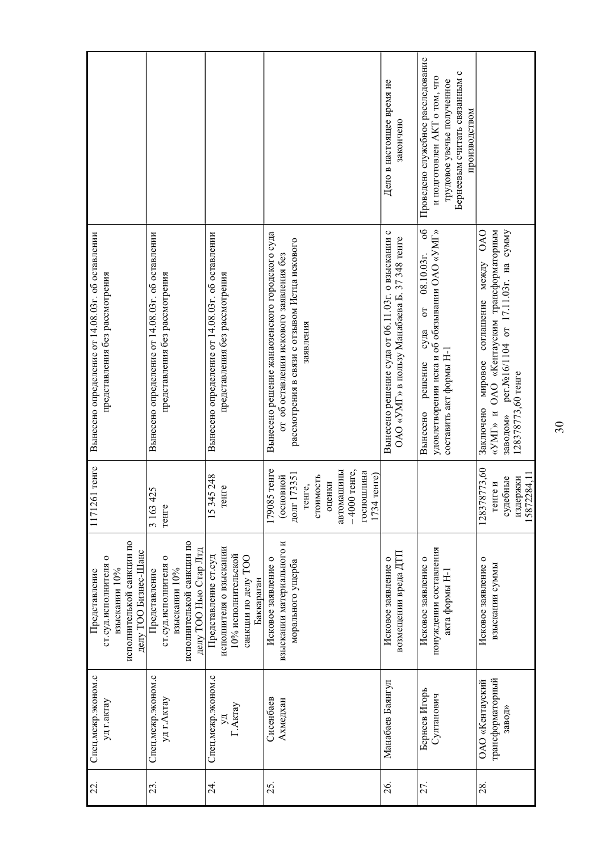|                                                                                                                      |                                                                                                                 |                                                                                                             |                                                                                                                                                         | Дело в настоящее время не<br>закончено                                                            | Проведено служебное расследование<br>Бернеевым считать связанным с<br>и подготовлен АКТ о том, что<br>трудовое увечье полученное<br>производством<br>8 <sup>o</sup> |                                                                                                                                                                                 |
|----------------------------------------------------------------------------------------------------------------------|-----------------------------------------------------------------------------------------------------------------|-------------------------------------------------------------------------------------------------------------|---------------------------------------------------------------------------------------------------------------------------------------------------------|---------------------------------------------------------------------------------------------------|---------------------------------------------------------------------------------------------------------------------------------------------------------------------|---------------------------------------------------------------------------------------------------------------------------------------------------------------------------------|
| Вынесено определение от 14.08.03г. об оставлении<br>представления без рассмотрения                                   | Вынесено определение от 14.08.03г. об оставлении<br>представления без рассмотрения                              | Вынесено определение от 14.08.03г. об оставлении<br>представления без рассмотрения                          | Вынесено решение жанаозенского городского суда<br>рассмотрения в связи с отзывом Истца искового<br>от об оставлении искового заявления без<br>заявления | Вынесено решение суда от 06.11.03г. о взыскании с<br>ОАО «УМГ» в пользу Манабаева Б. 37 348 тенге | удовлетворении иска и об обязывании ОАО «УМГ»<br>$08.10.03$ r.<br>$\sigma$<br>суда<br>составить акт формы Н-1<br>решение<br>Вынесено                                | «УМГ» и ОАО «Кентауским трансформаторным<br><b>OAO</b><br>рег. №16/1104 от 17.11.03г. на сумму<br>между<br>соглашение<br>мировое<br>128378773,60 тенге<br>Заключено<br>заводом» |
| 261 тенге<br>1171                                                                                                    | 425<br>3163<br>тенге                                                                                            | 345248<br>тенге<br>15                                                                                       | 179085 тенге<br>– 4000 тенге,<br>автомашины<br>госпошлина<br>долг 173351<br>стоимость<br>1734 тенге)<br>(основной<br>оценки<br>генге,<br>Ë              |                                                                                                   |                                                                                                                                                                     | 128378773,60<br>15872284,11<br>судебные<br>издержки<br>тенге и                                                                                                                  |
| исполнителькой санкции по<br>делу ТОО Бизнес-Шанс<br>$\circ$<br>ст.суд.исполнителя<br>взыскании 10%<br>Представление | исполнителькой санкции по<br>делу ТОО Нью Стар Лтд<br>0<br>ст.суд.исполнителя<br>взыскании 10%<br>Представление | исполнителя о взыскании<br>10% исполнительской<br>Представление ст.суд<br>санкции по делу ТОО<br>Баккараган | взыскании материального и<br>Исковое заявление о<br>морального ущерба                                                                                   | возмещении вреда ДТП<br>Исковое заявление о                                                       | понуждении составления<br>Исковое заявление о<br>акта формы Н-1                                                                                                     | Исковое заявление о<br>взыскании суммы                                                                                                                                          |
| Спец.межр.эконом.с<br>уд г.актау                                                                                     | Спец.межр.эконом.с<br>уд г.Актау                                                                                | Спец.межр.эконом.с<br>Г.Актау                                                                               | Сисенбаев<br>Ахмедхан                                                                                                                                   | Манабаев Баянгул                                                                                  | Бернеев Игорь<br>Султанович                                                                                                                                         | трансформаторный<br>ОАО «Кентауский<br>завод»                                                                                                                                   |
| 22.                                                                                                                  | 23                                                                                                              | $\overline{24}$                                                                                             | 25.                                                                                                                                                     | 26.                                                                                               | 27.                                                                                                                                                                 | 28.                                                                                                                                                                             |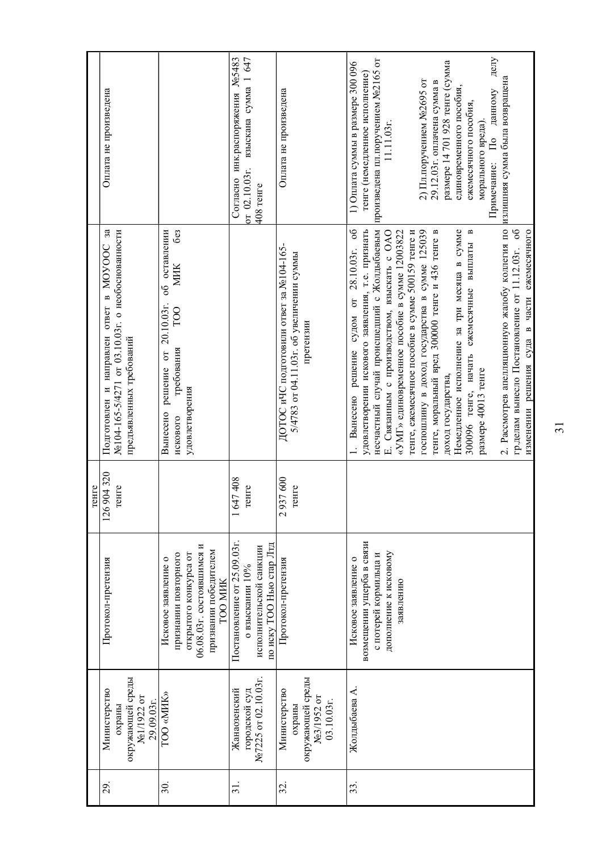|                 |                                              |                                                     | тенге                |                                                                                               |                                                    |
|-----------------|----------------------------------------------|-----------------------------------------------------|----------------------|-----------------------------------------------------------------------------------------------|----------------------------------------------------|
| $\overline{29}$ | Министерство<br>охраны                       | Протокол-претензия                                  | 126 904 320<br>тенге | Подготовлен и направлен ответ в МОУООС за<br>№104-165-5/4271 от 03.10.03г. о необоснованности | Оплата не произведена                              |
|                 | окружающей среды<br>№1/1922 от<br>29.09.03r. |                                                     |                      | предъявленных требований                                                                      |                                                    |
| 30.             | TOO «MIIK»                                   | Исковое заявление о                                 |                      | об оставлении<br>20.10.03r.<br>$\sigma$<br>решение<br>Вынесено                                |                                                    |
|                 |                                              | признании повторного                                |                      | <b>be3</b><br><b>MIIK</b><br>TO <sub>O</sub><br>требования<br>искового                        |                                                    |
|                 |                                              | 06.08.03г. состоявшимся и<br>открытого конкурса от  |                      | удовлетворения                                                                                |                                                    |
|                 |                                              | признании победителем<br><b>TOO MIK</b>             |                      |                                                                                               |                                                    |
| $\overline{31}$ | Жанаозенский                                 | Постановление от 25.09.03г.                         | 647408               |                                                                                               | Согласно инк.распоряжения №5483                    |
|                 | городской суд                                | о взыскании $10\%$                                  | тенге                |                                                                                               | 1647<br>взыскана сумма 1<br>or $02.10.03$ r.       |
|                 | No.7225 or 02.10.03r.                        | по иску ТОО Нью стар Лтд<br>исполнительской санкции |                      |                                                                                               | 408 тенге                                          |
| 32.             | Министерство                                 | Протокол-претензия                                  | 2937600              | ДОТОС иЧС подготовили ответ за №104-165-                                                      | Оплата не произведена                              |
|                 | охраны                                       |                                                     | тенге                | 5/4783 от 04.11.03г. об увеличении суммы                                                      |                                                    |
|                 | окружающей среды<br>№3/1952 от               |                                                     |                      | претензии                                                                                     |                                                    |
|                 | 03.10.03r.                                   |                                                     |                      |                                                                                               |                                                    |
| 33.             | Жолдыбаева А.                                | Исковое заявление о                                 |                      | 1. Вынесено решение судом от 28.10.03г. об                                                    | 1) Оплата суммы в размере 300 096                  |
|                 |                                              | возмещении ущерба в связи                           |                      | удовлетворении искового заявления, т.е. признать                                              | тенге (немедленное исполнение)                     |
|                 |                                              | с потерей кормильца и                               |                      | несчастный случай происшедший с Жолдыбаевым                                                   | произведена пл.поручением №2165 от                 |
|                 |                                              | дополнение к исковому                               |                      | Е. Связанным с производством, взыскать с ОАО                                                  | 11.11.03r.                                         |
|                 |                                              | заявлению                                           |                      | «УМГ» единовременное пособие в сумме 12003822                                                 |                                                    |
|                 |                                              |                                                     |                      | тенге, ежемесячное пособие в сумме 500159 тенге и                                             |                                                    |
|                 |                                              |                                                     |                      | госпошлину в доход государства в сумме 125039                                                 | 2) Пл.поручением №2695 от                          |
|                 |                                              |                                                     |                      | тенге, моральный вред 300000 тенге и 436 тенге в                                              | 29.12.03г. оплачена сумма в                        |
|                 |                                              |                                                     |                      | доход государства,                                                                            | размере 14 701 928 тенге (сумма                    |
|                 |                                              |                                                     |                      | Немедленное исполнение за три месяца в сумме                                                  | единовременного пособия,                           |
|                 |                                              |                                                     |                      | $\blacksquare$<br>ежемесячные выплаты<br>300096 тенге, начать                                 | ежемесячного пособия,                              |
|                 |                                              |                                                     |                      | размере 40013 тенге                                                                           | морального вреда).                                 |
|                 |                                              |                                                     |                      |                                                                                               | делу<br>данному<br>$\overline{\Pi}$<br>Примечание: |
|                 |                                              |                                                     |                      | 2. Рассмотрев апелляционную жалобу коллегия по                                                | излишняя сумма была возвращена                     |
|                 |                                              |                                                     |                      | гр.делам вынесло Постановление от 11.12.03г. об                                               |                                                    |
|                 |                                              |                                                     |                      | изменении решения суда в части ежемесячного                                                   |                                                    |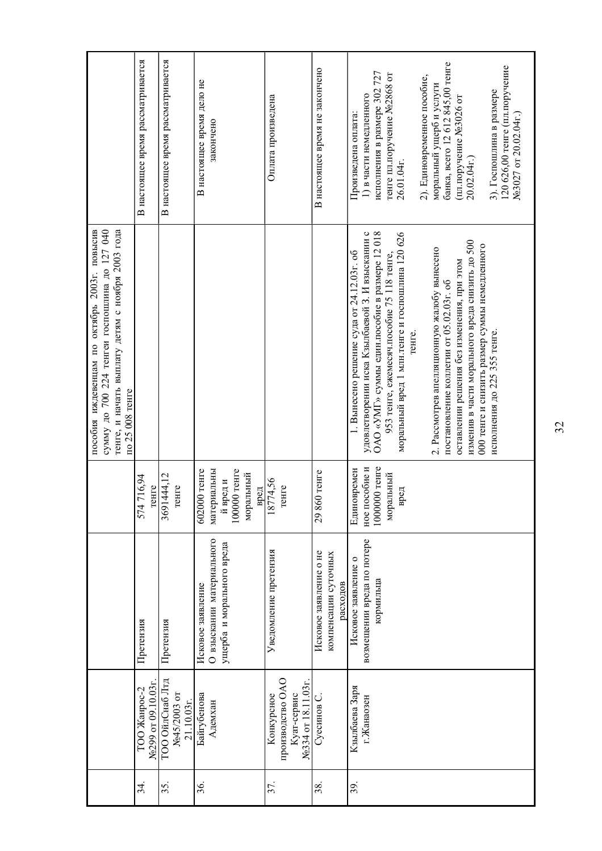|     |                                                                    |                                                                             |                                                                              | пособия иждевенцам по октябрь 2003г. повысив<br>сумму до 700 224 тенгеи госпошлина до 127 040<br>тенге, и начать выплату детям с ноября 2003 года<br>по 25 008 тенге                                                                                                                                                                                                                                                                                                                                                                  |                                                                                                                                                                                                                                                                                                                                                             |
|-----|--------------------------------------------------------------------|-----------------------------------------------------------------------------|------------------------------------------------------------------------------|---------------------------------------------------------------------------------------------------------------------------------------------------------------------------------------------------------------------------------------------------------------------------------------------------------------------------------------------------------------------------------------------------------------------------------------------------------------------------------------------------------------------------------------|-------------------------------------------------------------------------------------------------------------------------------------------------------------------------------------------------------------------------------------------------------------------------------------------------------------------------------------------------------------|
| 34  | No299 or 09.10.03r<br>ТОО Жанрос-2                                 | Претензия                                                                   | 716,94<br>снге<br>574                                                        |                                                                                                                                                                                                                                                                                                                                                                                                                                                                                                                                       | В настоящее время рассматривается                                                                                                                                                                                                                                                                                                                           |
| 35. | ТОО ОйлСнаб Лтд<br>№45/2003 от<br>21.10.03r.                       | Претензия                                                                   | 3691444,12<br>reнre                                                          |                                                                                                                                                                                                                                                                                                                                                                                                                                                                                                                                       | В настоящее время рассматривается                                                                                                                                                                                                                                                                                                                           |
| 36. | Байгубенова<br>Адемхан                                             | О взыскании материального<br>ущерба и морального вреда<br>Исковое заявление | 100000 тенге<br>602000 тенге<br>материальны<br>моральный<br>й вред и<br>вред |                                                                                                                                                                                                                                                                                                                                                                                                                                                                                                                                       | В настоящее время дело не<br>закончено                                                                                                                                                                                                                                                                                                                      |
| 57. | производство ОАО<br>№334 от 18.11.03г<br>Конкурсное<br>Куат-сервис | Уведомление претензия                                                       | 18774,56<br>снге                                                             |                                                                                                                                                                                                                                                                                                                                                                                                                                                                                                                                       | Оплата произведена                                                                                                                                                                                                                                                                                                                                          |
| 38. | Суесинов С                                                         | Исковое заявление о не<br>компенсации суточных<br>расходов                  | 29 860 тенге                                                                 |                                                                                                                                                                                                                                                                                                                                                                                                                                                                                                                                       | В настоящее время не закончено                                                                                                                                                                                                                                                                                                                              |
| 39. | Кзылбаева Заря<br>г.Жанаозен                                       | возмещении вреда по потере<br>Исковое заявление о<br>кормильца              | 1000000 тенге<br>ное пособие и<br>Единовремен<br>моральный<br>вред           | ОАО «УМГ» суммы един.пособие в размере 12 018<br>моральный вред 1 млн. тенге и госпошлина 120 626<br>удовлетворении иска Кзылбаевой З. И взыскании с<br>изменив в части морального вреда снизить до 500<br>000 тенге и снизить размер суммы немедленного<br>2. Рассмотрев апелляционную жалобу вынесено<br>1. Вынесено решение суда от 24.12.03г. об<br>953 тенге, ежемесяч. пособие 75 118 тенге,<br>оставлении решения без изменения, при этом<br>постановление коллегии от 05.02.03г. об<br>исполнения до 225 355 тенге.<br>тенге. | банка, всего 12 612 845,00 тенге<br>120 626,00 тенге (пл.поручение<br>исполнения в размере 302 727<br>тенге пл.поручение №2868 от<br>2). Единовременное пособие,<br>моральный ущерб и услуги<br>3). Госпошлина в размере<br>1) в части немедленного<br>(пл.поручение №3026 от<br>Произведена оплата:<br>No 3027 or 20.02.04r.)<br>20.02.04r.)<br>26.01.04r. |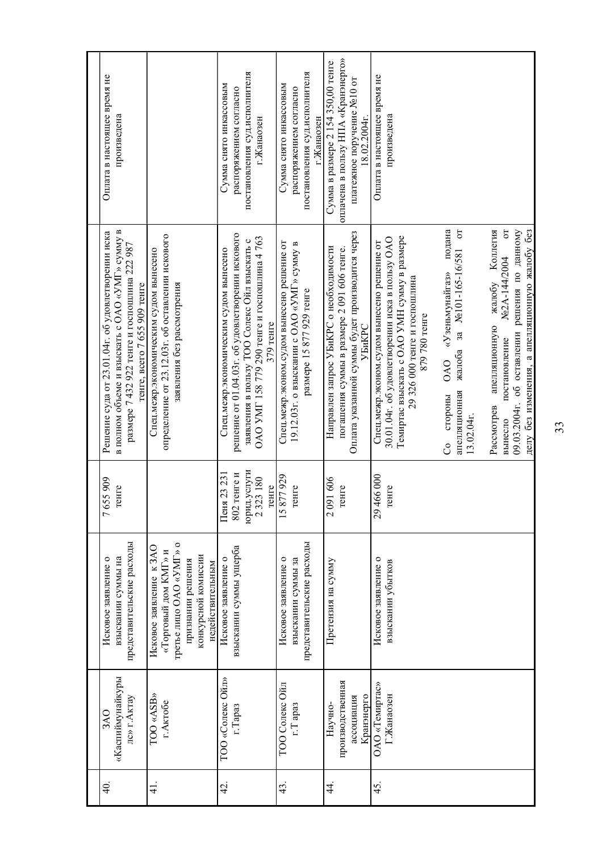| <u>ਤ</u>      | «Каспиймунайкуры<br>лс» г.Актау<br>3AO                  | представительские расходы<br>взыскании суммы на<br>Исковое заявление о                                                                     | 7655909<br>reHTe                                              | в полном объеме и взыскать с OAO «УМГ» сумму в<br>Решение суда от 23.01.04г. об удовлетворении иска<br>размере 7 432 922 тенге и госпошлина 222 987<br>тенге, всего 7 655 909 тенге                                 | Оплата в настоящее время не<br>произведена                                                                               |
|---------------|---------------------------------------------------------|--------------------------------------------------------------------------------------------------------------------------------------------|---------------------------------------------------------------|---------------------------------------------------------------------------------------------------------------------------------------------------------------------------------------------------------------------|--------------------------------------------------------------------------------------------------------------------------|
| $\frac{1}{4}$ | TOO «ASB»<br>г. Актобе                                  | третье лицо OAO «УМГ» о<br>Исковое заявление к ЗАО<br>«Торговый дом КМГ» и<br>конкурсной комиссии<br>признании решения<br>недействительным |                                                               | определение от 23.12.03г. об оставлении искового<br>Спец.межр.экономическим судом вынесено<br>заявления без рассмотрения                                                                                            |                                                                                                                          |
| 42.           | TOO «Солекс Ойл»<br>г.Тараз                             | взыскании суммы ущерба<br>Исковое заявление о                                                                                              | юрид.услуги<br>802 тенге и<br>Пеня 23 231<br>2323180<br>reure | решение от 01.04.03г. об удовлетворении искового<br>ОАО УМГ 158 779 290 тенге и госпошлина 4 763<br>заявления в пользу ТОО Солекс Ойл взыскать с<br>Спец.межр.экономическим судом вынесено<br>379 тенге             | постановления суд.исполнителя<br>Сумма снято инкассовым<br>распоряжением согласно<br>г.Жанаозен                          |
| 43.           | ТОО Солекс Ойл<br>r.T apas                              | представительские расходы<br>Исковое заявление о<br>взыскании суммы за                                                                     | 15877929<br>reHTe                                             | Спец.межр.эконом.судом вынесено решение от<br>19.12.03г. о взыскании с ОАО «УМГ» сумму в<br>размере 15 877 929 тенге                                                                                                | постановления суд.исполнителя<br>Сумма снято инкассовым<br>распоряжением согласно<br>г.Жанаозен                          |
| 4             | производственная<br>Кранэнерго<br>ассоциация<br>Научно- | Претензия на сумму                                                                                                                         | 2091606<br>reнге                                              | Оплата указанной суммы будет производится через<br>Направлен запрос УБиКРС о необходимости<br>погашения суммы в размере 2 091 606 тенге.<br><b>YEHKPC</b>                                                           | оплачена в пользу НПА «Кранэнерго»<br>Сумма в размере 2 154 350,00 тенге<br>платежное поручение №10 от<br>$8.02.2004$ r. |
| 45.           | ОАО «Темиртас»<br>Г.Жанаозен                            | Исковое заявление о<br>взыскании убытков                                                                                                   | 29 466 000<br>reнге                                           | Темиргас взыскать с OAO УМН сумму в размере<br>30.01.04г. об удовлетворении иска в пользу ОАО<br>Спец.межр.эконом.судом вынесено решение от<br>29 326 000 тенге и госпошлина<br>879 780 тенге                       | Оплата в настоящее время не<br>произведена                                                                               |
|               |                                                         |                                                                                                                                            |                                                               | подана<br>$\omega$<br>жалоба за №101-165-16/581<br>«Узеньмунайгаз»<br><b>OAO</b><br>апелляционная<br>стороны<br>13.02.04r.<br>S                                                                                     |                                                                                                                          |
|               |                                                         |                                                                                                                                            |                                                               | $\overline{C}$<br>09.03.2004г. об оставлении решения по данному<br>Коллегия<br>делу без изменения, а апелляционную жалобу без<br>No2A-144/2004<br>жалобу<br>апелляционную<br>постановление<br>Рассмотрев<br>вынесло |                                                                                                                          |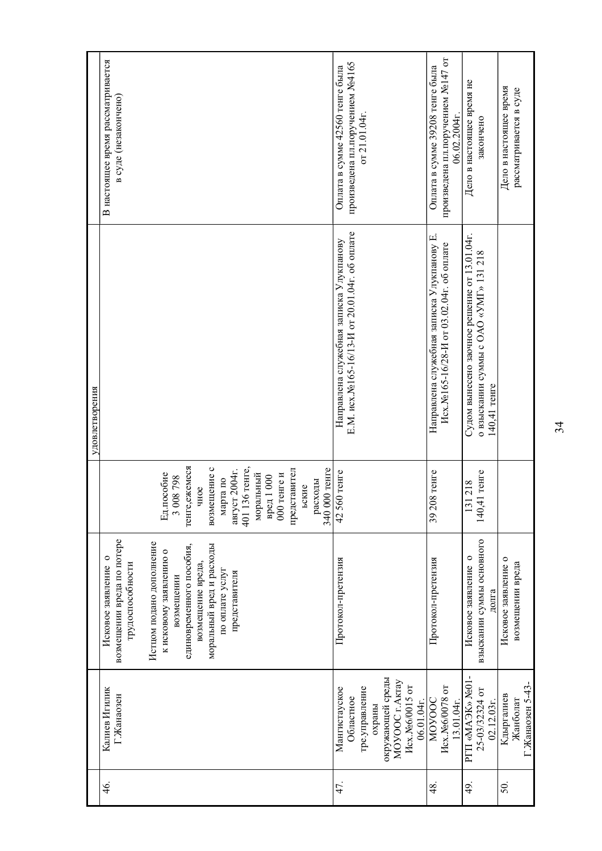|     |                                                                                                                                         |                                                                                                                                                                                                                                                            |                                                                                                                                                                                                                                             | удовлетворения                                                                                        |                                                                                      |
|-----|-----------------------------------------------------------------------------------------------------------------------------------------|------------------------------------------------------------------------------------------------------------------------------------------------------------------------------------------------------------------------------------------------------------|---------------------------------------------------------------------------------------------------------------------------------------------------------------------------------------------------------------------------------------------|-------------------------------------------------------------------------------------------------------|--------------------------------------------------------------------------------------|
| 46. | Калиев Игилик<br>Г.Жанаозен                                                                                                             | возмещении вреда по потере<br>Истцом подано дополнение<br>моральный вред и расходы<br>единовременного пособия,<br>к исковому заявлению о<br>Исковое заявление о<br>трудоспособности<br>возмещение вреда,<br>по оплате услуг<br>представителя<br>возмещении | тенге, ежемеся<br>401 136 тенге,<br>возмещение с<br>340 000 тенге<br>август 2004г.<br>представител<br>моральный<br>Ед.пособие<br>$000$ тенге и<br>вред 1000<br>862 800<br>марта по<br>расходы<br>ьские<br>чное<br>$\widetilde{\phantom{a}}$ |                                                                                                       | В настоящее время рассматривается<br>в суде (незакончено)                            |
| 47. | окружающей среды<br>MOVOOC <sub>r.AkTay</sub><br>Исх.№6/0015 от<br>Мангистауское<br>тре.управление<br>Областное<br>06.01.04r.<br>охраны | Протокол-претензия                                                                                                                                                                                                                                         | 42560 тенге                                                                                                                                                                                                                                 | Е.М. исх.№165-16/13-И от 20.01.04г. об оплате<br>Направлена служебная записка Улукпанову              | произведена пл.поручением №4165<br>Оплата в сумме 42560 тенге была<br>от 21.01.04г.  |
| 48. | Исх.№6/0078 от<br><b>NOVOOC</b><br>13.01.04r.                                                                                           | Протокол-претензия                                                                                                                                                                                                                                         | 39 208 тенге                                                                                                                                                                                                                                | Направлена служебная записка Улукпанову Е.<br>Исх. №165-16/28-И от 03.02.04г. об оплате               | произведена пл.поручением №147 от<br>Оплата в сумме 39208 тенге была<br>06.02.2004r. |
| 49. | PTII «MAGK» No01<br>25-03/32324 OT<br>$02.12.03r$ .                                                                                     | взыскании суммы основного<br>Исковое заявление о<br>долга                                                                                                                                                                                                  | 140,41 тенге<br>131218                                                                                                                                                                                                                      | Судом вынесено заочное решение от 13.01.04г.<br>о взыскании суммы с ОАО «УМГ» 131 218<br>140,41 тенге | Дело в настоящее время не<br>закончено                                               |
| 50. | Г.Жанаозен 5-43-<br>Кдыргалиев<br>Жанболат                                                                                              | Исковое заявление о<br>возмещении вреда                                                                                                                                                                                                                    |                                                                                                                                                                                                                                             |                                                                                                       | Дело в настоящее время<br>рассматривается в суде                                     |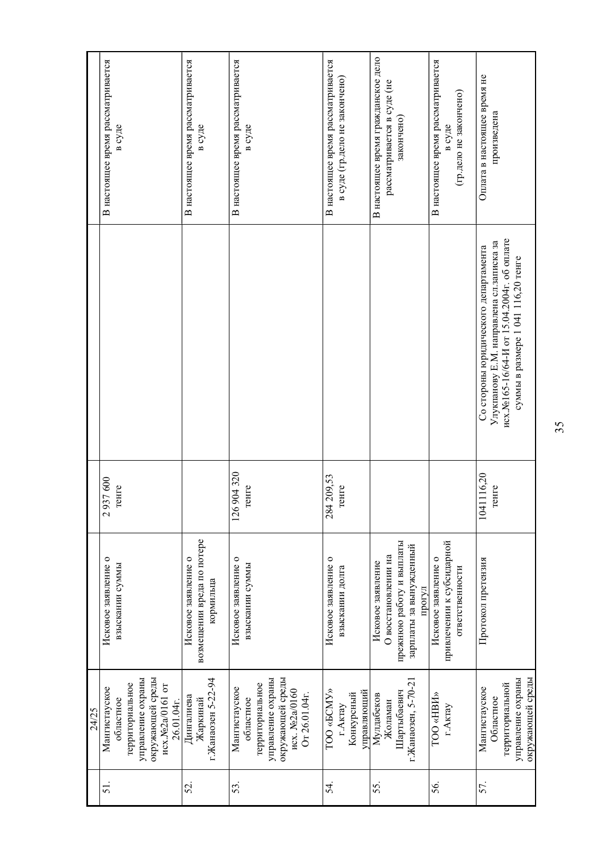|     | 24/25                          |                                   |               |                                             |                                    |
|-----|--------------------------------|-----------------------------------|---------------|---------------------------------------------|------------------------------------|
| 51  | Мангистауское                  | Исковое заявление о               | 37600<br>29   |                                             | В настоящее время рассматривается  |
|     | областное                      | взыскании суммы                   | снге          |                                             | в суде                             |
|     | территориальное                |                                   |               |                                             |                                    |
|     | управление охраны              |                                   |               |                                             |                                    |
|     | окружающей среды               |                                   |               |                                             |                                    |
|     | исх.№2а/0161 от<br>26.01.04r.  |                                   |               |                                             |                                    |
| 52. | Дингалиева                     | Исковое заявление о               |               |                                             | В настоящее время рассматривается  |
|     | Жаркинай                       | возмещении вреда по потере        |               |                                             | в суде                             |
|     | г.Жанаозен 5-22-94             | кормильца                         |               |                                             |                                    |
| 53. | Мангистауское                  | Исковое заявление о               | 904320<br>126 |                                             | В настоящее время рассматривается  |
|     | областное                      | взыскании суммы                   | генге         |                                             | в суде                             |
|     | территориальное                |                                   |               |                                             |                                    |
|     | управление охраны              |                                   |               |                                             |                                    |
|     | окружающей среды               |                                   |               |                                             |                                    |
|     | исх. №2а/0160<br>Or 26.01.04r. |                                   |               |                                             |                                    |
|     |                                |                                   |               |                                             |                                    |
| 54. | TOO «GCMY»                     | Исковое заявление о               | 209,53<br>284 |                                             | В настоящее время рассматривается  |
|     | г.Актау                        | взыскании долга                   | снге          |                                             | в суде (гр.дело не закончено)      |
|     | Конкурсный                     |                                   |               |                                             |                                    |
|     | управляющий                    |                                   |               |                                             |                                    |
| 55. | Мулдабеков                     | Исковое заявление                 |               |                                             | В настоящее время гражданское дело |
|     | Жоламан                        | О восстановлении на               |               |                                             | рассматривается в суде (не         |
|     | Шартыбаевич                    | прежнюю работу и выплаты          |               |                                             | закончено)                         |
|     | г.Жанаозен, 5-70-21            | зарплаты за вынужденный<br>прогул |               |                                             |                                    |
| 56. | TOO «HBIA»                     | Исковое заявление о               |               |                                             | В настоящее время рассматривается  |
|     | г.Актау                        | привлечении к субсидарной         |               |                                             | в суде                             |
|     |                                | ответственности                   |               |                                             | (гр.дело не закончено)             |
| 57. | Мангистауское                  | Протокол претензия                | 1041116,20    | Со стороны юридического департамента        | Оплата в настоящее время не        |
|     | Областное                      |                                   | reнге         | Улукпанову Е.М. направлена сл.записка за    | произведена                        |
|     | территориальной                |                                   |               | исх. №165-16/64-И от 15.04.2004г. об оплате |                                    |
|     | управление охраны              |                                   |               | суммы в размере 1 041 116,20 тенге          |                                    |
|     | окружающей среды               |                                   |               |                                             |                                    |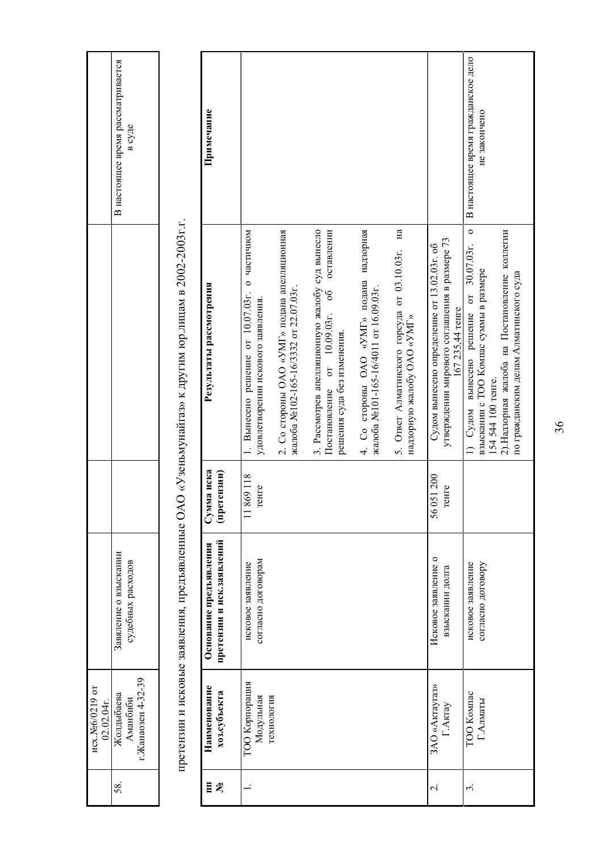| Сумма иска<br>(претензии)<br>11869118<br>021200<br>снге<br>reHTe<br>претензии и исковые заявления, предъявленные ОА<br>56<br>претензии и иск.заявлений<br>Основание предъявления<br>Исковое заявление о<br>согласно договорам<br>судебных расходов<br>исковое заявление<br>исковое заявление<br>согласно договору<br>взыскании долга<br>г. Жанаозен 4-32-39<br>ТОО Корпорация<br>ЗАО «Актаугаз»<br>Наименование<br>хоз.субъекта<br>ТОО Компас<br>Модульная<br>технология<br>Аманбиби<br>Г.Алматы<br>Г.Актау |                                                                         |                                                                                                                   | В настоящее время рассматривается<br>в суде        |
|-------------------------------------------------------------------------------------------------------------------------------------------------------------------------------------------------------------------------------------------------------------------------------------------------------------------------------------------------------------------------------------------------------------------------------------------------------------------------------------------------------------|-------------------------------------------------------------------------|-------------------------------------------------------------------------------------------------------------------|----------------------------------------------------|
|                                                                                                                                                                                                                                                                                                                                                                                                                                                                                                             |                                                                         |                                                                                                                   |                                                    |
|                                                                                                                                                                                                                                                                                                                                                                                                                                                                                                             |                                                                         | О «Узеньмунайгаз» к другим юр.лицам в 2002-2003г.г.                                                               |                                                    |
|                                                                                                                                                                                                                                                                                                                                                                                                                                                                                                             |                                                                         | Результаты рассмотрения                                                                                           | Примечание                                         |
|                                                                                                                                                                                                                                                                                                                                                                                                                                                                                                             | 1. Вынесено решение от 10.07.03г.<br>удовлетворении искового заявления. | о частичном                                                                                                       |                                                    |
|                                                                                                                                                                                                                                                                                                                                                                                                                                                                                                             | жалоба №102-165-16/3332 от 22.07.03г.                                   | 2. Со стороны ОАО «УМГ» подана апелляционная                                                                      |                                                    |
|                                                                                                                                                                                                                                                                                                                                                                                                                                                                                                             | решения суда без изменения.<br>Постановление                            | 3. Рассмотрев апелляционную жалобу суд вынесло<br>оставлении<br>$\frac{6}{6}$<br>от 10.09.03г.                    |                                                    |
|                                                                                                                                                                                                                                                                                                                                                                                                                                                                                                             | жалоба №101-165-16/4011 от 16.09.03г.                                   | 4. Со стороны ОАО «УМГ» подана надзорная                                                                          |                                                    |
|                                                                                                                                                                                                                                                                                                                                                                                                                                                                                                             | надзорную жалобу ОАО «УМГ»                                              | Ha<br>5. Ответ Алматинского горсуда от 03.10.03г.                                                                 |                                                    |
|                                                                                                                                                                                                                                                                                                                                                                                                                                                                                                             |                                                                         | утверждении мирового соглашения в размере 73<br>Судом вынесено определение от 13.02.03г. об<br>167 235,44 тенге   |                                                    |
|                                                                                                                                                                                                                                                                                                                                                                                                                                                                                                             | 1) Судом вынесено решение от<br>154 544 100 тенге.                      | $\circ$<br>2). Надзорная жалоба на Постановление коллегии<br>30.07.03r.<br>взыскании с ТОО Компас суммы в размере | В настоящее время гражданское дело<br>не закончено |
|                                                                                                                                                                                                                                                                                                                                                                                                                                                                                                             |                                                                         | по гражданским делам Алматинского суда                                                                            |                                                    |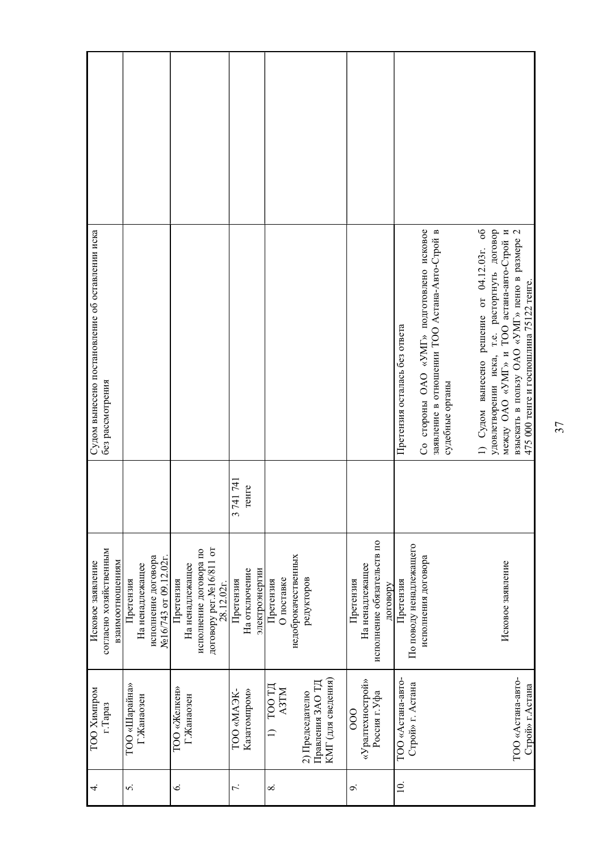| Судом вынесено постановление об оставлении иска<br>без рассмотрения |                                                                              |                                                                                                               |                                              |                                                |                                                           |                                                                        | Со стороны ОАО «УМГ» подготовлено исковое<br>заявление в отношении ТОО Астана-Авто-Строй в<br>Претензия осталась без ответа<br>судебные органы | 1) Судом вынесено решение от 04.12.03г. об<br>удовлетворении иска, т.е. расторгнуть договор<br>между ОАО «УМГ» и ТОО астана-авто-Строй и<br>взыскать в пользу ОАО «УМГ» пеню в размере 2<br>475 000 тенге и госпошлина 75122 тенге. |
|---------------------------------------------------------------------|------------------------------------------------------------------------------|---------------------------------------------------------------------------------------------------------------|----------------------------------------------|------------------------------------------------|-----------------------------------------------------------|------------------------------------------------------------------------|------------------------------------------------------------------------------------------------------------------------------------------------|-------------------------------------------------------------------------------------------------------------------------------------------------------------------------------------------------------------------------------------|
|                                                                     |                                                                              |                                                                                                               | 741 741<br>тенге<br>$\tilde{\zeta}$          |                                                |                                                           |                                                                        |                                                                                                                                                |                                                                                                                                                                                                                                     |
| согласно хозяйственным<br>взаимоотношениям<br>Исковое заявление     | исполнение договора<br>No16/743 or 09.12.02r<br>На ненадлежащее<br>Претензия | договору рег. No <sub>16/811</sub> от<br>исполнение договора по<br>На ненадлежащее<br>Претензия<br>28.12.02r. | электроэнергии<br>На отключение<br>Претензия | недоброкачественных<br>О поставке<br>Претензия | редукторов                                                | исполнение обязательств по<br>На ненадлежащее<br>Претензия<br>договору | По поводу ненадлежащего<br>исполнения договора<br>Претензия                                                                                    | Исковое заявление                                                                                                                                                                                                                   |
| ТОО Химпром<br>r.Tapa3                                              | TOO «Шарайна»<br>Г.Жанаозен                                                  | TOO «Желкен»<br>Г.Жанаозен                                                                                    | Казатомпром»<br>-XEAM» OOT                   | $1)$ TOO TH<br><b>N3TM</b>                     | КМГ (для сведения)<br>Правления ЗАО ТД<br>2) Председателю | «Уралтехнострой»<br>Россия г. Уфа<br>$rac{1}{2}$                       | ТОО «Астана-авто-<br>Строй» г. Астана                                                                                                          | ТОО «Астана-авто-<br>Строй» г.Астана                                                                                                                                                                                                |
| 4.                                                                  | 5.                                                                           | Ġ.                                                                                                            | 7.                                           | $\infty$                                       |                                                           | o,                                                                     | $\overline{a}$                                                                                                                                 |                                                                                                                                                                                                                                     |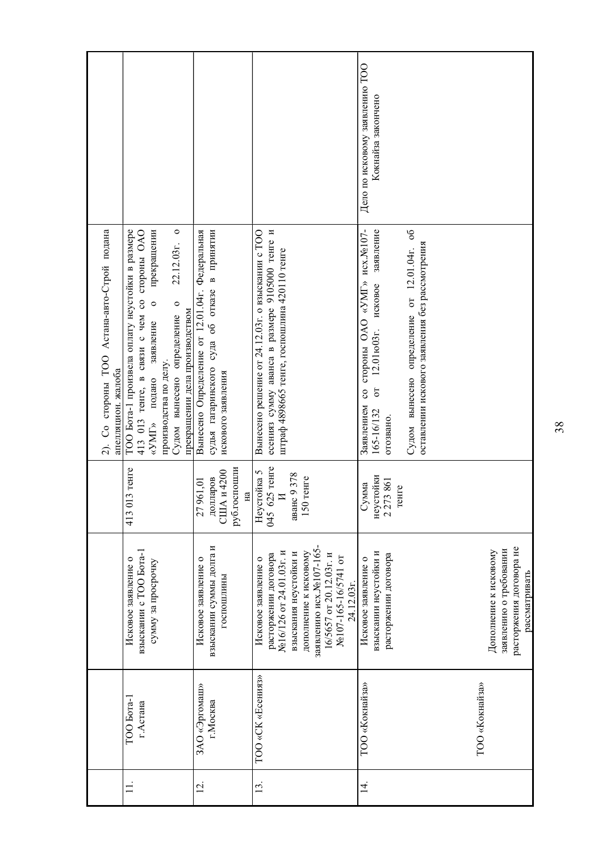|                |                           |                                                                                                                                                                                                                       |                                                                                              | 2). Со стороны ТОО Астана-авто-Строй подана<br>апелляцион. жалоба                                                                                                                                                                                                                  |                                                      |
|----------------|---------------------------|-----------------------------------------------------------------------------------------------------------------------------------------------------------------------------------------------------------------------|----------------------------------------------------------------------------------------------|------------------------------------------------------------------------------------------------------------------------------------------------------------------------------------------------------------------------------------------------------------------------------------|------------------------------------------------------|
|                | TOO Bora-1<br>г.Астана    | взыскании с ТОО Бота-1<br>Исковое заявление о<br>сумму за просрочку                                                                                                                                                   | $113$ $T$ e $H$ re<br>413                                                                    | $\circ$<br>ТОО Бота-1 произвела оплату неустойки в размере<br>прекращении<br>413 013 тенге, в связи с чем со стороны ОАО<br>22.12.03r.<br>$\circ$<br>$\circ$<br>прекращении дела производством<br>Судом вынесено определение<br>заявление<br>производства по делу.<br>«УМГ» подано |                                                      |
| $\overline{5}$ | ЗАО «Эргомаш»<br>г.Москва | взыскании суммы долга и<br>Исковое заявление о<br>госпошлины                                                                                                                                                          | руб.госпошли<br>США и 4200<br>долларов<br>961,01<br>$H\ddot{a}$<br>27                        | Вынесено Определение от 12.01.04г. Федеральная<br>судья гагаринского суда об отказе в принятии<br>искового заявления                                                                                                                                                               |                                                      |
| $\Xi$          | TOO «CK «Есения»          | заявлению исх. №107-165-<br>дополнение к исковому<br>No16/126 от 24.01.03г. и<br>взыскания неустойки и<br>расторжении договора<br>16/5657 от 20.12.03г. и<br>№107-165-16/5741 от<br>Исковое заявление о<br>24.12.03r. | 625 тенге<br>Неустойка 5<br>045 625 тенге<br>аванс 9 378<br>$150$ re $are$<br>$\overline{M}$ | есенияз сумму аванса в размере 9105000 тенге и<br>Вынесено решение от 24.12.03г. о взыскании с ТОО<br>штраф 4898665 тенге, госпошлина 420110 тенге                                                                                                                                 |                                                      |
| .<br>न         | TOO «Кокнайза»            | взыскании неустойки и<br>расторжении договора<br>Исковое заявление о                                                                                                                                                  | неустойки<br>2 273 861<br>умма<br>генге                                                      | со стороны ОАО «УМГ» исх. №107-<br>Судом вынесено определение от 12.01.04г. об<br>заявление<br>оставлении искового заявления без рассмотрения<br>исковое<br>12.01ю03г.<br>$\sigma$<br>Заявлением<br>165-16/132<br>отозвано.                                                        | Дело по исковому заявлению ТОО<br>Кокнайза закончено |
|                | TOO «Кокнайза»            | расторжения договора не<br>заявлению о требовании<br>Дополнение к исковому<br>рассматривать                                                                                                                           |                                                                                              |                                                                                                                                                                                                                                                                                    |                                                      |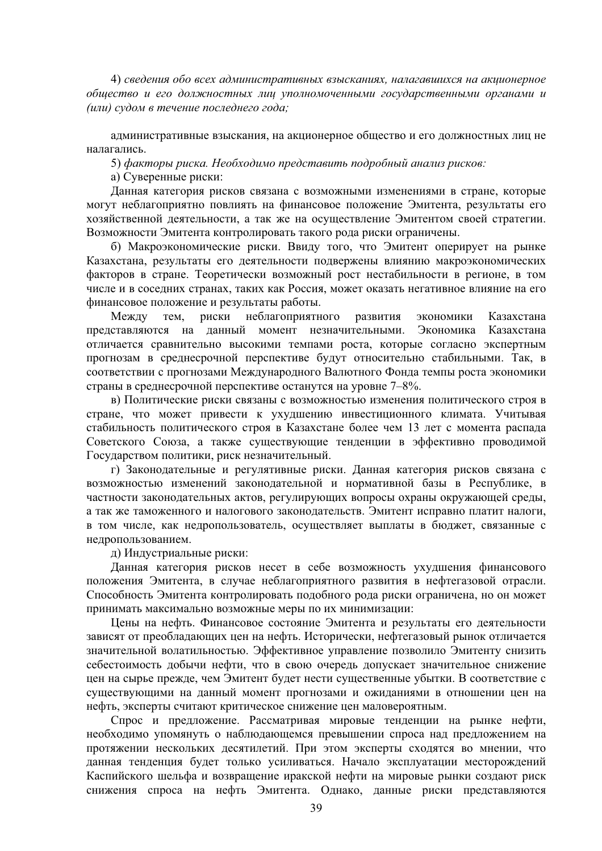4) *сведения обо всех административных взысканиях, налагавшихся на акционерное общество и его должностных лиц уполномоченными государственными органами и*  $(u\pi u)$  судом в течение последнего года;

административные взыскания, на акционерное общество и его должностных лиц не налагались.

5) факторы риска. Необходимо представить подробный анализ рисков:

а) Суверенные риски:

Данная категория рисков связана с возможными изменениями в стране, которые могут неблагоприятно повлиять на финансовое положение Эмитента, результаты его хозяйственной деятельности, а так же на осуществление Эмитентом своей стратегии. Возможности Эмитента контролировать такого рода риски ограничены.

б) Макроэкономические риски. Ввиду того, что Эмитент оперирует на рынке Казахстана, результаты его деятельности подвержены влиянию макроэкономических факторов в стране. Теоретически возможный рост нестабильности в регионе, в том числе и в соседних странах, таких как Россия, может оказать негативное влияние на его финансовое положение и результаты работы.<br>Между тем. риски неблагоприятн

Межлу тем, риски неблагоприятного развития экономики Казахстана представляются на данный момент незначительными. Экономика Казахстана отличается сравнительно высокими темпами роста, которые согласно экспертным прогнозам в среднесрочной перспективе будут относительно стабильными. Так, в соответствии с прогнозами Международного Валютного Фонда темпы роста экономики страны в среднесрочной перспективе останутся на уровне  $7-8\%$ .

в) Политические риски связаны с возможностью изменения политического строя в стране, что может привести к ухудшению инвестиционного климата. Учитывая стабильность политического строя в Казахстане более чем 13 лет с момента распада Советского Союза, а также существующие тенденции в эффективно проводимой Государством политики, риск незначительный.

г) Законодательные и регулятивные риски. Данная категория рисков связана с возможностью изменений законодательной и нормативной базы в Республике, в частности законодательных актов, регулирующих вопросы охраны окружающей среды, а так же таможенного и налогового законодательств. Эмитент исправно платит налоги, в том числе, как недропользователь, осуществляет выплаты в бюджет, связанные с недропользованием.

д) Индустриальные риски:

Данная категория рисков несет в себе возможность ухудшения финансового положения Эмитента, в случае неблагоприятного развития в нефтегазовой отрасли. Способность Эмитента контролировать подобного рода риски ограничена, но он может принимать максимально возможные меры по их минимизации:

Цены на нефть. Финансовое состояние Эмитента и результаты его деятельности зависят от преобладающих цен на нефть. Исторически, нефтегазовый рынок отличается значительной волатильностью. Эффективное управление позволило Эмитенту снизить себестоимость добычи нефти, что в свою очередь допускает значительное снижение цен на сырье прежде, чем Эмитент будет нести существенные убытки. В соответствие с существующими на данный момент прогнозами и ожиданиями в отношении цен на нефть, эксперты считают критическое снижение цен маловероятным.

Спрос и предложение. Рассматривая мировые тенденции на рынке нефти, необходимо упомянуть о наблюдающемся превышении спроса над предложением на протяжении нескольких лесятилетий. При этом эксперты сходятся во мнении, что данная тенденция будет только усиливаться. Начало эксплуатации месторождений Каспийского шельфа и возвращение иракской нефти на мировые рынки создают риск снижения спроса на нефть Эмитента. Однако, данные риски представляются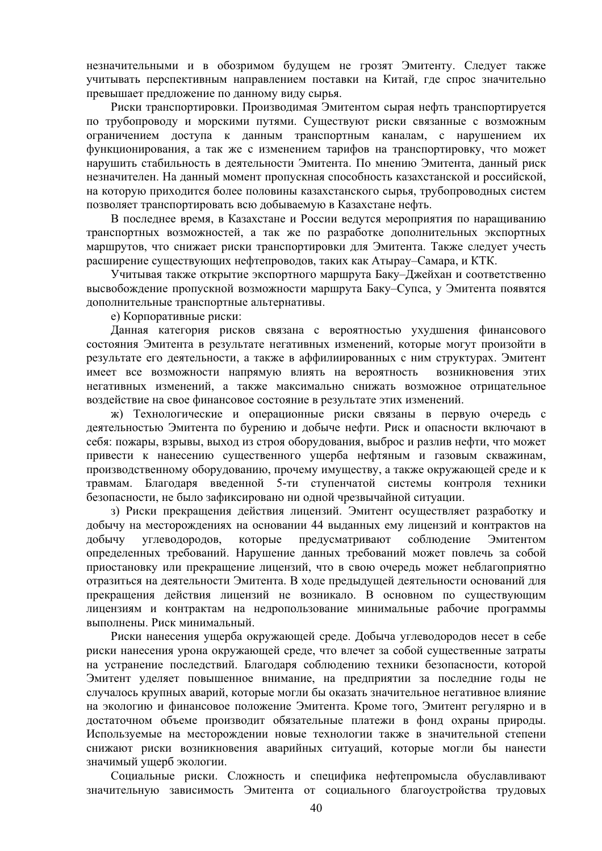незначительными и в обозримом будущем не грозят Эмитенту. Следует также учитывать перспективным направлением поставки на Китай, где спрос значительно превышает предложение по данному виду сырья.

Риски транспортировки. Производимая Эмитентом сырая нефть транспортируется по трубопроводу и морскими путями. Существуют риски связанные с возможным ограничением доступа к данным транспортным каналам, с нарушением их функционирования, а так же с изменением тарифов на транспортировку, что может нарушить стабильность в деятельности Эмитента. По мнению Эмитента, данный риск незначителен. На данный момент пропускная способность казахстанской и российской, на которую приходится более половины казахстанского сырья, трубопроводных систем позволяет транспортировать всю добываемую в Казахстане нефть.

В последнее время, в Казахстане и России ведутся мероприятия по наращиванию транспортных возможностей, а так же по разработке дополнительных экспортных маршрутов, что снижает риски транспортировки для Эмитента. Также следует учесть расширение существующих нефтепроводов, таких как Атырау-Самара, и КТК.

Учитывая также открытие экспортного маршрута Баку–Лжейхан и соответственно высвобождение пропускной возможности маршрута Баку–Супса, у Эмитента появятся дополнительные транспортные альтернативы.

е) Корпоративные риски:

Данная категория рисков связана с вероятностью ухудшения финансового состояния Эмитента в результате негативных изменений, которые могут произойти в результате его деятельности, а также в аффилиированных с ним структурах. Эмитент имеет все возможности напрямую влиять на вероятность возникновения этих негативных изменений, а также максимально снижать возможное отрипательное воздействие на свое финансовое состояние в результате этих изменений.

ж) Технологические и операционные риски связаны в первую очередь с деятельностью Эмитента по бурению и добыче нефти. Риск и опасности включают в себя: пожары, взрывы, выход из строя оборудования, выброс и разлив нефти, что может привести к нанесению существенного ущерба нефтяным и газовым скважинам, производственному оборудованию, прочему имуществу, а также окружающей среде и к травмам. Благодаря введенной 5-ти ступенчатой системы контроля техники безопасности, не было зафиксировано ни одной чрезвычайной ситуации.

з) Риски прекращения действия лицензий. Эмитент осуществляет разработку и добычу на месторождениях на основании 44 выданных ему лицензий и контрактов на добычу углеводородов, которые предусматривают соблюдение Эмитентом определенных требований. Нарушение данных требований может повлечь за собой приостановку или прекращение лицензий, что в свою очередь может неблагоприятно отразиться на деятельности Эмитента. В ходе предыдущей деятельности оснований для прекращения действия лицензий не возникало. В основном по существующим лицензиям и контрактам на недропользование минимальные рабочие программы выполнены. Риск минимальный.

Риски нанесения ущерба окружающей среде. Добыча углеводородов несет в себе риски нанесения урона окружающей среде, что влечет за собой существенные затраты на устранение последствий. Благодаря соблюдению техники безопасности, которой Эмитент уделяет повышенное внимание, на предприятии за последние годы не случалось крупных аварий, которые могли бы оказать значительное негативное влияние на экологию и финансовое положение Эмитента. Кроме того, Эмитент регулярно и в достаточном объеме производит обязательные платежи в фонд охраны природы. Используемые на месторождении новые технологии также в значительной степени снижают риски возникновения аварийных ситуаций, которые могли бы нанести значимый ущерб экологии.

Социальные риски. Сложность и специфика нефтепромысла обуславливают значительную зависимость Эмитента от социального благоустройства трудовых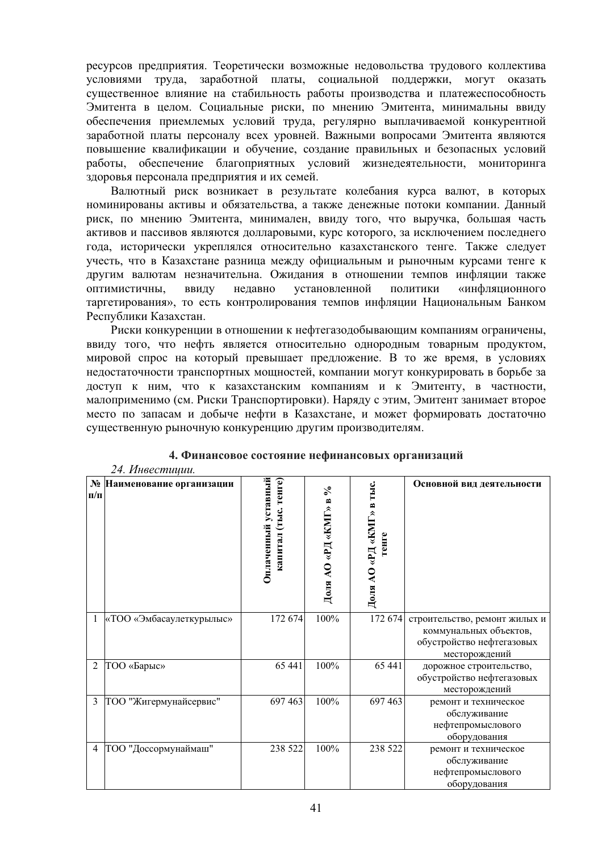ресурсов предприятия. Теоретически возможные недовольства трудового коллектива условиями труда, заработной платы, социальной поддержки, могут оказать существенное влияние на стабильность работы производства и платежеспособность Эмитента в целом. Социальные риски, по мнению Эмитента, минимальны ввиду обеспечения приемлемых условий труда, регулярно выплачиваемой конкурентной заработной платы персоналу всех уровней. Важными вопросами Эмитента являются повышение квалификации и обучение, создание правильных и безопасных условий работы, обеспечение благоприятных условий жизнедеятельности, мониторинга здоровья персонала предприятия и их семей.

Валютный риск возникает в результате колебания курса валют, в которых номинированы активы и обязательства, а также денежные потоки компании. Данный риск, по мнению Эмитента, минимален, ввиду того, что выручка, большая часть активов и пассивов являются долларовыми, курс которого, за исключением последнего года, исторически укреплялся относительно казахстанского тенге. Также следует учесть, что в Казахстане разница между официальным и рыночным курсами тенге к другим валютам незначительна. Ожилания в отношении темпов инфляции также оптимистичны, ввиду недавно установленной политики «инфляционного таргетирования», то есть контролирования темпов инфляции Национальным Банком Республики Казахстан.

Риски конкуренции в отношении к нефтегазодобывающим компаниям ограничены, ввиду того, что нефть является относительно однородным товарным продуктом, мировой спрос на который превышает предложение. В то же время, в условиях недостаточности транспортных мощностей, компании могут конкурировать в борьбе за доступ к ним, что к казахстанским компаниям и к Эмитенту, в частности, малоприменимо (см. Риски Транспортировки). Наряду с этим, Эмитент занимает второе место по запасам и добыче нефти в Казахстане, и может формировать достаточно существенную рыночную конкуренцию другим производителям.

|                | 24. Инвестиции.            |                                             |                       |                                   |                                                                                                       |
|----------------|----------------------------|---------------------------------------------|-----------------------|-----------------------------------|-------------------------------------------------------------------------------------------------------|
| $\Pi/\Pi$      | № Наименование организации | Оплаченный уставный<br>капитал (тыс. тенге) | Доля AO «РД «КМГ» в % | Доля АО «РД «КМГ» в тыс.<br>генге | Основной вид деятельности                                                                             |
| -1             | «ТОО «Эмбасаулеткурылыс»   | 172 674                                     | 100%                  | 172 674                           | строительство, ремонт жилых и<br>коммунальных объектов,<br>обустройство нефтегазовых<br>месторождений |
| $\overline{c}$ | ТОО «Барыс»                | 65 441                                      | 100%                  | 65 441                            | дорожное строительство,<br>обустройство нефтегазовых<br>месторождений                                 |
| 3              | ТОО "Жигермунайсервис"     | 697 463                                     | 100%                  | 697 463                           | ремонт и техническое<br>обслуживание<br>нефтепромыслового<br>оборудования                             |
| $\overline{4}$ | ТОО "Доссормунаймаш"       | 238 522                                     | 100%                  | 238 522                           | ремонт и техническое<br>обслуживание<br>нефтепромыслового<br>оборудования                             |

# 4. Финансовое состояние нефинансовых организаций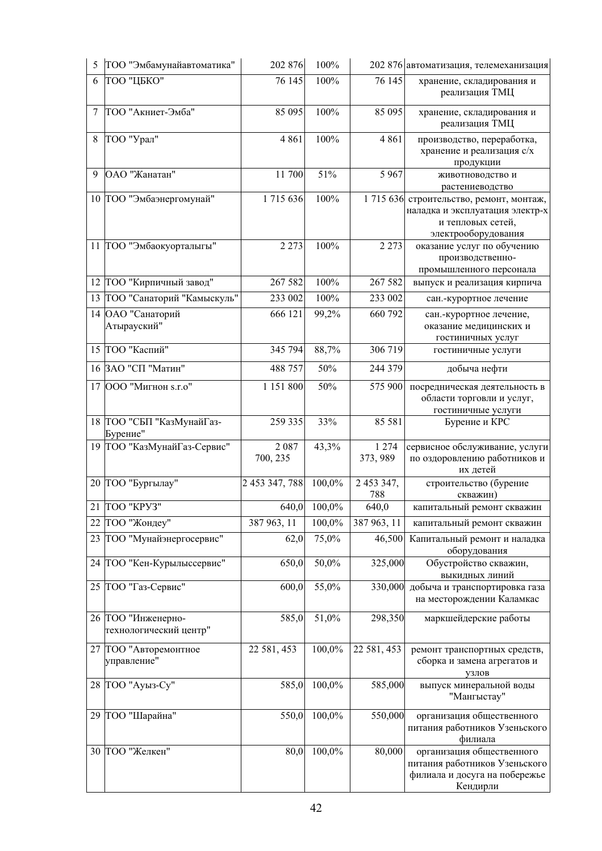| 5  | ТОО "Эмбамунайавтоматика"                    | 202 876          | 100%      |                     | 202 876 автоматизация, телемеханизация                                                                        |
|----|----------------------------------------------|------------------|-----------|---------------------|---------------------------------------------------------------------------------------------------------------|
| 6  | ТОО "ЦБКО"                                   | 76 145           | 100%      | 76 145              | хранение, складирования и<br>реализация ТМЦ                                                                   |
| 7  | ТОО "Акниет-Эмба"                            | 85 095           | 100%      | 85 095              | хранение, складирования и<br>реализация ТМЦ                                                                   |
| 8  | ТОО "Урал"                                   | 4861             | 100%      | 4 8 6 1             | производство, переработка,<br>хранение и реализация с/х<br>продукции                                          |
| 9  | ОАО "Жанатан"                                | 11 700           | 51%       | 5 9 6 7             | животноводство и<br>растениеводство                                                                           |
|    | 10 ТОО "Эмбаэнергомунай"                     | 1715636          | 100%      | 1715636             | строительство, ремонт, монтаж,<br>наладка и эксплуатация электр-х<br>и тепловых сетей,<br>электрооборудования |
|    | 11 ТОО "Эмбаокуорталыгы"                     | 2 2 7 3          | 100%      | 2 2 7 3             | оказание услуг по обучению<br>производственно-<br>промышленного персонала                                     |
|    | 12 ТОО "Кирпичный завод"                     | 267 582          | 100%      | 267 582             | выпуск и реализация кирпича                                                                                   |
|    | 13 ТОО "Санаторий "Камыскуль"                | 233 002          | 100%      | 233 002             | сан.-курортное лечение                                                                                        |
|    | 14 ОАО "Санаторий<br>Атырауский"             | 666 121          | 99,2%     | 660 792             | сан.-курортное лечение,<br>оказание медицинских и<br>гостиничных услуг                                        |
|    | 15   ТОО "Каспий"                            | 345 794          | 88,7%     | 306 719             | гостиничные услуги                                                                                            |
|    | 16 ЗАО "СП "Матин"                           | 488 757          | 50%       | 244 379             | добыча нефти                                                                                                  |
|    | 17 000 "Мигнон s.r.o"                        | 1 151 800        | 50%       | 575 900             | посредническая деятельность в<br>области торговли и услуг,<br>гостиничные услуги                              |
|    | 18 ТОО "СБП "КазМунайГаз-<br>Бурение"        | 259 335          | 33%       | 85 581              | Бурение и КРС                                                                                                 |
|    | 19  ТОО "КазМунайГаз-Сервис"                 | 2087<br>700, 235 | 43,3%     | 1 2 7 4<br>373, 989 | сервисное обслуживание, услуги<br>по оздоровлению работников и<br>их детей                                    |
|    | 20 ТОО "Бургылау"                            | 2 453 347, 788   | 100,0%    | 2 453 347,<br>788   | строительство (бурение<br>скважин)                                                                            |
|    | 21 TOO "KPY3"                                | 640,0            | 100,0%    | 640,0               | капитальный ремонт скважин                                                                                    |
|    | 22 ТОО "Жондеу"                              | 387 963, 11      | $100,0\%$ | 387 963, 11         | капитальный ремонт скважин                                                                                    |
| 23 | ТОО "Мунайэнергосервис"                      | 62,0             | 75,0%     | 46,500              | Капитальный ремонт и наладка<br>оборудования                                                                  |
|    | 24 ТОО "Кен-Курылыссервис"                   | 650,0            | 50,0%     | 325,000             | Обустройство скважин,<br>выкидных линий                                                                       |
|    | 25 ТОО "Газ-Сервис"                          | 600,0            | 55,0%     | 330,000             | добыча и транспортировка газа<br>на месторождении Каламкас                                                    |
|    | 26 ТОО "Инженерно-<br>технологический центр" | 585,0            | 51,0%     | 298,350             | маркшейдерские работы                                                                                         |
|    | 27 ТОО "Авторемонтное<br>управление"         | 22 581, 453      | 100,0%    | 22 581, 453         | ремонт транспортных средств,<br>сборка и замена агрегатов и<br>узлов                                          |
|    | 28 ТОО "Ауыз-Су"                             | 585,0            | 100,0%    | 585,000             | выпуск минеральной воды<br>"Мангыстау"                                                                        |
|    | 29 ТОО "Шарайна"                             | 550,0            | 100,0%    | 550,000             | организация общественного<br>питания работников Узеньского<br>филиала                                         |
|    | 30 ТОО "Желкен"                              | 80,0             | 100,0%    | 80,000              | организация общественного<br>питания работников Узеньского<br>филиала и досуга на побережье<br>Кендирли       |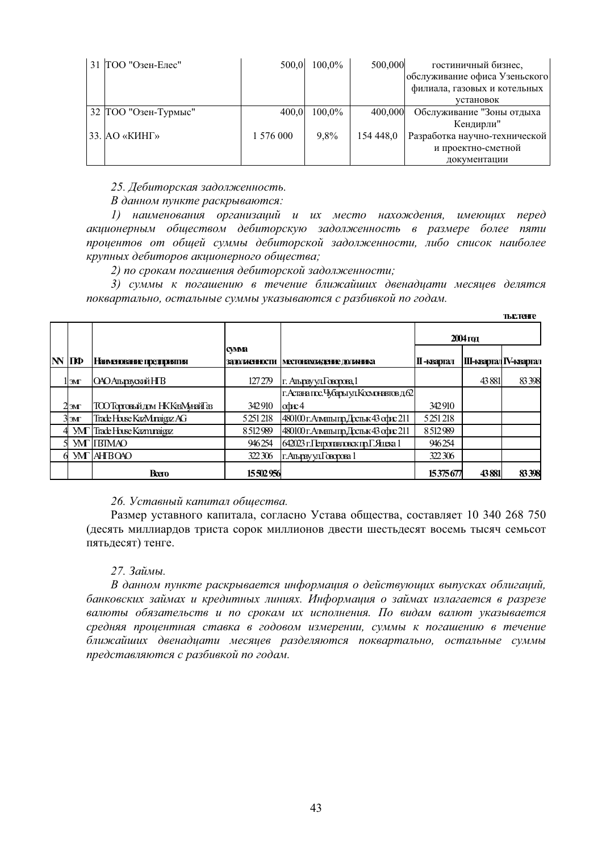| 31   ТОО "Озен-Елес" | 500.0     | $100.0\%$ | 500,000   | гостиничный бизнес,<br>обслуживание офиса Узеньского |
|----------------------|-----------|-----------|-----------|------------------------------------------------------|
|                      |           |           |           | филиала, газовых и котельных                         |
|                      |           |           |           | установок                                            |
| 32 ТОО "Озен-Турмыс" | 400,0     | $100,0\%$ | 400,000   | Обслуживание "Зоны отдыха                            |
|                      |           |           |           | Кендирли"                                            |
| 133.  АО «КИНГ»      | 1 576 000 | 9,8%      | 154 448.0 | Разработка научно-технической                        |
|                      |           |           |           | и проектно-сметной                                   |
|                      |           |           |           | документации                                         |

 $25.$  Дебиторская задолженность.

#### $B$  данном пункте раскрываются:

1) наименования организаций и их место нахождения, имеющих перед акционерным обществом дебиторскую задолженность в размере более пяти процентов от общей суммы дебиторской задолженности, либо список наиболее крупных дебиторов акционерного общества;

 $2)$  по срокам погашения дебиторской задолженности;

3) суммы к погашению в течение ближайших двенадцати месяцев делятся поквартально, остальные суммы указываются с разбивкой по годам.

|                |                 |                               |                                |                                            |                     |                       | <b>ТЬС.ТЕНГЕ</b>       |
|----------------|-----------------|-------------------------------|--------------------------------|--------------------------------------------|---------------------|-----------------------|------------------------|
|                |                 |                               |                                |                                            |                     | $2004 \,\mathrm{rot}$ |                        |
| $\mathbf{N}$ ' | ПФ              | Наименование предприятия      | <b>CVMMEL</b><br>ЗАДОЛЖЕННОСТИ | МЕСТОНАХОЖДЕНИЕ ДОЛИНИКА                   | <b>II -квар</b> тал |                       | III-квартал IV-квартал |
|                | llэмг           | ОАО Альрауский НГВ            | 127279                         | <b>Г. Альрау ул. Говорова, 1</b>           |                     | 43881                 | 83398                  |
|                |                 |                               |                                | Г. Астана пос. Чубары ул. Космонавтов д.62 |                     |                       |                        |
|                | 2 <sub>3M</sub> | ТООТорговый дом НККазМунайГаз | 342910                         | $\alpha x$                                 | 342910              |                       |                        |
|                | 3 <sub>5M</sub> | Trade House KazMunaigaz AG    | 5251218                        | 480100 г. Алманы пр. Доснык 43 офис 211    | 5251218             |                       |                        |
| ΔΙ             | УMГ             | Trade House Kazmunaigaz       | 8512989                        | 480100 г. Алманы пр. Доснык 43 офис 211    | 8512989             |                       |                        |
|                |                 | <b>YMT ITBTMAO</b>            | 946254                         | 642023 г.Петропавловск пр.Г.Янека 1        | 946254              |                       |                        |
|                |                 | <b>MTIAHTBOAO</b>             | 322306                         | г. Альрау ул Говорова 1                    | 322306              |                       |                        |
|                |                 | <b>B</b> cero                 | 15502956                       |                                            | 15375677            | 43881                 | 83398                  |

#### $26.$  Уставный капитал общества.

Размер уставного капитала, согласно Устава общества, составляет 10 340 268 750 (десять миллиардов триста сорок миллионов двести шестьдесят восемь тысяч семьсот пятьдесят) тенге.

#### 27. Займы.

В данном пункте раскрывается информация о действующих выпусках облигаций, банковских займах и кредитных линиях. Информация о займах излагается в разрезе валюты обязательств и по срокам их исполнения. По видам валют указывается средняя процентная ставка в годовом измерении, суммы к погашению в течение ближайших двенадцати месяцев разделяются поквартально, остальные суммы представляются с разбивкой по годам.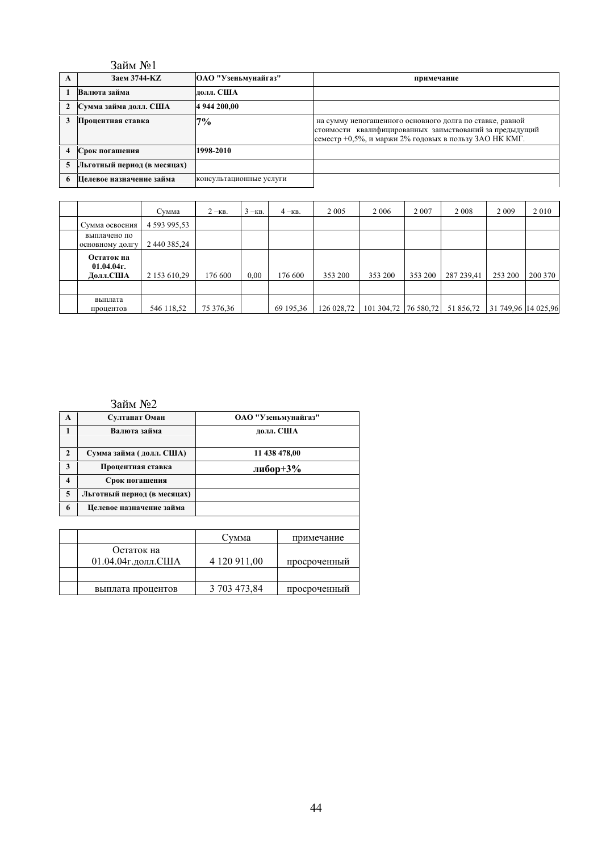|                | Займ №1                     |                         |                                                                                                                                                                                |
|----------------|-----------------------------|-------------------------|--------------------------------------------------------------------------------------------------------------------------------------------------------------------------------|
| A              | Заем 3744-КZ                | ОАО "Узеньмунайгаз"     | примечание                                                                                                                                                                     |
|                | Валюта займа                | лолл. США               |                                                                                                                                                                                |
|                | Сумма займа долл. США       | 4 944 200,00            |                                                                                                                                                                                |
|                | Процентная ставка           | 7%                      | на сумму непогашенного основного долга по ставке, равной<br>стоимости квалифицированных заимствований за предыдущий<br> семестр +0,5%, и маржи 2% годовых в пользу ЗАО НК КМГ. |
| $\overline{4}$ | Срок погашения              | 1998-2010               |                                                                                                                                                                                |
| 5              | Льготный период (в месяцах) |                         |                                                                                                                                                                                |
| 6              | Целевое назначение займа    | консультационные услуги |                                                                                                                                                                                |

|                                         | Сумма        | $2 -$ KB. | $3 - KB$ . | $4 - KB$ . | 2 0 0 5    | 2 0 0 6              | 2 0 0 7 | 2 0 0 8    | 2 0 0 9             | 2010    |
|-----------------------------------------|--------------|-----------|------------|------------|------------|----------------------|---------|------------|---------------------|---------|
| Сумма освоения                          | 4 593 995,53 |           |            |            |            |                      |         |            |                     |         |
| выплачено по<br>основному долгу         | 2 440 385,24 |           |            |            |            |                      |         |            |                     |         |
| Остаток на<br>$01.04.04$ r.<br>Долл.США | 2 153 610,29 | 176 600   | 0.00       | 176 600    | 353 200    | 353 200              | 353 200 | 287 239,41 | 253 200             | 200 370 |
|                                         |              |           |            |            |            |                      |         |            |                     |         |
| выплата<br>процентов                    | 546 118,52   | 75 376,36 |            | 69 195,36  | 126 028,72 | 101 304,72 76 580,72 |         | 51 856,72  | 31 749,96 14 025,96 |         |

# Займ №2

| A                       | Султанат Оман               |              | ОАО "Узеньмунайгаз" |
|-------------------------|-----------------------------|--------------|---------------------|
| $\mathbf{1}$            | Валюта займа                |              | лолл. США           |
| $\mathbf{2}$            | Сумма займа (долл. США)     |              | 11 438 478,00       |
| 3                       | Процентная ставка           |              | либор+3%            |
| $\overline{\mathbf{4}}$ | Срок погашения              |              |                     |
| 5                       | Льготный период (в месяцах) |              |                     |
| 6                       | Целевое назначение займа    |              |                     |
|                         |                             |              |                     |
|                         |                             | Сумма        | примечание          |
|                         | Остаток на                  |              |                     |
|                         | 01.04.04г.долл.США          | 4 120 911,00 | просроченный        |
|                         |                             |              |                     |
|                         | выплата процентов           | 3 703 473,84 | просроченный        |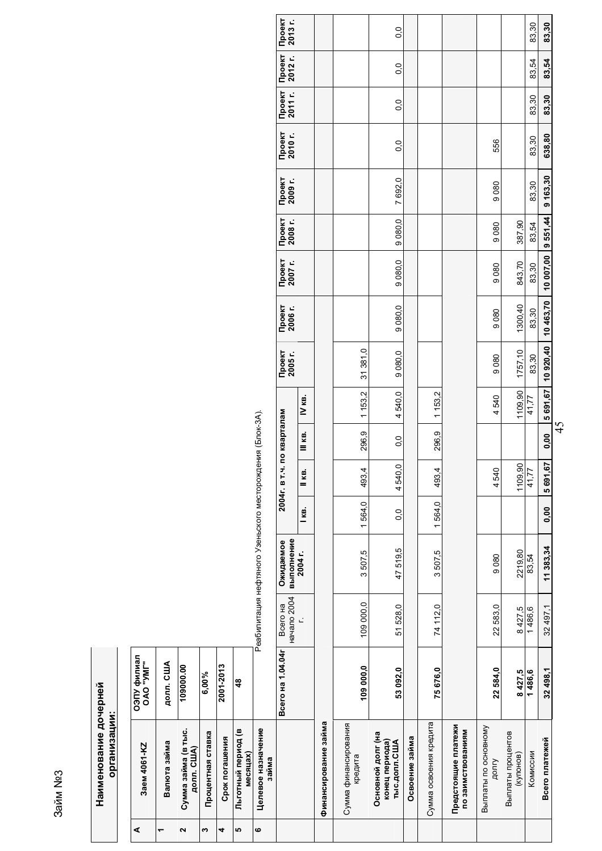# **3aйм No3** Saйм Nº3

| ⋖ | 3aem 4061-KZ                                               | ОЭПУ филиал<br>САО "УМГ" |                         |                                                            |        |                   |                   |          |                   |                   |                   |                   |                   |                   |                   |                   |                 |
|---|------------------------------------------------------------|--------------------------|-------------------------|------------------------------------------------------------|--------|-------------------|-------------------|----------|-------------------|-------------------|-------------------|-------------------|-------------------|-------------------|-------------------|-------------------|-----------------|
| ٣ | Валюта займа                                               | долл. США                |                         |                                                            |        |                   |                   |          |                   |                   |                   |                   |                   |                   |                   |                   |                 |
| 2 | Сумма займа (в тыс.<br>AOJJI. CLUA)                        | 109000.00                |                         |                                                            |        |                   |                   |          |                   |                   |                   |                   |                   |                   |                   |                   |                 |
| ω | Процентная ставка                                          | 6,00%                    |                         |                                                            |        |                   |                   |          |                   |                   |                   |                   |                   |                   |                   |                   |                 |
| 4 | Срок погашения                                             | 2001-2013                |                         |                                                            |        |                   |                   |          |                   |                   |                   |                   |                   |                   |                   |                   |                 |
| 5 | Льготный период (в<br>месяцах)                             | 48                       |                         |                                                            |        |                   |                   |          |                   |                   |                   |                   |                   |                   |                   |                   |                 |
| ဖ | Целевое назначение<br>займа                                |                          |                         | Реабилитация нефтяного Узеньского месторождения (Блок-3А). |        |                   |                   |          |                   |                   |                   |                   |                   |                   |                   |                   |                 |
|   |                                                            | Всего на 1.04.04г        | начало 2004<br>Всего на | выполнение<br>Ожидаемое                                    |        | 2004г. в          | г.ч. по кварталам |          | Проект<br>2005 г. | Проект<br>2006 г. | Проект<br>2007 г. | Проект<br>2008 г. | Проект<br>2009 г. | Проект<br>2010 г. | Проект<br>2011 г. | Проект<br>2012 г. | Проек<br>2013 г |
|   |                                                            |                          | Ľ                       | 2004 r.                                                    | l ke.  | II кв.            | 11 кв.            | IV кв.   |                   |                   |                   |                   |                   |                   |                   |                   |                 |
|   | Финансирование займа                                       |                          |                         |                                                            |        |                   |                   |          |                   |                   |                   |                   |                   |                   |                   |                   |                 |
|   | Сумма финансирования<br>кредита                            | 109 000,0                | 109 000.0               | 3507,5                                                     | 1564,0 | 493,4             | 296,9             | 1153,2   | 31 381,0          |                   |                   |                   |                   |                   |                   |                   |                 |
|   | Основной долг (на<br>конец периода)<br><b>ТЫС.ДОЛЛ.США</b> | 53 092,0                 | 51 528,0                | 47519,5                                                    | 0.0    | 4540,0            | 0.0               | 4540,0   | 9 080,0           | 9080,0            | 9 080,0           | 9 080,0           | 7 692,0           | 0.0               | 0.0               | 0.0               | 0.0             |
|   | Освоение займа                                             |                          |                         |                                                            |        |                   |                   |          |                   |                   |                   |                   |                   |                   |                   |                   |                 |
|   | Сумма освоения кредита                                     | 75676,0                  | 74112.0                 | 3507,5                                                     | 1564.0 | 493,4             | 296,9             | 1153,2   |                   |                   |                   |                   |                   |                   |                   |                   |                 |
|   | Предстоящие платежи<br>по заимствованиям                   |                          |                         |                                                            |        |                   |                   |          |                   |                   |                   |                   |                   |                   |                   |                   |                 |
|   | Выплаты по основному<br>ДОЛГУ                              | 22584,0                  | 22 583,0                | 9080                                                       |        | 4540              |                   | 4540     | 9080              | 9080              | 9080              | 9080              | 9080              | 556               |                   |                   |                 |
|   | Выплаты процентов<br>(купонов)                             | 8427,5                   | 8427,5                  | 2219,80                                                    |        | 1109,90           |                   | 1109,90  | 1757,10           | 1300,40           | 843,70            | 387,90            |                   |                   |                   |                   |                 |
|   | Комиссии                                                   | 1486,6                   | 1486,6                  | 83,54                                                      |        | $\frac{1}{41,77}$ |                   | 41,77    | 83,30             | 83,30             | 83,30             | 83,54             | 83,30             | 83,30             | 83,30             | 83,54             | 83,30           |
|   | Всего платежей                                             | 32498,1                  | 32 497,1                | 11 383,34                                                  | 0,00   | 5691,67           | 0,00              | 5 691,67 | 10920,40          | 10 463,70         | 10 007,00         | 9551,44           | 9 163,30          | 638,80            | 83,30             | 83,54             | 83,30           |

**ɉɪɨɟɤɬ 2013 ɝ.**

45

83,30 83,30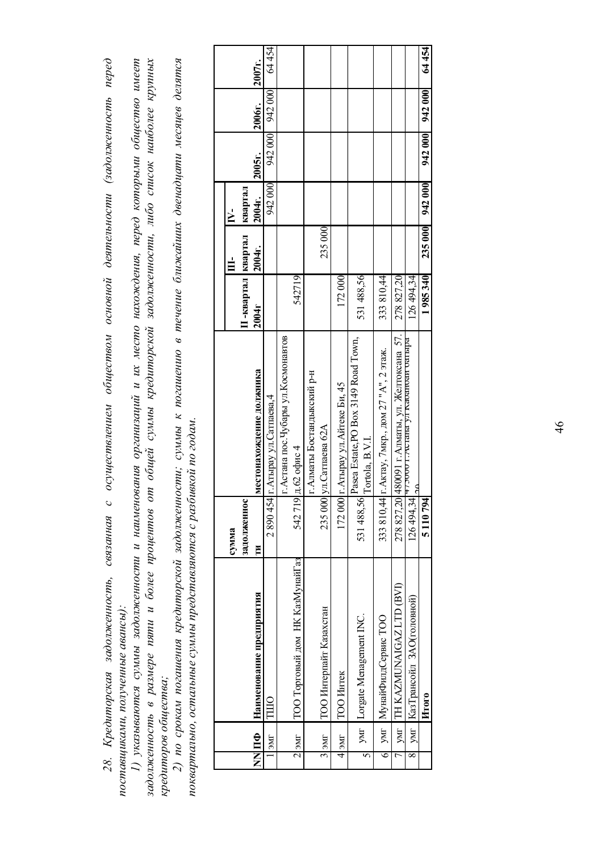| Кредиторская задолженность<br>j<br>INDENWIND<br>28.<br>ٍ<br>بہ | ミミー<br>nucbov | $\circ$ | المستحصل والمحامل المستحقق المتحدث<br>:<br>: | pon | еством основнои деятель | $\sim$ noon international<br>,,,,,,, | сенность перео<br>23.20 | j |
|----------------------------------------------------------------|---------------|---------|----------------------------------------------|-----|-------------------------|--------------------------------------|-------------------------|---|
| ndCMURRAMI noundamno doublet<br>on y sermone de.<br>しゅうしゅう     |               |         |                                              |     |                         |                                      |                         |   |

задолженность в размере пяти и более процентов от общей суммы кредиторской задолженности, либо список наиболее крупных 1) указываются суммы задолженности и наименования организаций и их место нахождения, перед которыми общество имеет задопженность в размере пяти и более процентов от общей суммы кредиторской задолженности, либо список наиболее крупных 1) указываются суммы задолженности и наименования организаций и их место нахождения, перед которыми общество имеет кредиторов общества; *ɤɪɟɞɢɬɨɪɨɜ ɨɛɳɟɫɬɜɚ;*

2) по срокам погашения кредиторской задолженности; суммы к погашению в течение ближайших двенадцати месяцев делятся 2) по срокам погашения кредиторской задолженности; суммы к погашению в течение ближайших двенадцати месяцев делятся поквартально, остальные суммы представляются с разбивкой по годам.  $\boldsymbol{u}$ ыквартально, остальные суммы представляются с разбивкой по годам.

| 235 000 |                         |                                                                                                                                                   |
|---------|-------------------------|---------------------------------------------------------------------------------------------------------------------------------------------------|
|         |                         | 531488,56<br>172000<br>333 810,44                                                                                                                 |
|         |                         | Pasea Estate,PO Box 3149 Road Town,<br>г. Актау, 7мкр., дом 27 "А", 2 этаж.<br>г. Атырау ул. Айтеке Би, 45<br> ул.Сатпаева 62A<br>Tortola, B.V.I. |
|         | 235000                  | 172000<br>531488,56<br>333810,44                                                                                                                  |
|         | ТОО Интерпайт Казахстан | yMr  Lorgate Menagement INC.<br>умг   МунайФилдСервис ТОО<br><b>TOO</b> HHTEK                                                                     |
|         | $3$ ]эмг                | $M$ s 14<br>∊                                                                                                                                     |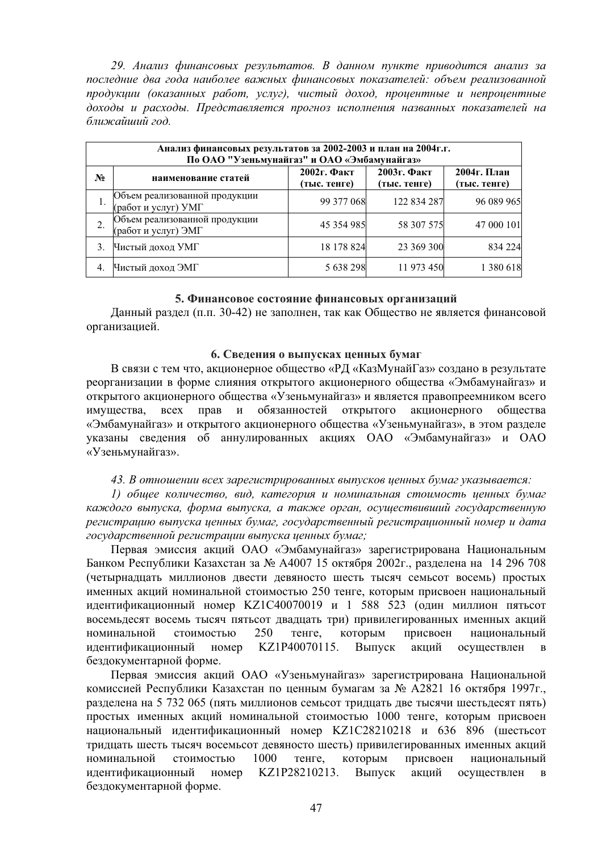29. Анализ финансовых результатов. В данном пункте приводится анализ за лоследние два года наиболее важных финансовых показателей: объем реализованной продукции (оказанных работ, услуг), чистый доход, процентные и непроцентные доходы и расходы. Представляется прогноз исполнения названных показателей на *ближайший год.* 

| Анализ финансовых результатов за 2002-2003 и план на 2004г.г.<br>По ОАО "Узеньмунайгаз" и ОАО «Эмбамунайгаз» |                                                      |                                |                                |                             |  |  |
|--------------------------------------------------------------------------------------------------------------|------------------------------------------------------|--------------------------------|--------------------------------|-----------------------------|--|--|
| N <sub>2</sub>                                                                                               | наименование статей                                  | $2002$ г. Факт<br>(тыс. тенге) | $2003$ г. Факт<br>(тыс. тенге) | 2004г. План<br>(тыс. тенге) |  |  |
|                                                                                                              | Объем реализованной продукции<br>(работ и услуг) УМГ | 99 377 068                     | 122 834 287                    | 96 089 965                  |  |  |
| 2.                                                                                                           | Объем реализованной продукции<br>(работ и услуг) ЭМГ | 45 354 985                     | 58 307 575                     | 47 000 101                  |  |  |
| 3.                                                                                                           | Чистый доход УМГ                                     | 18 178 824                     | 23 369 300                     | 834 224                     |  |  |
| 4.                                                                                                           | Чистый доход ЭМГ                                     | 5 638 298                      | 11 973 450                     | 1 380 618                   |  |  |

#### 5. Финансовое состояние финансовых организаций

Данный раздел (п.п. 30-42) не заполнен, так как Общество не является финансовой организацией.

#### **6. Сведения о выпусках ценных бумаг**

В связи с тем что, акционерное общество «РД «КазМунайГаз» создано в результате реорганизации в форме слияния открытого акционерного общества «Эмбамунайгаз» и открытого акционерного общества «Узеньмунайгаз» и является правопреемником всего имущества, всех прав и обязанностей открытого акционерного общества «Эмбамунайгаз» и открытого акционерного общества «Узеньмунайгаз», в этом разделе указаны сведения об аннулированных акциях ОАО «Эмбамунайгаз» и ОАО «Узеньмунайгаз».

#### 43. В отношении всех зарегистрированных выпусков ценных бумаг указывается:

 $1)$  *общее количество, вид, категория и номинальная стоимость ценных бумаг* каждого выпуска, форма выпуска, а также орган, осуществивший государственную регистрацию выпуска ценных бумаг, государственный регистрационный номер и дата  $20$ сударственной регистрации выпуска ценных бумаг;

Первая эмиссия акций ОАО «Эмбамунайгаз» зарегистрирована Национальным Банком Республики Казахстан за № А4007 15 октября 2002г., разделена на 14 296 708 (четырнадцать миллионов двести девяносто шесть тысяч семьсот восемь) простых именных акций номинальной стоимостью 250 тенге, которым присвоен национальный идентификационный номер KZ1C40070019 и 1 588 523 (один миллион пятьсот восемьдесят восемь тысяч пятьсот двадцать три) привилегированных именных акций номинальной стоимостью 250 тенге, которым присвоен национальный идентификационный номер KZ1P40070115. Выпуск акций осуществлен в безлокументарной форме.

Первая эмиссия акций ОАО «Узеньмунайгаз» зарегистрирована Национальной комиссией Республики Казахстан по ценным бумагам за № А2821 16 октября 1997г., разлелена на 5 732 065 (пять миллионов семьсот трилцать лве тысячи шестьлесят пять) простых именных акций номинальной стоимостью 1000 тенге, которым присвоен национальный идентификационный номер KZ1C28210218 и 636 896 (шестьсот тридцать шесть тысяч восемьсот девяносто шесть) привилегированных именных акций номинальной стоимостью 1000 тенге, которым присвоен национальный илентификационный номер KZ1P28210213. Выпуск акций осуществлен в бездокументарной форме.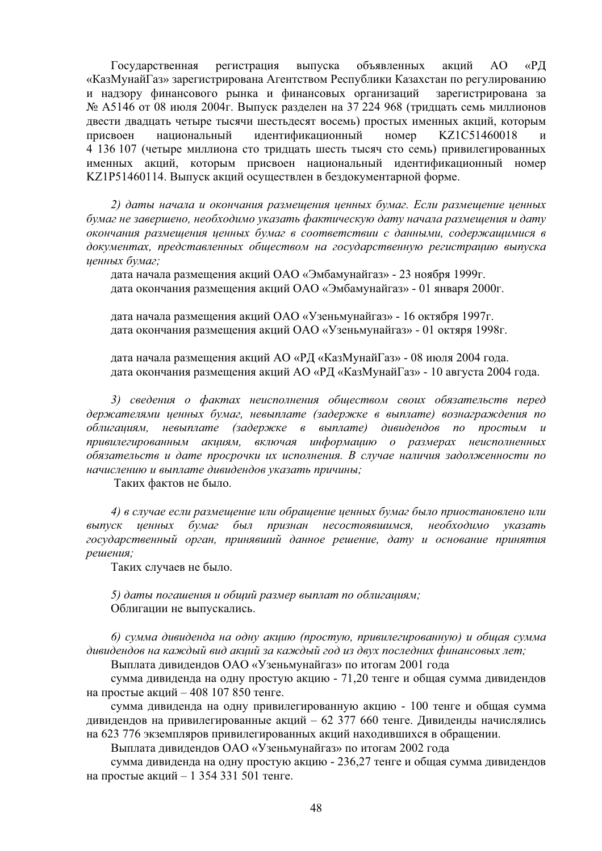Государственная регистрация выпуска объявленных акций АО «РД «КазМунайГаз» зарегистрирована Агентством Республики Казахстан по регулированию и надзору финансового рынка и финансовых организаций зарегистрирована за  $N<sub>®</sub>$  А5146 от 08 июля 2004г. Выпуск разделен на 37 224 968 (тридцать семь миллионов двести двадцать четыре тысячи шестьдесят восемь) простых именных акций, которым присвоен национальный идентификационный номер KZ1C51460018 4 136 107 (четыре миллиона сто тридцать шесть тысяч сто семь) привилегированных именных акций, которым присвоен национальный идентификационный номер KZ1P51460114. Выпуск акций осуществлен в бездокументарной форме.

2) даты начала и окончания размещения ценных бумаг. Если размещение ценных бумаг не завершено, необходимо указать фактическую дату начала размещения и дату  $\alpha$ **кончания размещения ценных бумаг в соответствии с данными, содержащимися в** документах, представленных обществом на государственную регистрацию выпуска иенных бумаг:

дата начала размешения акций ОАО «Эмбамунайгаз» - 23 ноября 1999г. дата окончания размещения акций ОАО «Эмбамунайгаз» - 01 января 2000г.

дата начала размешения акций ОАО «Узеньмунайгаз» - 16 октября 1997г. дата окончания размещения акций ОАО «Узеньмунайгаз» - 01 октяря 1998г.

дата начала размещения акций АО «РД «КазМунайГаз» - 08 июля 2004 года. дата окончания размещения акций АО «РД «КазМунайГаз» - 10 августа 2004 года.

3) сведения о фактах неисполнения обществом своих обязательств перед держателями ценных бумаг, невыплате (задержке в выплате) вознаграждения по  $\delta$ блигациям, невыплате (задержке в выплате) дивидендов по простым и привилегированным акииям, включая информацию о размерах неисполненных  $\delta$ бязательств и дате просрочки их исполнения. В случае наличия задолженности по *ɧɚɱɢɫɥɟɧɢɸ ɢ ɜɵɩɥɚɬɟ ɞɢɜɢɞɟɧɞɨɜ ɭɤɚɡɚɬɶ ɩɪɢɱɢɧɵ;*

Таких фактов не было.

*4*) *в случае если размещение или обращение ценных бумаг было приостановлено или* выпуск ценных бумаг был признан несостоявшимся, необходимо указать  $20$ сударственный орган, принявший данное решение, дату и основание принятия  $peu$ *ешения*;

Таких случаев не было.

5) даты погашения и обший размер выплат по облигашиям; Облигации не выпускались.

*6) сумма дивиденда на одну акцию (простую, привилегированную) и обшая сумма* дивидендов на каждый вид акций за каждый год из двух последних финансовых лет;

Выплата дивидендов ОАО «Узеньмунайгаз» по итогам 2001 года

сумма дивиденда на одну простую акцию - 71,20 тенге и общая сумма дивидендов на простые акций – 408 107 850 тенге.

сумма дивиденда на одну привилегированную акцию - 100 тенге и общая сумма дивидендов на привилегированные акций – 62 377 660 тенге. Дивиденды начислялись на 623 776 экземпляров привилегированных акций находившихся в обращении.

Выплата дивидендов ОАО «Узеньмунайгаз» по итогам 2002 года

сумма дивиденда на одну простую акцию - 236,27 тенге и общая сумма дивидендов на простые акций – 1 354 331 501 тенге.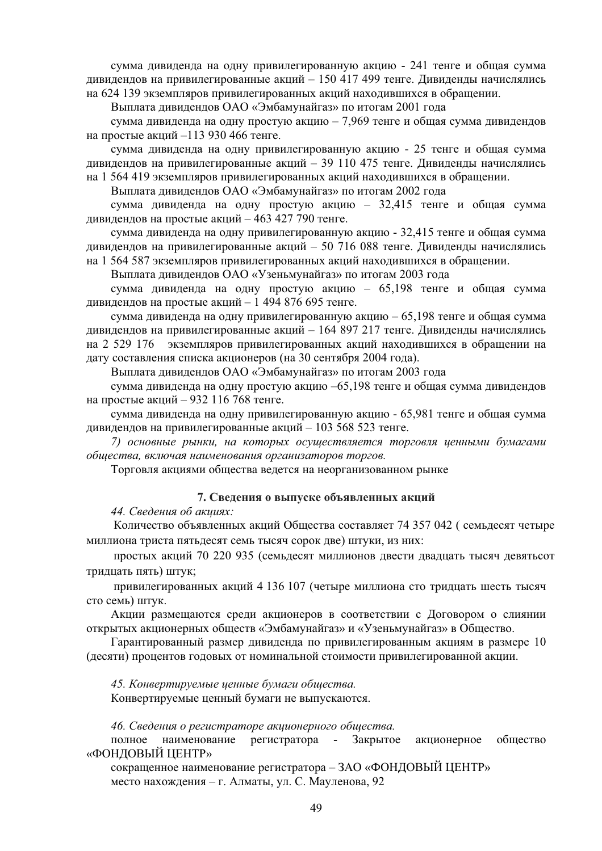сумма дивиденда на одну привилегированную акцию - 241 тенге и общая сумма дивидендов на привилегированные акций – 150 417 499 тенге. Дивиденды начислялись на 624 139 экземпляров привилегированных акций находившихся в обращении.

Выплата дивидендов ОАО «Эмбамунайгаз» по итогам 2001 года

сумма дивиденда на одну простую акцию – 7,969 тенге и общая сумма дивидендов на простые акций –113 930 466 тенге.

сумма дивиденда на одну привилегированную акцию - 25 тенге и общая сумма дивидендов на привилегированные акций – 39 110 475 тенге. Дивиденды начислялись на 1 564 419 экземпляров привилегированных акций находившихся в обращении.

Выплата дивидендов ОАО «Эмбамунайгаз» по итогам 2002 года

сумма дивиденда на одну простую акцию – 32,415 тенге и общая сумма дивидендов на простые акций – 463 427 790 тенге.

сумма дивиденда на одну привилегированную акцию - 32,415 тенге и общая сумма дивидендов на привилегированные акций – 50 716 088 тенге. Дивиденды начислялись на 1 564 587 экземпляров привилегированных акций находившихся в обращении.

Выплата дивидендов ОАО «Узеньмунайгаз» по итогам 2003 года

сумма дивиденда на одну простую акцию – 65,198 тенге и общая сумма дивидендов на простые акций – 1 494 876 695 тенге.

сумма дивиденда на одну привилегированную акцию – 65,198 тенге и общая сумма дивидендов на привилегированные акций – 164 897 217 тенге. Дивиденды начислялись на 2 529 176 экземпляров привилегированных акций находившихся в обращении на дату составления списка акционеров (на 30 сентября 2004 года).

Выплата дивидендов ОАО «Эмбамунайгаз» по итогам 2003 года

сумма дивиденда на одну простую акцию -65,198 тенге и общая сумма дивидендов на простые акций – 932 116 768 тенге.

сумма дивиденда на одну привилегированную акцию - 65,981 тенге и общая сумма дивидендов на привилегированные акций – 103 568 523 тенге.

7) основные рынки, на которых осушествляется торговля иенными бумагами  $o6$ щества, включая наименования организаторов торгов.

Торговля акциями общества ведется на неорганизованном рынке

#### 7. Сведения о выпуске объявленных акций

 $44.$  Сведения об акшиях:

Количество объявленных акций Общества составляет 74 357 042 ( семьдесят четыре миллиона триста пятьдесят семь тысяч сорок две) штуки, из них:

простых акций 70 220 935 (семьдесят миллионов двести двадцать тысяч девятьсот тридцать пять) штук;

привилегированных акций 4 136 107 (четыре миллиона сто тридцать шесть тысяч сто семь) штук.

Акции размещаются среди акционеров в соответствии с Договором о слиянии открытых акционерных обществ «Эмбамунайгаз» и «Узеньмунайгаз» в Общество.

Гарантированный размер дивиденда по привилегированным акциям в размере 10 (десяти) процентов годовых от номинальной стоимости привилегированной акции.

45. Конвертируемые ценные бумаги общества.

Конвертируемые ценный бумаги не выпускаются.

46. Сведения о регистраторе акционерного обшества.

полное наименование регистратора - Закрытое акционерное общество «ФОНДОВЫЙ ЦЕНТР»

сокращенное наименование регистратора – ЗАО «ФОНДОВЫЙ ЦЕНТР» место нахождения – г. Алматы, ул. С. Мауленова, 92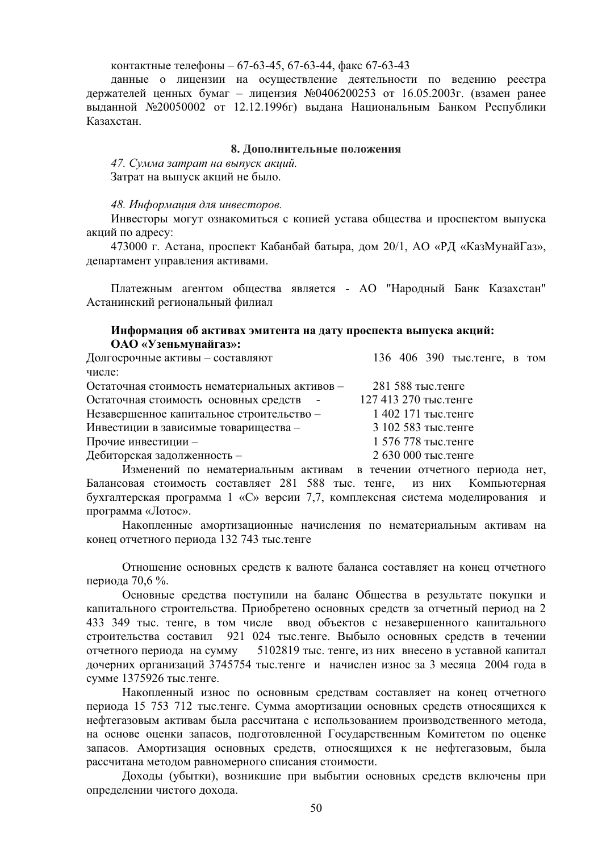контактные телефоны – 67-63-45, 67-63-44, факс 67-63-43

данные о лицензии на осуществление деятельности по ведению реестра держателей ценных бумаг – лицензия №0406200253 от 16.05.2003г. (взамен ранее выданной №20050002 от 12.12.1996г) выдана Национальным Банком Республики Казахстан.

#### 8. Дополнительные положения

47. Сумма затрат на выпуск акций. Затрат на выпуск акций не было.

#### 48. Информация для инвесторов.

Инвесторы могут ознакомиться с копией устава общества и проспектом выпуска акций по адресу:

473000 г. Астана, проспект Кабанбай батыра, дом 20/1, АО «РД «КазМунайГаз», департамент управления активами.

Платежным агентом общества является - АО "Народный Банк Казахстан" Астанинский региональный филиал

## Информация об активах эмитента на дату проспекта выпуска акций: ОАО «Узеньмунайгаз»:

| Долгосрочные активы - составляют              | 136 406 390 тыс. тенге, в том |
|-----------------------------------------------|-------------------------------|
| числе:                                        |                               |
| Остаточная стоимость нематериальных активов - | 281 588 тыс. тенге            |
| Остаточная стоимость основных средств -       | 127 413 270 тыс. тенге        |
| Незавершенное капитальное строительство -     | 1 402 171 тыс. тенге          |
| Инвестиции в зависимые товарищества -         | 3 102 583 тыс. тенге          |
| Прочие инвестиции -                           | 1 576 778 тыс. тенге          |
| Дебиторская задолженность -                   | 2 630 000 тыс. тенге          |
|                                               |                               |

Изменений по нематериальным активам в течении отчетного периода нет, Балансовая стоимость составляет 281 588 тыс. тенге, из них Компьютерная бухгалтерская программа 1 «С» версии 7,7, комплексная система моделирования и программа «Лотос».

Накопленные амортизационные начисления по нематериальным активам на конец отчетного периода 132 743 тыс. тенге

Отношение основных средств к валюте баланса составляет на конец отчетного периода 70,6 %.

Основные средства поступили на баланс Общества в результате покупки и капитального строительства. Приобретено основных средств за отчетный период на 2 433 349 тыс. тенге, в том числе ввод объектов с незавершенного капитального строительства составил 921 024 тыс.тенге. Выбыло основных средств в течении отчетного периода на сумму 5102819 тыс. тенге, из них внесено в уставной капитал дочерних организаций 3745754 тыс.тенге и начислен износ за 3 месяца 2004 года в сумме 1375926 тыс. тенге.

Накопленный износ по основным средствам составляет на конец отчетного периода 15 753 712 тыс.тенге. Сумма амортизации основных средств относящихся к нефтегазовым активам была рассчитана с использованием производственного метода, на основе оценки запасов, подготовленной Государственным Комитетом по оценке запасов. Амортизация основных средств, относящихся к не нефтегазовым, была рассчитана методом равномерного списания стоимости.

Доходы (убытки), возникшие при выбытии основных средств включены при определении чистого дохода.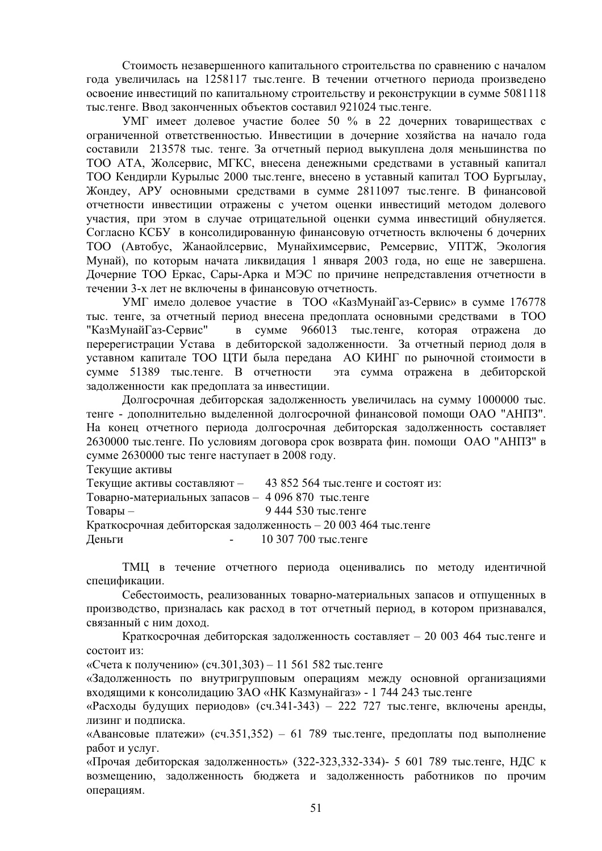Стоимость незавершенного капитального строительства по сравнению с началом года увеличилась на 1258117 тыс.тенге. В течении отчетного периода произведено освоение инвестиций по капитальному строительству и реконструкции в сумме 5081118 тыс. тенге. Ввол законченных объектов составил 921024 тыс. тенге.

УМГ имеет долевое участие более 50 % в 22 дочерних товариществах с ограниченной ответственностью. Инвестиции в дочерние хозяйства на начало года составили 213578 тыс. тенге. За отчетный период выкуплена доля меньшинства по ТОО АТА, Жолсервис, МГКС, внесена денежными средствами в уставный капитал ТОО Кендирли Курылыс 2000 тыс.тенге, внесено в уставный капитал ТОО Бургылау, Жондеу, АРУ основными средствами в сумме 2811097 тыс. тенге. В финансовой отчетности инвестиции отражены с учетом оценки инвестиций методом долевого участия, при этом в случае отрицательной оценки сумма инвестиций обнуляется. Согласно КСБУ в консолидированную финансовую отчетность включены 6 дочерних ТОО (Автобус, Жанаойлсервис, Мунайхимсервис, Ремсервис, УПТЖ, Экология Мунай), по которым начата ликвидация 1 января 2003 года, но еще не завершена. Дочерние ТОО Еркас, Сары-Арка и МЭС по причине непредставления отчетности в течении 3-х лет не включены в финансовую отчетность.

УМГ имело долевое участие в ТОО «КазМунайГаз-Сервис» в сумме 176778 тыс. тенге, за отчетный период внесена предоплата основными средствами в ТОО "КазМунайГаз-Сервис" в сумме 966013 тыс.тенге, которая отражена до перерегистрации Устава в дебиторской задолженности. За отчетный период доля в уставном капитале ТОО ЦТИ была передана АО КИНГ по рыночной стоимости в сумме 51389 тыс.тенге. В отчетности эта сумма отражена в дебиторской залолженности как предоплата за инвестиции.

Долгосрочная дебиторская задолженность увеличилась на сумму 1000000 тыс. тенге - дополнительно выделенной долгосрочной финансовой помощи ОАО "АНПЗ". На конец отчетного периода долгосрочная дебиторская задолженность составляет 2630000 тыс.тенге. По условиям договора срок возврата фин. помощи ОАО "АНПЗ" в сумме 2630000 тыс тенге наступает в 2008 году.

Текущие активы

|                                                                 | Текущие активы составляют - 43 852 564 тыс. тенге и состоят из: |
|-----------------------------------------------------------------|-----------------------------------------------------------------|
| Товарно-материальных запасов - 4 096 870 тыс. тенге             |                                                                 |
| $To$ вары $-$                                                   | 9 444 530 тыс. тенге                                            |
| Краткосрочная дебиторская задолженность – 20 003 464 тыс. тенге |                                                                 |
| Деньги                                                          | 10 307 700 тыс. тенге                                           |

ТМЦ в течение отчетного периода оценивались по методу идентичной спецификации.

Себестоимость, реализованных товарно-материальных запасов и отпущенных в производство, призналась как расход в тот отчетный период, в котором признавался, связанный с ним доход.

Краткосрочная дебиторская задолженность составляет – 20 003 464 тыс. тенге и состоит из:

«Счета к получению» (сч.301,303) – 11 561 582 тыс.тенге

«Задолженность по внутригрупповым операциям между основной организациями входящими к консолидацию ЗАО «НК Казмунайгаз» - 1 744 243 тыс.тенге

«Расходы будущих периодов» (сч.341-343) – 222 727 тыс.тенге, включены аренды, лизинг и полписка.

«Авансовые платежи» (сч.351,352) – 61 789 тыс. тенге, предоплаты под выполнение работ и услуг.

«Прочая дебиторская задолженность» (322-323,332-334)- 5 601 789 тыс.тенге, НДС к возмещению, задолженность бюджета и задолженность работников по прочим операциям.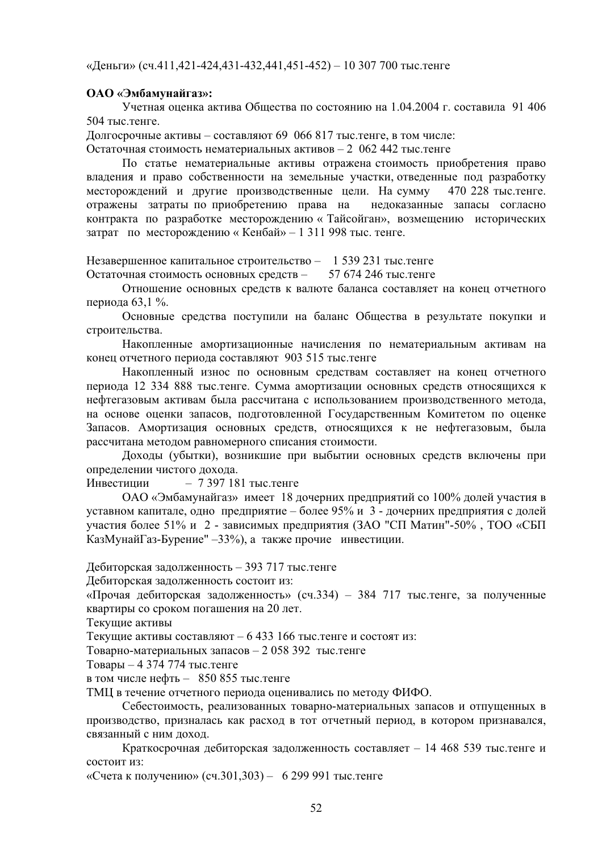«Деньги» (сч.411,421-424,431-432,441,451-452) – 10 307 700 тыс. тенге

### ОАО «Эмбамунайгаз»:

Учетная оценка актива Общества по состоянию на 1.04.2004 г. составила 91 406 504 тыс. тенге.

Долгосрочные активы – составляют 69 066 817 тыс. тенге, в том числе:

Остаточная стоимость нематериальных активов – 2 062 442 тыс. тенге

По статье нематериальные активы отражена стоимость приобретения право владения и право собственности на земельные участки, отведенные под разработку месторождений и другие производственные цели. На сумму 470 228 тыс. тенге. отражены затраты по приобретению права на недоказанные запасы согласно контракта по разработке месторождению « Тайсойган», возмещению исторических затрат по месторождению « Кенбай» – 1 311 998 тыс. тенге.

Незавершенное капитальное строительство – 1 539 231 тыс. тенге Остаточная стоимость основных средств – 57 674 246 тыс. тенге

Отношение основных средств к валюте баланса составляет на конец отчетного периода 63,1 %.

Основные средства поступили на баланс Общества в результате покупки и строительства.

Накопленные амортизационные начисления по нематериальным активам на конец отчетного периода составляют 903 515 тыс. тенге

Накопленный износ по основным средствам составляет на конец отчетного периода 12 334 888 тыс.тенге. Сумма амортизации основных средств относящихся к нефтегазовым активам была рассчитана с использованием производственного метода, на основе оценки запасов, подготовленной Государственным Комитетом по оценке Запасов. Амортизация основных средств, относящихся к не нефтегазовым, была рассчитана методом равномерного списания стоимости.

Доходы (убытки), возникшие при выбытии основных средств включены при определении чистого дохода.

 $M$ нвестиции – 7 397 181 тыс. тенге

ОАО «Эмбамунайгаз» имеет 18 дочерних предприятий со 100% долей участия в уставном капитале, одно предприятие – более 95% и 3 - дочерних предприятия с долей участия более 51% и 2 - зависимых предприятия (ЗАО "СП Матин"-50%, ТОО «СБП КазМунайГаз-Бурение" –33%), а также прочие инвестиции.

Дебиторская задолженность – 393 717 тыс. тенге

Дебиторская задолженность состоит из:

«Прочая дебиторская задолженность» (сч.334) – 384 717 тыс. тенге, за полученные квартиры со сроком погашения на 20 лет.

Текущие активы

Текущие активы составляют – 6 433 166 тыс. тенге и состоят из:

Товарно-материальных запасов – 2 058 392 тыс. тенге

Товары – 4 374 774 тыс.тенге

в том числе нефть – 850 855 тыс. тенге

ТМЦ в течение отчетного периода оценивались по методу ФИФО.

Себестоимость, реализованных товарно-материальных запасов и отпущенных в производство, призналась как расход в тот отчетный период, в котором признавался, связанный с ним доход.

Краткосрочная дебиторская задолженность составляет – 14 468 539 тыс. тенге и состоит из:

«Счета к получению» (сч.301,303) – 6 299 991 тыс. тенге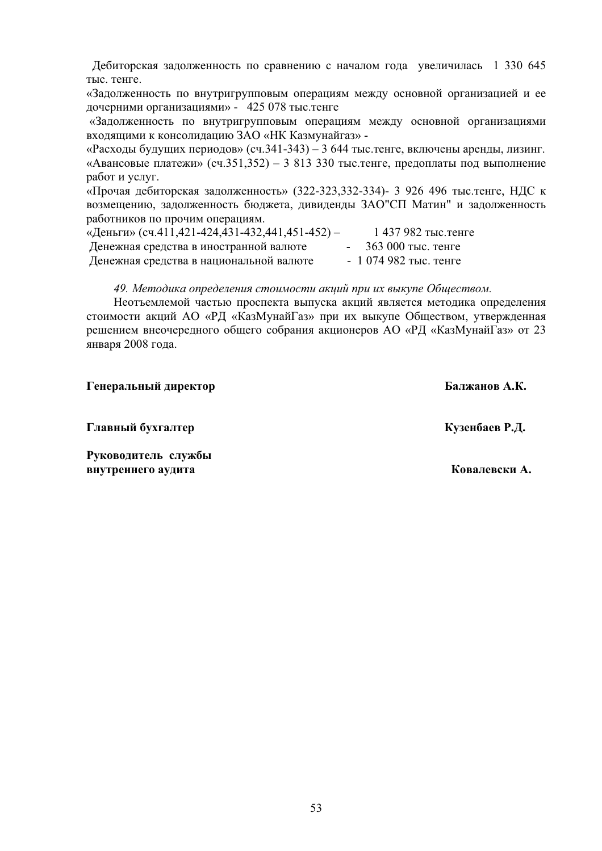Дебиторская задолженность по сравнению с началом года увеличилась 1 330 645 тыс. тенге.

«Задолженность по внутригрупповым операциям между основной организацией и ее дочерними организациями» - 425 078 тыс. тенге

«Задолженность по внутригрупповым операциям между основной организациями входящими к консолидацию ЗАО «НК Казмунайгаз» -

«Расходы будущих периодов» (сч.341-343) – 3 644 тыс. тенге, включены аренды, лизинг. «Авансовые платежи» (сч.351,352) – 3 813 330 тыс. тенге, предоплаты под выполнение работ и услуг.

«Прочая дебиторская задолженность» (322-323,332-334)- 3 926 496 тыс.тенге, НДС к возмещению, задолженность бюджета, дивиденды ЗАО"СП Матин" и задолженность работников по прочим операциям.

| «Деньги» (сч.411,421-424,431-432,441,451-452) – | 1 437 982 тыс. тенге  |
|-------------------------------------------------|-----------------------|
| Денежная средства в иностранной валюте          | 363 000 тыс. тенге    |
| Денежная средства в национальной валюте         | $-1074982$ тыс. тенге |

49. Методика определения стоимости акций при их выкупе Обшеством.

Неотъемлемой частью проспекта выпуска акций является методика определения стоимости акций АО «РД «КазМунайГаз» при их выкупе Обществом, утвержденная решением внеочередного общего собрания акционеров АО «РД «КазМунайГаз» от 23 января 2008 года.

Генеральный директор **С**алжанов А.К.

 **Главный бухгалтер и совмещения и совмещения и совмещения к и совмещения к и совмещения к и совмещения к и совмещения к и совмещения к и совмещения к и совмещения к и совмещения к и совмещения к и совмещения к и совмещ** 

Руководитель службы **внутреннего аудита** и и и и и и и и и и и и и и и и и и ковалевски А.